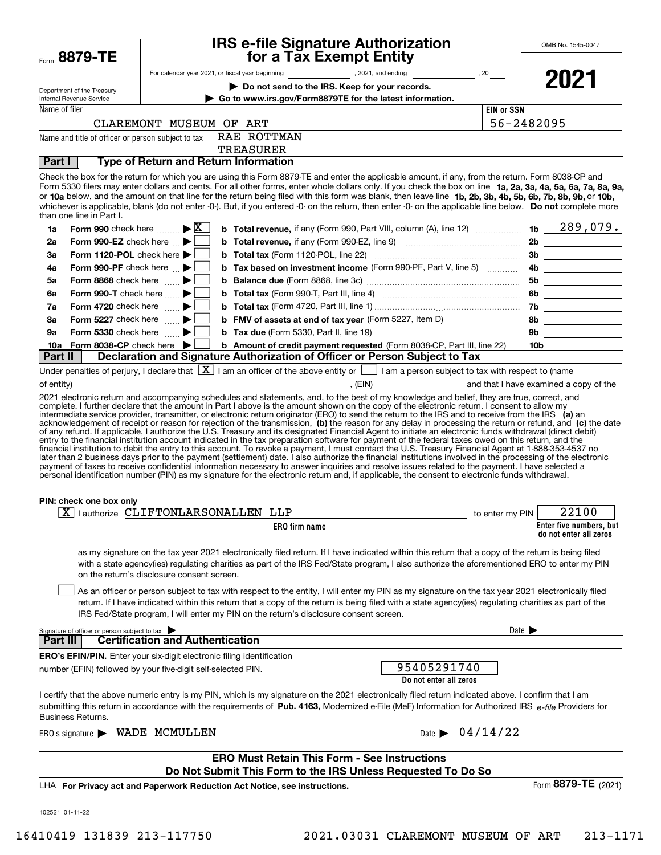| Form 8879-TE                                                                 |                                                     |                                                                                       | <b>IRS e-file Signature Authorization</b><br>for a Tax Exempt Entity                                                                                                                                                                                                                                                                                                                                                                                                                                                                                                                                                                            |                                 | OMB No. 1545-0047                                 |
|------------------------------------------------------------------------------|-----------------------------------------------------|---------------------------------------------------------------------------------------|-------------------------------------------------------------------------------------------------------------------------------------------------------------------------------------------------------------------------------------------------------------------------------------------------------------------------------------------------------------------------------------------------------------------------------------------------------------------------------------------------------------------------------------------------------------------------------------------------------------------------------------------------|---------------------------------|---------------------------------------------------|
|                                                                              |                                                     |                                                                                       |                                                                                                                                                                                                                                                                                                                                                                                                                                                                                                                                                                                                                                                 |                                 |                                                   |
| Department of the Treasury                                                   |                                                     | Do not send to the IRS. Keep for your records.                                        |                                                                                                                                                                                                                                                                                                                                                                                                                                                                                                                                                                                                                                                 |                                 | 2021                                              |
| Internal Revenue Service                                                     |                                                     |                                                                                       | Go to www.irs.gov/Form8879TE for the latest information.                                                                                                                                                                                                                                                                                                                                                                                                                                                                                                                                                                                        |                                 |                                                   |
| Name of filer                                                                | CLAREMONT MUSEUM OF ART                             |                                                                                       |                                                                                                                                                                                                                                                                                                                                                                                                                                                                                                                                                                                                                                                 | <b>EIN or SSN</b><br>56-2482095 |                                                   |
| Name and title of officer or person subject to tax                           |                                                     | RAE ROTTMAN                                                                           |                                                                                                                                                                                                                                                                                                                                                                                                                                                                                                                                                                                                                                                 |                                 |                                                   |
|                                                                              |                                                     | <b>TREASURER</b>                                                                      |                                                                                                                                                                                                                                                                                                                                                                                                                                                                                                                                                                                                                                                 |                                 |                                                   |
| Part I                                                                       |                                                     | <b>Type of Return and Return Information</b>                                          |                                                                                                                                                                                                                                                                                                                                                                                                                                                                                                                                                                                                                                                 |                                 |                                                   |
| than one line in Part I.                                                     |                                                     |                                                                                       | Check the box for the return for which you are using this Form 8879-TE and enter the applicable amount, if any, from the return. Form 8038-CP and<br>Form 5330 filers may enter dollars and cents. For all other forms, enter whole dollars only. If you check the box on line 1a, 2a, 3a, 4a, 5a, 6a, 7a, 8a, 9a,<br>or 10a below, and the amount on that line for the return being filed with this form was blank, then leave line 1b, 2b, 3b, 4b, 5b, 6b, 7b, 8b, 9b, or 10b,<br>whichever is applicable, blank (do not enter -0-). But, if you entered -0- on the return, then enter -0- on the applicable line below. Do not complete more |                                 |                                                   |
| 1a                                                                           | Form 990 check here $\ldots \rightarrow \mathbb{X}$ |                                                                                       | <b>b</b> Total revenue, if any (Form 990, Part VIII, column (A), line 12) $\ldots$ 1b $\phantom{0}289$ , 079.                                                                                                                                                                                                                                                                                                                                                                                                                                                                                                                                   |                                 |                                                   |
| Form 990-EZ check here $\Box$<br>2a                                          |                                                     |                                                                                       |                                                                                                                                                                                                                                                                                                                                                                                                                                                                                                                                                                                                                                                 |                                 | 2b                                                |
| Form 1120-POL check here $\blacktriangleright$<br>За                         |                                                     |                                                                                       |                                                                                                                                                                                                                                                                                                                                                                                                                                                                                                                                                                                                                                                 |                                 | 3b                                                |
| Form 990-PF check here $\blacktriangleright$<br>4а                           |                                                     |                                                                                       | b Tax based on investment income (Form 990-PF, Part V, line 5)                                                                                                                                                                                                                                                                                                                                                                                                                                                                                                                                                                                  |                                 |                                                   |
| Form 8868 check here<br>5a                                                   |                                                     |                                                                                       |                                                                                                                                                                                                                                                                                                                                                                                                                                                                                                                                                                                                                                                 |                                 |                                                   |
| Form 990-T check here<br>6a                                                  |                                                     |                                                                                       |                                                                                                                                                                                                                                                                                                                                                                                                                                                                                                                                                                                                                                                 |                                 | 6b                                                |
| Form 4720 check here $\Box$<br>7a                                            |                                                     |                                                                                       |                                                                                                                                                                                                                                                                                                                                                                                                                                                                                                                                                                                                                                                 |                                 | 7b                                                |
| Form 5227 check here $\ldots$<br>8a                                          |                                                     |                                                                                       | <b>b</b> FMV of assets at end of tax year (Form 5227, Item D)                                                                                                                                                                                                                                                                                                                                                                                                                                                                                                                                                                                   |                                 |                                                   |
| Form 5330 check here $\qquad \qquad \blacktriangleright$<br>9а               |                                                     | <b>b</b> Tax due (Form 5330, Part II, line 19)                                        |                                                                                                                                                                                                                                                                                                                                                                                                                                                                                                                                                                                                                                                 |                                 | 9b                                                |
| Form 8038-CP check here $\blacktriangleright$<br>10a                         |                                                     |                                                                                       | b Amount of credit payment requested (Form 8038-CP, Part III, line 22)                                                                                                                                                                                                                                                                                                                                                                                                                                                                                                                                                                          |                                 | $\begin{array}{c}\n10b \end{array}$               |
| Part II                                                                      |                                                     |                                                                                       | Declaration and Signature Authorization of Officer or Person Subject to Tax                                                                                                                                                                                                                                                                                                                                                                                                                                                                                                                                                                     |                                 |                                                   |
|                                                                              |                                                     |                                                                                       | Under penalties of perjury, I declare that $\boxed{X}$ I am an officer of the above entity or $\boxed{\phantom{1}}$ I am a person subject to tax with respect to (name                                                                                                                                                                                                                                                                                                                                                                                                                                                                          |                                 |                                                   |
| PIN: check one box only                                                      |                                                     |                                                                                       | financial institution to debit the entry to this account. To revoke a payment, I must contact the U.S. Treasury Financial Agent at 1-888-353-4537 no<br>later than 2 business days prior to the payment (settlement) date. I also authorize the financial institutions involved in the processing of the electronic<br>payment of taxes to receive confidential information necessary to answer inquiries and resolve issues related to the payment. I have selected a<br>personal identification number (PIN) as my signature for the electronic return and, if applicable, the consent to electronic funds withdrawal.                        |                                 |                                                   |
| $X$   authorize CLIFTONLARSONALLEN LLP                                       |                                                     |                                                                                       |                                                                                                                                                                                                                                                                                                                                                                                                                                                                                                                                                                                                                                                 | to enter my PIN                 | 22100                                             |
|                                                                              |                                                     | <b>ERO</b> firm name                                                                  |                                                                                                                                                                                                                                                                                                                                                                                                                                                                                                                                                                                                                                                 |                                 | Enter five numbers, but<br>do not enter all zeros |
|                                                                              | on the return's disclosure consent screen.          |                                                                                       | as my signature on the tax year 2021 electronically filed return. If I have indicated within this return that a copy of the return is being filed<br>with a state agency(ies) regulating charities as part of the IRS Fed/State program, I also authorize the aforementioned ERO to enter my PIN<br>As an officer or person subject to tax with respect to the entity, I will enter my PIN as my signature on the tax year 2021 electronically filed                                                                                                                                                                                            |                                 |                                                   |
|                                                                              |                                                     | IRS Fed/State program, I will enter my PIN on the return's disclosure consent screen. | return. If I have indicated within this return that a copy of the return is being filed with a state agency(ies) regulating charities as part of the                                                                                                                                                                                                                                                                                                                                                                                                                                                                                            |                                 |                                                   |
| Signature of officer or person subject to tax<br>Part III                    | <b>Certification and Authentication</b>             |                                                                                       |                                                                                                                                                                                                                                                                                                                                                                                                                                                                                                                                                                                                                                                 | Date $\blacktriangleright$      |                                                   |
| <b>ERO's EFIN/PIN.</b> Enter your six-digit electronic filing identification |                                                     |                                                                                       |                                                                                                                                                                                                                                                                                                                                                                                                                                                                                                                                                                                                                                                 |                                 |                                                   |
| number (EFIN) followed by your five-digit self-selected PIN.                 |                                                     |                                                                                       | 95405291740<br>Do not enter all zeros                                                                                                                                                                                                                                                                                                                                                                                                                                                                                                                                                                                                           |                                 |                                                   |
| Business Returns.                                                            |                                                     |                                                                                       | I certify that the above numeric entry is my PIN, which is my signature on the 2021 electronically filed return indicated above. I confirm that I am<br>submitting this return in accordance with the requirements of Pub. 4163, Modernized e-File (MeF) Information for Authorized IRS $e$ -file Providers for                                                                                                                                                                                                                                                                                                                                 |                                 |                                                   |
| ERO's signature > WADE MCMULLEN                                              |                                                     |                                                                                       | Date $\triangleright$ 04/14/22                                                                                                                                                                                                                                                                                                                                                                                                                                                                                                                                                                                                                  |                                 |                                                   |
|                                                                              |                                                     | <b>ERO Must Retain This Form - See Instructions</b>                                   | Do Not Submit This Form to the IRS Unless Requested To Do So                                                                                                                                                                                                                                                                                                                                                                                                                                                                                                                                                                                    |                                 |                                                   |
|                                                                              |                                                     | LHA For Privacy act and Paperwork Reduction Act Notice, see instructions.             |                                                                                                                                                                                                                                                                                                                                                                                                                                                                                                                                                                                                                                                 |                                 | Form 8879-TE (2021)                               |
| 102521 01-11-22                                                              |                                                     |                                                                                       |                                                                                                                                                                                                                                                                                                                                                                                                                                                                                                                                                                                                                                                 |                                 |                                                   |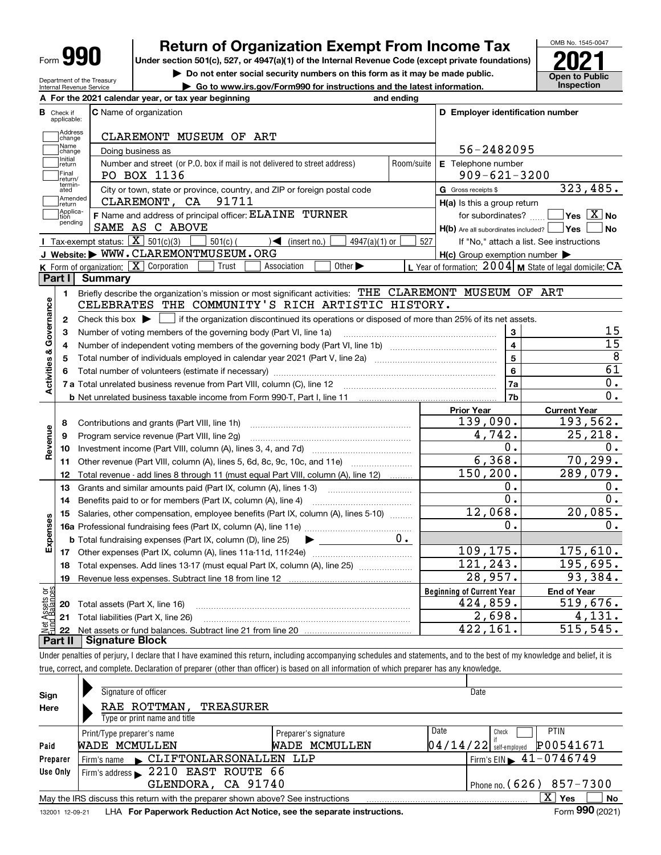| п<br>Form |
|-----------|
|-----------|

Department of the Treasury Internal Revenue Service

# **Return of Organization Exempt From Income Tax**

Under section 501(c), 527, or 4947(a)(1) of the Internal Revenue Code (except private foundations) **2021** 

**| Do not enter social security numbers on this form as it may be made public.**

**| Go to www.irs.gov/Form990 for instructions and the latest information. Inspection**



|                         |                         | A For the 2021 calendar year, or tax year beginning                                                                                         | and ending |                                                     |                                                           |
|-------------------------|-------------------------|---------------------------------------------------------------------------------------------------------------------------------------------|------------|-----------------------------------------------------|-----------------------------------------------------------|
| В                       | Check if<br>applicable: | <b>C</b> Name of organization                                                                                                               |            | D Employer identification number                    |                                                           |
|                         | Address<br>change       | CLAREMONT MUSEUM OF ART                                                                                                                     |            |                                                     |                                                           |
|                         | Name<br>change          | Doing business as                                                                                                                           |            | 56-2482095                                          |                                                           |
|                         | Initial<br>return       | Number and street (or P.O. box if mail is not delivered to street address)                                                                  | Room/suite | E Telephone number                                  |                                                           |
|                         | Final<br>return/        | PO BOX 1136                                                                                                                                 |            | $909 - 621 - 3200$                                  |                                                           |
|                         | termin-<br>ated         | City or town, state or province, country, and ZIP or foreign postal code                                                                    |            | G Gross receipts \$                                 | 323,485.                                                  |
|                         | Amended<br>return       | 91711<br>CLAREMONT, CA                                                                                                                      |            | $H(a)$ is this a group return                       |                                                           |
|                         | Applica-<br>tion        | F Name and address of principal officer: ELAINE TURNER                                                                                      |            | for subordinates?                                   | $\overline{\ }$ Yes $\overline{\phantom{X}}$ No           |
|                         | pending                 | SAME AS C ABOVE                                                                                                                             |            | $H(b)$ Are all subordinates included? $\Box$ Yes    | N <sub>o</sub>                                            |
|                         |                         | Tax-exempt status: $\boxed{\mathbf{X}}$ 501(c)(3)<br>$\sqrt{\frac{2}{1}}$ (insert no.)<br>4947(a)(1) or<br>$501(c)$ (                       | 527        |                                                     | If "No," attach a list. See instructions                  |
|                         |                         | J Website: WWW.CLAREMONTMUSEUM.ORG                                                                                                          |            | $H(c)$ Group exemption number $\blacktriangleright$ |                                                           |
|                         |                         | K Form of organization: X Corporation<br>Association<br>Other $\blacktriangleright$<br>Trust                                                |            |                                                     | L Year of formation: $2004$ M State of legal domicile: CA |
|                         | Part I                  | Summary                                                                                                                                     |            |                                                     |                                                           |
|                         | 1.                      | Briefly describe the organization's mission or most significant activities: THE CLAREMONT MUSEUM OF ART                                     |            |                                                     |                                                           |
|                         |                         | CELEBRATES THE COMMUNITY'S RICH ARTISTIC HISTORY.                                                                                           |            |                                                     |                                                           |
| Activities & Governance | $\mathbf{2}$            | Check this box $\blacktriangleright$ $\Box$ if the organization discontinued its operations or disposed of more than 25% of its net assets. |            |                                                     |                                                           |
|                         | 3                       | Number of voting members of the governing body (Part VI, line 1a)                                                                           |            | 3                                                   | 15                                                        |
|                         | 4                       |                                                                                                                                             |            | $\overline{4}$                                      | 15                                                        |
|                         | 5                       |                                                                                                                                             |            | 5                                                   | $\overline{8}$                                            |
|                         | 6                       |                                                                                                                                             |            | $6\overline{6}$                                     | $\overline{61}$                                           |
|                         |                         |                                                                                                                                             |            | 7a                                                  | 0.                                                        |
|                         |                         |                                                                                                                                             |            | 7 <sub>b</sub>                                      | 0.                                                        |
|                         |                         |                                                                                                                                             |            | <b>Prior Year</b>                                   | <b>Current Year</b>                                       |
|                         | 8                       | Contributions and grants (Part VIII, line 1h)                                                                                               |            | 139,090.                                            | 193,562.                                                  |
| Revenue                 | 9                       | Program service revenue (Part VIII, line 2g)                                                                                                |            | 4,742.                                              | 25, 218.                                                  |
|                         | 10                      |                                                                                                                                             |            | $\overline{0}$ .                                    | 0.                                                        |
|                         | 11                      | Other revenue (Part VIII, column (A), lines 5, 6d, 8c, 9c, 10c, and 11e)                                                                    |            | 6,368.                                              | 70, 299.                                                  |
|                         | 12                      | Total revenue - add lines 8 through 11 (must equal Part VIII, column (A), line 12)                                                          |            | 150, 200.                                           | 289,079.                                                  |
|                         | 13                      | Grants and similar amounts paid (Part IX, column (A), lines 1-3)                                                                            |            | Ο.                                                  | $\mathbf 0$ .                                             |
|                         | 14                      |                                                                                                                                             |            | 0.                                                  | 0.                                                        |
|                         | 15                      | Salaries, other compensation, employee benefits (Part IX, column (A), lines 5-10)                                                           |            | 12,068.                                             | 20,085.                                                   |
| Expenses                |                         |                                                                                                                                             |            | 0.                                                  | 0.                                                        |
|                         |                         | <b>b</b> Total fundraising expenses (Part IX, column (D), line 25)<br>$\blacktriangleright$ and $\blacktriangleright$                       | $0 \cdot$  |                                                     |                                                           |
|                         |                         |                                                                                                                                             |            | 109,175.                                            | 175,610.                                                  |
|                         | 18                      | Total expenses. Add lines 13-17 (must equal Part IX, column (A), line 25)                                                                   |            | 121, 243.                                           | 195,695.                                                  |
|                         | 19                      |                                                                                                                                             |            | $\overline{28}$ , 957.                              | 93,384.                                                   |
| وَقِ                    |                         |                                                                                                                                             |            | <b>Beginning of Current Year</b>                    | <b>End of Year</b>                                        |
|                         | 20                      | Total assets (Part X, line 16)                                                                                                              |            | 424,859.                                            | 519,676.                                                  |
| 5q                      |                         |                                                                                                                                             |            |                                                     |                                                           |
|                         |                         | 21 Total liabilities (Part X, line 26)                                                                                                      |            | 2,698.                                              | 4,131.                                                    |

Under penalties of perjury, I declare that I have examined this return, including accompanying schedules and statements, and to the best of my knowledge and belief, it is true, correct, and complete. Declaration of preparer (other than officer) is based on all information of which preparer has any knowledge.

| Sign            | Signature of officer                                                            |                      | Date                     |                                                 |
|-----------------|---------------------------------------------------------------------------------|----------------------|--------------------------|-------------------------------------------------|
| Here            | RAE ROTTMAN,<br>TREASURER                                                       |                      |                          |                                                 |
|                 | Type or print name and title                                                    |                      |                          |                                                 |
|                 | Print/Type preparer's name                                                      | Preparer's signature | Date                     | <b>PTIN</b><br>Check                            |
| Paid            | WADE MCMULLEN                                                                   | WADE MCMULLEN        | $04/14/22$ self-employed | P00541671                                       |
| Preparer        | Firm's name CLIFTONLARSONALLEN LLP                                              |                      |                          | $'$ Firm's EIN $\blacktriangleright$ 41-0746749 |
| Use Only        | Firm's address 2210 EAST ROUTE 66                                               |                      |                          |                                                 |
|                 | GLENDORA, CA 91740                                                              |                      |                          | Phone no. $(626)$ 857-7300                      |
|                 | May the IRS discuss this return with the preparer shown above? See instructions |                      |                          | x<br><b>No</b><br>Yes                           |
| 132001 12-09-21 | LHA For Paperwork Reduction Act Notice, see the separate instructions.          |                      |                          | Form 990 (2021)                                 |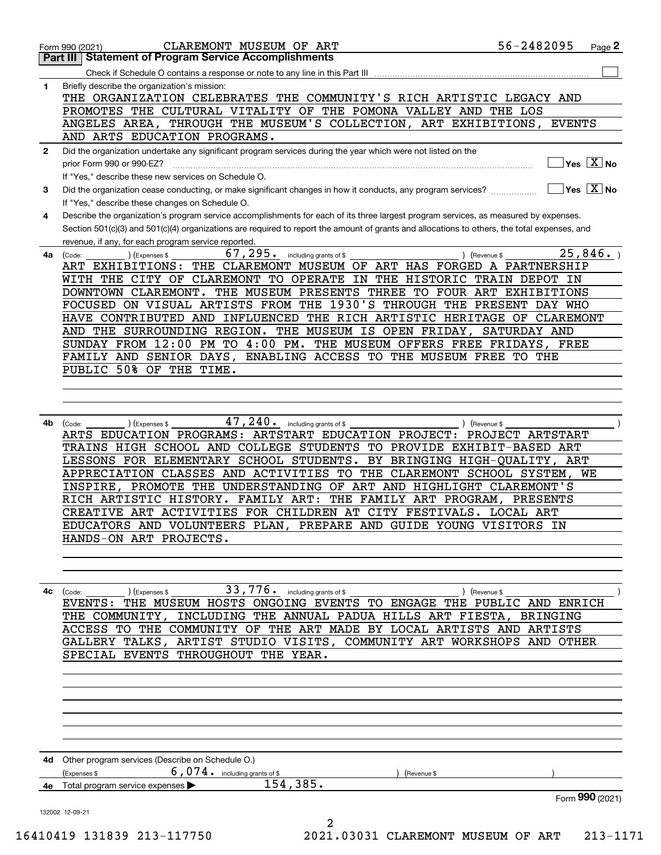|              | <b>Statement of Program Service Accomplishments</b><br>Part III I                                                                            | $Page$ 2                                                       |
|--------------|----------------------------------------------------------------------------------------------------------------------------------------------|----------------------------------------------------------------|
|              |                                                                                                                                              |                                                                |
| 1            | Briefly describe the organization's mission:                                                                                                 |                                                                |
|              | THE ORGANIZATION CELEBRATES THE COMMUNITY'S RICH ARTISTIC LEGACY AND                                                                         |                                                                |
|              | PROMOTES THE CULTURAL VITALITY OF THE POMONA VALLEY AND THE LOS                                                                              |                                                                |
|              |                                                                                                                                              |                                                                |
|              | ANGELES AREA, THROUGH THE MUSEUM'S COLLECTION, ART EXHIBITIONS, EVENTS                                                                       |                                                                |
|              | AND ARTS EDUCATION PROGRAMS.                                                                                                                 |                                                                |
| $\mathbf{2}$ | Did the organization undertake any significant program services during the year which were not listed on the                                 |                                                                |
|              | prior Form 990 or 990-EZ?                                                                                                                    | Yes $X$ No                                                     |
|              | If "Yes," describe these new services on Schedule O.                                                                                         |                                                                |
| 3            | Did the organization cease conducting, or make significant changes in how it conducts, any program services?                                 | $\overline{\mathsf{Yes}\mathrel{\hspace{0.05cm}\mathbf{X}}$ No |
|              | If "Yes," describe these changes on Schedule O.                                                                                              |                                                                |
| 4            | Describe the organization's program service accomplishments for each of its three largest program services, as measured by expenses.         |                                                                |
|              | Section 501(c)(3) and 501(c)(4) organizations are required to report the amount of grants and allocations to others, the total expenses, and |                                                                |
|              | revenue, if any, for each program service reported.                                                                                          |                                                                |
|              | $67, 295$ $_{\bullet}$ including grants of \$                                                                                                | 25,846.                                                        |
| 4a           | ) (Expenses \$<br>(Code:                                                                                                                     | ) (Revenue \$                                                  |
|              | THE CLAREMONT MUSEUM OF ART HAS FORGED A PARTNERSHIP<br>ART EXHIBITIONS:                                                                     |                                                                |
|              | WITH THE CITY OF CLAREMONT TO OPERATE IN THE HISTORIC TRAIN DEPOT IN                                                                         |                                                                |
|              | DOWNTOWN CLAREMONT. THE MUSEUM PRESENTS THREE TO FOUR ART EXHIBITIONS                                                                        |                                                                |
|              | FOCUSED ON VISUAL ARTISTS FROM THE 1930'S THROUGH THE PRESENT DAY WHO                                                                        |                                                                |
|              | HAVE CONTRIBUTED AND INFLUENCED THE RICH ARTISTIC HERITAGE OF CLAREMONT                                                                      |                                                                |
|              | AND THE SURROUNDING REGION. THE MUSEUM IS OPEN FRIDAY, SATURDAY AND                                                                          |                                                                |
|              | SUNDAY FROM 12:00 PM TO 4:00 PM. THE MUSEUM OFFERS FREE FRIDAYS, FREE                                                                        |                                                                |
|              | ENABLING ACCESS TO THE MUSEUM FREE TO THE<br>FAMILY AND SENIOR DAYS,                                                                         |                                                                |
|              | PUBLIC 50% OF THE TIME.                                                                                                                      |                                                                |
|              |                                                                                                                                              |                                                                |
|              |                                                                                                                                              |                                                                |
|              |                                                                                                                                              |                                                                |
|              |                                                                                                                                              |                                                                |
| 4b           | $47$ , $240$ $\cdot$ including grants of \$<br>(Expenses \$<br>(Code:                                                                        | ) (Revenue \$                                                  |
|              | ARTS EDUCATION PROGRAMS: ARTSTART EDUCATION PROJECT: PROJECT ARTSTART                                                                        |                                                                |
|              | TRAINS HIGH SCHOOL AND COLLEGE STUDENTS TO PROVIDE EXHIBIT-BASED ART                                                                         |                                                                |
|              | LESSONS FOR ELEMENTARY SCHOOL STUDENTS. BY BRINGING HIGH-QUALITY, ART                                                                        |                                                                |
|              | APPRECIATION CLASSES AND ACTIVITIES TO THE CLAREMONT SCHOOL SYSTEM,                                                                          | WE                                                             |
|              | INSPIRE, PROMOTE THE UNDERSTANDING OF ART AND HIGHLIGHT CLAREMONT'S                                                                          |                                                                |
|              | RICH ARTISTIC HISTORY. FAMILY ART: THE FAMILY ART PROGRAM, PRESENTS                                                                          |                                                                |
|              | CREATIVE ART ACTIVITIES FOR CHILDREN AT CITY FESTIVALS. LOCAL ART                                                                            |                                                                |
|              | EDUCATORS AND VOLUNTEERS PLAN, PREPARE AND GUIDE YOUNG VISITORS IN                                                                           |                                                                |
|              | HANDS-ON ART PROJECTS.                                                                                                                       |                                                                |
|              |                                                                                                                                              |                                                                |
|              |                                                                                                                                              |                                                                |
|              |                                                                                                                                              |                                                                |
|              |                                                                                                                                              |                                                                |
| 4с           | 33,776.<br>) (Expenses \$<br>including grants of \$<br>(Code:                                                                                | ) (Revenue \$                                                  |
|              | THE MUSEUM HOSTS ONGOING EVENTS TO ENGAGE THE PUBLIC AND ENRICH<br>EVENTS :                                                                  |                                                                |
|              | INCLUDING THE ANNUAL PADUA HILLS ART FIESTA,<br>THE COMMUNITY,                                                                               | BRINGING                                                       |
|              | THE COMMUNITY OF THE ART MADE BY LOCAL ARTISTS AND ARTISTS<br>ACCESS TO                                                                      |                                                                |
|              | ARTIST STUDIO VISITS, COMMUNITY ART WORKSHOPS AND OTHER<br>GALLERY TALKS,                                                                    |                                                                |
|              | SPECIAL EVENTS THROUGHOUT THE YEAR.                                                                                                          |                                                                |
|              |                                                                                                                                              |                                                                |
|              |                                                                                                                                              |                                                                |
|              |                                                                                                                                              |                                                                |
|              |                                                                                                                                              |                                                                |
|              |                                                                                                                                              |                                                                |
|              |                                                                                                                                              |                                                                |
|              |                                                                                                                                              |                                                                |
|              | 4d Other program services (Describe on Schedule O.)                                                                                          |                                                                |
|              | $6,074$ . including grants of \$<br>(Expenses \$                                                                                             |                                                                |
|              | (Revenue \$<br>154,385.                                                                                                                      |                                                                |
|              |                                                                                                                                              |                                                                |
| 4е           | Total program service expenses                                                                                                               | Form 990 (2021)                                                |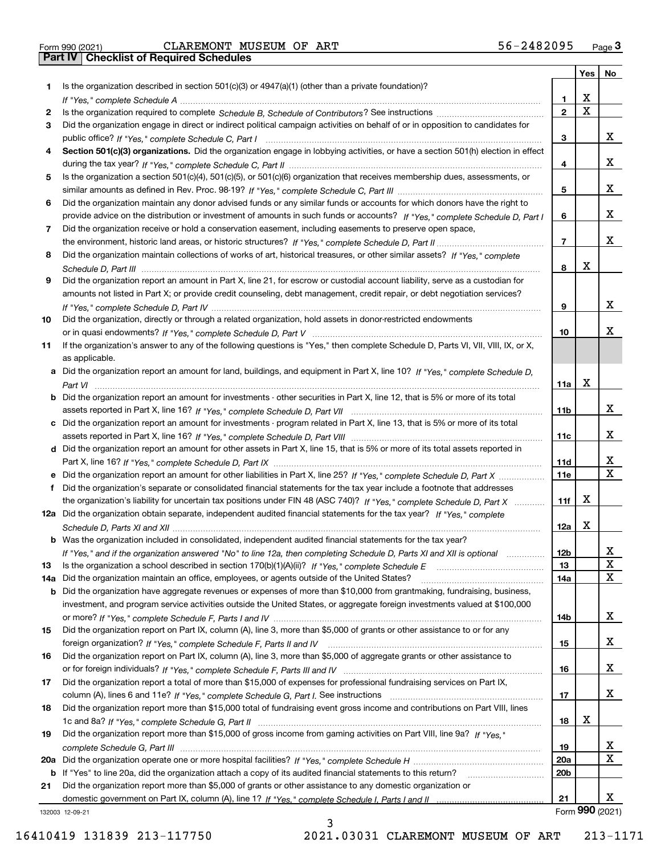|  | Form 990 (2021) |
|--|-----------------|

|     |                                                                                                                                       |                 | Yes                     | No                      |
|-----|---------------------------------------------------------------------------------------------------------------------------------------|-----------------|-------------------------|-------------------------|
| 1.  | Is the organization described in section $501(c)(3)$ or $4947(a)(1)$ (other than a private foundation)?                               |                 |                         |                         |
|     |                                                                                                                                       | 1               | X                       |                         |
| 2   |                                                                                                                                       | $\overline{2}$  | $\overline{\mathbf{x}}$ |                         |
| 3   | Did the organization engage in direct or indirect political campaign activities on behalf of or in opposition to candidates for       |                 |                         |                         |
|     |                                                                                                                                       | 3               |                         | x                       |
| 4   | Section 501(c)(3) organizations. Did the organization engage in lobbying activities, or have a section 501(h) election in effect      |                 |                         |                         |
|     |                                                                                                                                       | 4               |                         | x                       |
| 5   | Is the organization a section 501(c)(4), 501(c)(5), or 501(c)(6) organization that receives membership dues, assessments, or          |                 |                         |                         |
|     |                                                                                                                                       | 5               |                         | x                       |
| 6   | Did the organization maintain any donor advised funds or any similar funds or accounts for which donors have the right to             |                 |                         |                         |
|     | provide advice on the distribution or investment of amounts in such funds or accounts? If "Yes," complete Schedule D, Part I          | 6               |                         | X.                      |
| 7   | Did the organization receive or hold a conservation easement, including easements to preserve open space,                             |                 |                         |                         |
|     |                                                                                                                                       | $\overline{7}$  |                         | X.                      |
| 8   | Did the organization maintain collections of works of art, historical treasures, or other similar assets? If "Yes," complete          |                 | X                       |                         |
|     |                                                                                                                                       | 8               |                         |                         |
| 9   | Did the organization report an amount in Part X, line 21, for escrow or custodial account liability, serve as a custodian for         |                 |                         |                         |
|     | amounts not listed in Part X; or provide credit counseling, debt management, credit repair, or debt negotiation services?             | 9               |                         | X.                      |
| 10  | Did the organization, directly or through a related organization, hold assets in donor-restricted endowments                          |                 |                         |                         |
|     |                                                                                                                                       | 10              |                         | x                       |
| 11  | If the organization's answer to any of the following questions is "Yes," then complete Schedule D, Parts VI, VII, VIII, IX, or X,     |                 |                         |                         |
|     | as applicable.                                                                                                                        |                 |                         |                         |
|     | a Did the organization report an amount for land, buildings, and equipment in Part X, line 10? If "Yes," complete Schedule D,         |                 |                         |                         |
|     | Part VI                                                                                                                               | 11a             | X                       |                         |
|     | <b>b</b> Did the organization report an amount for investments - other securities in Part X, line 12, that is 5% or more of its total |                 |                         |                         |
|     |                                                                                                                                       | 11b             |                         | x                       |
|     | c Did the organization report an amount for investments - program related in Part X, line 13, that is 5% or more of its total         |                 |                         |                         |
|     |                                                                                                                                       | 11c             |                         | X.                      |
|     | d Did the organization report an amount for other assets in Part X, line 15, that is 5% or more of its total assets reported in       |                 |                         |                         |
|     |                                                                                                                                       | 11d             |                         | х                       |
|     | e Did the organization report an amount for other liabilities in Part X, line 25? If "Yes," complete Schedule D, Part X               | 11e             |                         | $\overline{\mathbf{x}}$ |
| f   | Did the organization's separate or consolidated financial statements for the tax year include a footnote that addresses               |                 |                         |                         |
|     | the organization's liability for uncertain tax positions under FIN 48 (ASC 740)? If "Yes," complete Schedule D, Part X                | 11f             | X                       |                         |
|     | 12a Did the organization obtain separate, independent audited financial statements for the tax year? If "Yes," complete               |                 |                         |                         |
|     |                                                                                                                                       | 12a             | X                       |                         |
|     | <b>b</b> Was the organization included in consolidated, independent audited financial statements for the tax year?                    |                 |                         |                         |
|     | If "Yes," and if the organization answered "No" to line 12a, then completing Schedule D, Parts XI and XII is optional                 | 12b             |                         | A                       |
| 13  |                                                                                                                                       | 13              |                         | X                       |
| 14a | Did the organization maintain an office, employees, or agents outside of the United States?                                           | 14a             |                         | X                       |
|     | b Did the organization have aggregate revenues or expenses of more than \$10,000 from grantmaking, fundraising, business,             |                 |                         |                         |
|     | investment, and program service activities outside the United States, or aggregate foreign investments valued at \$100,000            |                 |                         |                         |
|     |                                                                                                                                       | 14b             |                         | x                       |
| 15  | Did the organization report on Part IX, column (A), line 3, more than \$5,000 of grants or other assistance to or for any             |                 |                         | x                       |
| 16  | Did the organization report on Part IX, column (A), line 3, more than \$5,000 of aggregate grants or other assistance to              | 15              |                         |                         |
|     |                                                                                                                                       | 16              |                         | x                       |
| 17  | Did the organization report a total of more than \$15,000 of expenses for professional fundraising services on Part IX,               |                 |                         |                         |
|     |                                                                                                                                       | 17              |                         | x                       |
| 18  | Did the organization report more than \$15,000 total of fundraising event gross income and contributions on Part VIII, lines          |                 |                         |                         |
|     |                                                                                                                                       | 18              | х                       |                         |
| 19  | Did the organization report more than \$15,000 of gross income from gaming activities on Part VIII, line 9a? If "Yes."                |                 |                         |                         |
|     |                                                                                                                                       | 19              |                         | X                       |
|     |                                                                                                                                       | 20a             |                         | х                       |
|     | b If "Yes" to line 20a, did the organization attach a copy of its audited financial statements to this return?                        | 20 <sub>b</sub> |                         |                         |
| 21  | Did the organization report more than \$5,000 of grants or other assistance to any domestic organization or                           |                 |                         |                         |
|     |                                                                                                                                       | 21              |                         | X.                      |
|     | 132003 12-09-21                                                                                                                       |                 | Form 990 (2021)         |                         |

3

132003 12-09-21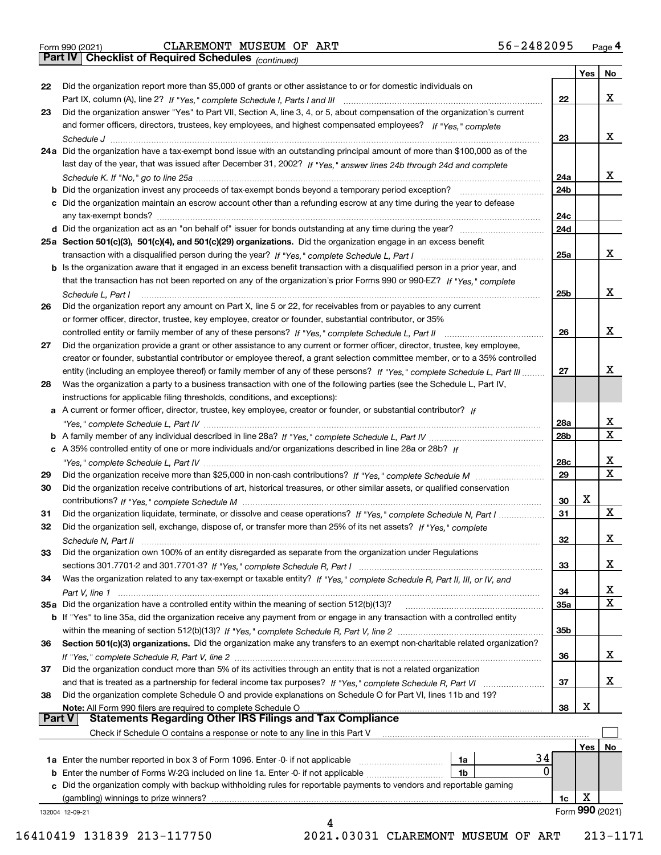|  | Form 990 (2021) |
|--|-----------------|

*(continued)*

|               |                                                                                                                              |                 | Yes | No                      |
|---------------|------------------------------------------------------------------------------------------------------------------------------|-----------------|-----|-------------------------|
| 22            | Did the organization report more than \$5,000 of grants or other assistance to or for domestic individuals on                |                 |     |                         |
|               |                                                                                                                              | 22              |     | x                       |
| 23            | Did the organization answer "Yes" to Part VII, Section A, line 3, 4, or 5, about compensation of the organization's current  |                 |     |                         |
|               | and former officers, directors, trustees, key employees, and highest compensated employees? If "Yes," complete               |                 |     |                         |
|               |                                                                                                                              | 23              |     | x                       |
|               | 24a Did the organization have a tax-exempt bond issue with an outstanding principal amount of more than \$100,000 as of the  |                 |     |                         |
|               | last day of the year, that was issued after December 31, 2002? If "Yes," answer lines 24b through 24d and complete           |                 |     |                         |
|               |                                                                                                                              | 24a             |     | x                       |
|               |                                                                                                                              |                 |     |                         |
|               | b Did the organization invest any proceeds of tax-exempt bonds beyond a temporary period exception?                          | 24b             |     |                         |
|               | c Did the organization maintain an escrow account other than a refunding escrow at any time during the year to defease       |                 |     |                         |
|               | any tax-exempt bonds?                                                                                                        | 24c             |     |                         |
|               |                                                                                                                              | 24d             |     |                         |
|               | 25a Section 501(c)(3), 501(c)(4), and 501(c)(29) organizations. Did the organization engage in an excess benefit             |                 |     |                         |
|               |                                                                                                                              | 25a             |     | x                       |
|               | b Is the organization aware that it engaged in an excess benefit transaction with a disqualified person in a prior year, and |                 |     |                         |
|               | that the transaction has not been reported on any of the organization's prior Forms 990 or 990-EZ? If "Yes," complete        |                 |     |                         |
|               | Schedule L. Part I                                                                                                           | 25b             |     | x                       |
| 26            | Did the organization report any amount on Part X, line 5 or 22, for receivables from or payables to any current              |                 |     |                         |
|               | or former officer, director, trustee, key employee, creator or founder, substantial contributor, or 35%                      |                 |     |                         |
|               |                                                                                                                              | 26              |     | x                       |
| 27            | Did the organization provide a grant or other assistance to any current or former officer, director, trustee, key employee,  |                 |     |                         |
|               | creator or founder, substantial contributor or employee thereof, a grant selection committee member, or to a 35% controlled  |                 |     |                         |
|               |                                                                                                                              |                 |     | x                       |
|               | entity (including an employee thereof) or family member of any of these persons? If "Yes," complete Schedule L, Part III     | 27              |     |                         |
| 28            | Was the organization a party to a business transaction with one of the following parties (see the Schedule L, Part IV,       |                 |     |                         |
|               | instructions for applicable filing thresholds, conditions, and exceptions):                                                  |                 |     |                         |
|               | a A current or former officer, director, trustee, key employee, creator or founder, or substantial contributor? If           |                 |     |                         |
|               |                                                                                                                              | 28a             |     | х                       |
|               |                                                                                                                              | 28 <sub>b</sub> |     | Χ                       |
|               | c A 35% controlled entity of one or more individuals and/or organizations described in line 28a or 28b? If                   |                 |     |                         |
|               |                                                                                                                              | 28c             |     | x                       |
| 29            |                                                                                                                              | 29              |     | $\overline{\mathbf{x}}$ |
| 30            | Did the organization receive contributions of art, historical treasures, or other similar assets, or qualified conservation  |                 |     |                         |
|               |                                                                                                                              | 30              | X   |                         |
| 31            | Did the organization liquidate, terminate, or dissolve and cease operations? If "Yes," complete Schedule N, Part I           | 31              |     | X                       |
| 32            | Did the organization sell, exchange, dispose of, or transfer more than 25% of its net assets? If "Yes," complete             |                 |     |                         |
|               | Schedule N, Part II                                                                                                          | 32              |     | х                       |
| 33            | Did the organization own 100% of an entity disregarded as separate from the organization under Regulations                   |                 |     |                         |
|               |                                                                                                                              | 33              |     | х                       |
|               |                                                                                                                              |                 |     |                         |
| 34            | Was the organization related to any tax-exempt or taxable entity? If "Yes," complete Schedule R, Part II, III, or IV, and    |                 |     |                         |
|               |                                                                                                                              | 34              |     | X                       |
|               | 35a Did the organization have a controlled entity within the meaning of section 512(b)(13)?                                  | 35a             |     | х                       |
|               | b If "Yes" to line 35a, did the organization receive any payment from or engage in any transaction with a controlled entity  |                 |     |                         |
|               |                                                                                                                              | 35 <sub>b</sub> |     |                         |
| 36            | Section 501(c)(3) organizations. Did the organization make any transfers to an exempt non-charitable related organization?   |                 |     |                         |
|               |                                                                                                                              | 36              |     | x                       |
| 37            | Did the organization conduct more than 5% of its activities through an entity that is not a related organization             |                 |     |                         |
|               |                                                                                                                              | 37              |     | x                       |
| 38            | Did the organization complete Schedule O and provide explanations on Schedule O for Part VI, lines 11b and 19?               |                 |     |                         |
|               | Note: All Form 990 filers are required to complete Schedule O                                                                | 38              | X   |                         |
| <b>Part V</b> | <b>Statements Regarding Other IRS Filings and Tax Compliance</b>                                                             |                 |     |                         |
|               | Check if Schedule O contains a response or note to any line in this Part V                                                   |                 |     |                         |
|               |                                                                                                                              |                 | Yes | No                      |
|               | 34<br><b>1a</b> Enter the number reported in box 3 of Form 1096. Enter 0 if not applicable <i>mummumumum</i><br>1a           |                 |     |                         |
|               | 0<br>1b                                                                                                                      |                 |     |                         |
|               | c Did the organization comply with backup withholding rules for reportable payments to vendors and reportable gaming         |                 |     |                         |
|               |                                                                                                                              |                 |     |                         |
|               | (gambling) winnings to prize winners?                                                                                        | 1c              | х   |                         |
|               | 132004 12-09-21                                                                                                              |                 |     | Form 990 (2021)         |
|               |                                                                                                                              |                 |     |                         |

 <sup>16410419 131839 213-117750 2021.03031</sup> CLAREMONT MUSEUM OF ART 213-1171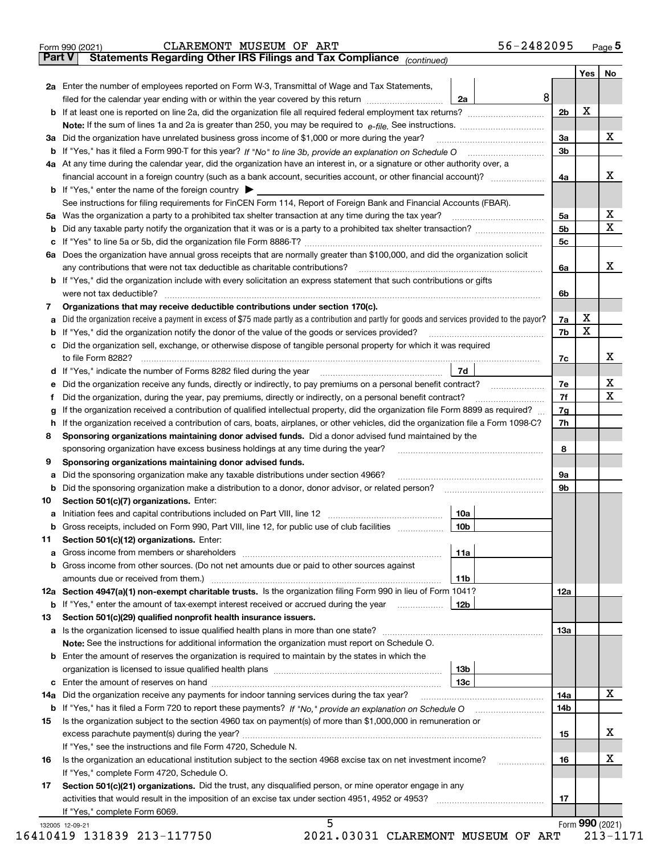|        | 56-2482095<br>CLAREMONT MUSEUM OF ART<br>Form 990 (2021)                                                                                        |                |     | $_{\text{Page}}$ 5 |
|--------|-------------------------------------------------------------------------------------------------------------------------------------------------|----------------|-----|--------------------|
| Part V | Statements Regarding Other IRS Filings and Tax Compliance (continued)                                                                           |                |     |                    |
|        |                                                                                                                                                 |                | Yes | No                 |
|        | 2a Enter the number of employees reported on Form W-3, Transmittal of Wage and Tax Statements,                                                  |                |     |                    |
|        | filed for the calendar year ending with or within the year covered by this return www.communition<br>2a                                         | 8              |     |                    |
|        |                                                                                                                                                 | 2 <sub>b</sub> | X   |                    |
|        |                                                                                                                                                 |                |     |                    |
| За     | Did the organization have unrelated business gross income of \$1,000 or more during the year?                                                   | 3a             |     | х                  |
|        |                                                                                                                                                 | 3b             |     |                    |
|        | 4a At any time during the calendar year, did the organization have an interest in, or a signature or other authority over, a                    |                |     |                    |
|        |                                                                                                                                                 | 4a             |     | х                  |
|        | <b>b</b> If "Yes," enter the name of the foreign country $\blacktriangleright$                                                                  |                |     |                    |
|        |                                                                                                                                                 |                |     |                    |
|        | See instructions for filing requirements for FinCEN Form 114, Report of Foreign Bank and Financial Accounts (FBAR).                             |                |     | х                  |
|        | 5a Was the organization a party to a prohibited tax shelter transaction at any time during the tax year?                                        | 5a             |     |                    |
| b      |                                                                                                                                                 | 5b             |     | Χ                  |
| c      |                                                                                                                                                 | 5c             |     |                    |
|        | 6a Does the organization have annual gross receipts that are normally greater than \$100,000, and did the organization solicit                  |                |     |                    |
|        | any contributions that were not tax deductible as charitable contributions?                                                                     | 6a             |     | х                  |
|        | <b>b</b> If "Yes," did the organization include with every solicitation an express statement that such contributions or gifts                   |                |     |                    |
|        | were not tax deductible?                                                                                                                        | 6b             |     |                    |
| 7      | Organizations that may receive deductible contributions under section 170(c).                                                                   |                |     |                    |
| а      | Did the organization receive a payment in excess of \$75 made partly as a contribution and partly for goods and services provided to the payor? | 7a             | х   |                    |
| b      | If "Yes," did the organization notify the donor of the value of the goods or services provided?                                                 | 7b             | X   |                    |
| с      | Did the organization sell, exchange, or otherwise dispose of tangible personal property for which it was required                               |                |     |                    |
|        |                                                                                                                                                 | 7c             |     | х                  |
| d      | 7d                                                                                                                                              |                |     |                    |
| е      |                                                                                                                                                 | 7e             |     | х                  |
| f      | Did the organization, during the year, pay premiums, directly or indirectly, on a personal benefit contract?                                    | 7f             |     | Χ                  |
| g      | If the organization received a contribution of qualified intellectual property, did the organization file Form 8899 as required?                | 7g             |     |                    |
|        | If the organization received a contribution of cars, boats, airplanes, or other vehicles, did the organization file a Form 1098-C?              | 7h             |     |                    |
| h      |                                                                                                                                                 |                |     |                    |
| 8      | Sponsoring organizations maintaining donor advised funds. Did a donor advised fund maintained by the                                            |                |     |                    |
|        | sponsoring organization have excess business holdings at any time during the year?                                                              | 8              |     |                    |
| 9      | Sponsoring organizations maintaining donor advised funds.                                                                                       |                |     |                    |
| а      | Did the sponsoring organization make any taxable distributions under section 4966?                                                              | 9а             |     |                    |
| b      | Did the sponsoring organization make a distribution to a donor, donor advisor, or related person?                                               | 9b             |     |                    |
| 10     | Section 501(c)(7) organizations. Enter:                                                                                                         |                |     |                    |
|        | 10a                                                                                                                                             |                |     |                    |
|        | 10 <sub>b</sub>  <br>Gross receipts, included on Form 990, Part VIII, line 12, for public use of club facilities                                |                |     |                    |
| 11     | Section 501(c)(12) organizations. Enter:                                                                                                        |                |     |                    |
| а      | 11a                                                                                                                                             |                |     |                    |
| b      | Gross income from other sources. (Do not net amounts due or paid to other sources against                                                       |                |     |                    |
|        | 11b                                                                                                                                             |                |     |                    |
|        | 12a Section 4947(a)(1) non-exempt charitable trusts. Is the organization filing Form 990 in lieu of Form 1041?                                  | 12a            |     |                    |
|        | 12b<br><b>b</b> If "Yes," enter the amount of tax-exempt interest received or accrued during the year <i>manument</i> of                        |                |     |                    |
| 13     | Section 501(c)(29) qualified nonprofit health insurance issuers.                                                                                |                |     |                    |
|        | a Is the organization licensed to issue qualified health plans in more than one state?                                                          | 13a            |     |                    |
|        | Note: See the instructions for additional information the organization must report on Schedule O.                                               |                |     |                    |
| b      | Enter the amount of reserves the organization is required to maintain by the states in which the                                                |                |     |                    |
|        | 13b                                                                                                                                             |                |     |                    |
|        | 13с                                                                                                                                             |                |     |                    |
|        |                                                                                                                                                 |                |     | x                  |
| 14a    | Did the organization receive any payments for indoor tanning services during the tax year?                                                      | 14a            |     |                    |
|        | <b>b</b> If "Yes," has it filed a Form 720 to report these payments? If "No," provide an explanation on Schedule O                              | 14b            |     |                    |
| 15     | Is the organization subject to the section 4960 tax on payment(s) of more than \$1,000,000 in remuneration or                                   |                |     |                    |
|        |                                                                                                                                                 | 15             |     | х                  |
|        | If "Yes," see the instructions and file Form 4720, Schedule N.                                                                                  |                |     |                    |
| 16     | Is the organization an educational institution subject to the section 4968 excise tax on net investment income?                                 | 16             |     | х                  |
|        | If "Yes," complete Form 4720, Schedule O.                                                                                                       |                |     |                    |
| 17     | Section 501(c)(21) organizations. Did the trust, any disqualified person, or mine operator engage in any                                        |                |     |                    |
|        | activities that would result in the imposition of an excise tax under section 4951, 4952 or 4953?                                               | 17             |     |                    |
|        | If "Yes," complete Form 6069.                                                                                                                   |                |     |                    |
|        | 5<br>132005 12-09-21                                                                                                                            |                |     | Form 990 (2021)    |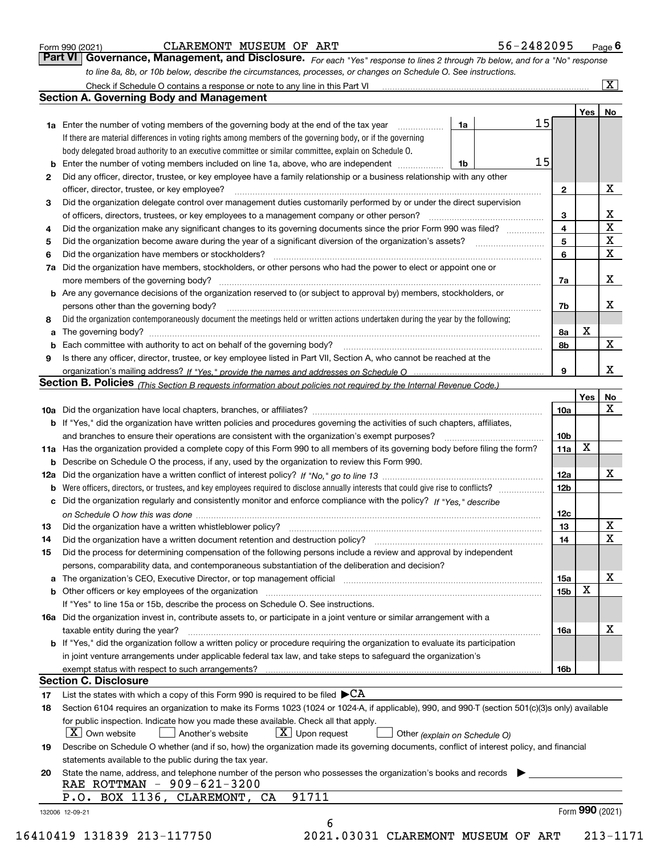|  | Form 990 (2021) |
|--|-----------------|
|  |                 |

# CLAREMONT MUSEUM OF ART 5

| 56-2482095<br>Page ' |
|----------------------|
|----------------------|

*For each "Yes" response to lines 2 through 7b below, and for a "No" response to line 8a, 8b, or 10b below, describe the circumstances, processes, or changes on Schedule O. See instructions.* Form 990 (2021) **CLAREMONT MUSEUM OF ART**<br>**Part VI Governance, Management, and Disclosure.** For each "Yes" response to lines 2 through 7b below, and for a "No" response Check if Schedule O contains a response or note to any line in this Part VI

|        |                                                                                                                                                                         |    |    |                         | Yes <sub>1</sub> | No                           |
|--------|-------------------------------------------------------------------------------------------------------------------------------------------------------------------------|----|----|-------------------------|------------------|------------------------------|
|        | 1a Enter the number of voting members of the governing body at the end of the tax year                                                                                  | 1a | 15 |                         |                  |                              |
|        | If there are material differences in voting rights among members of the governing body, or if the governing                                                             |    |    |                         |                  |                              |
|        | body delegated broad authority to an executive committee or similar committee, explain on Schedule O.                                                                   |    |    |                         |                  |                              |
| b      | Enter the number of voting members included on line 1a, above, who are independent                                                                                      | 1b | 15 |                         |                  |                              |
| 2      | Did any officer, director, trustee, or key employee have a family relationship or a business relationship with any other                                                |    |    |                         |                  |                              |
|        | officer, director, trustee, or key employee?                                                                                                                            |    |    | $\mathbf{2}$            |                  | X                            |
| З      | Did the organization delegate control over management duties customarily performed by or under the direct supervision                                                   |    |    |                         |                  |                              |
|        | of officers, directors, trustees, or key employees to a management company or other person?                                                                             |    |    | 3                       |                  | X<br>$\overline{\mathbf{x}}$ |
| 4      | Did the organization make any significant changes to its governing documents since the prior Form 990 was filed?                                                        |    |    | $\overline{\mathbf{4}}$ |                  |                              |
| 5      |                                                                                                                                                                         |    |    | 5                       |                  | $\overline{\mathbf{x}}$      |
| 6      | Did the organization have members or stockholders?                                                                                                                      |    |    | 6                       |                  | $\mathbf X$                  |
| 7a     | Did the organization have members, stockholders, or other persons who had the power to elect or appoint one or                                                          |    |    |                         |                  |                              |
|        |                                                                                                                                                                         |    |    | 7a                      |                  | X                            |
|        | <b>b</b> Are any governance decisions of the organization reserved to (or subject to approval by) members, stockholders, or                                             |    |    |                         |                  |                              |
|        | persons other than the governing body?                                                                                                                                  |    |    | 7b                      |                  | х                            |
| 8<br>a | Did the organization contemporaneously document the meetings held or written actions undertaken during the year by the following:                                       |    |    | 8а                      | х                |                              |
| b      |                                                                                                                                                                         |    |    | 8b                      |                  | X                            |
| 9      | Is there any officer, director, trustee, or key employee listed in Part VII, Section A, who cannot be reached at the                                                    |    |    |                         |                  |                              |
|        |                                                                                                                                                                         |    |    | 9                       |                  | X                            |
|        | Section B. Policies (This Section B requests information about policies not required by the Internal Revenue Code.)                                                     |    |    |                         |                  |                              |
|        |                                                                                                                                                                         |    |    |                         | Yes              | No                           |
|        |                                                                                                                                                                         |    |    | 10a                     |                  | X                            |
|        | <b>b</b> If "Yes," did the organization have written policies and procedures governing the activities of such chapters, affiliates,                                     |    |    |                         |                  |                              |
|        |                                                                                                                                                                         |    |    | 10 <sub>b</sub>         |                  |                              |
|        | 11a Has the organization provided a complete copy of this Form 990 to all members of its governing body before filing the form?                                         |    |    | 11a                     | X                |                              |
|        | <b>b</b> Describe on Schedule O the process, if any, used by the organization to review this Form 990.                                                                  |    |    |                         |                  |                              |
|        |                                                                                                                                                                         |    |    | 12a                     |                  | X                            |
|        |                                                                                                                                                                         |    |    | 12 <sub>b</sub>         |                  |                              |
|        | c Did the organization regularly and consistently monitor and enforce compliance with the policy? If "Yes," describe                                                    |    |    |                         |                  |                              |
|        |                                                                                                                                                                         |    |    | 12c                     |                  |                              |
| 13     |                                                                                                                                                                         |    |    | 13                      |                  | X                            |
| 14     |                                                                                                                                                                         |    |    | 14                      |                  | X                            |
| 15     | Did the process for determining compensation of the following persons include a review and approval by independent                                                      |    |    |                         |                  |                              |
|        | persons, comparability data, and contemporaneous substantiation of the deliberation and decision?                                                                       |    |    |                         |                  |                              |
|        | a The organization's CEO, Executive Director, or top management official manufactured content of the organization's CEO, Executive Director, or top management official |    |    | 15a                     |                  | X                            |
|        |                                                                                                                                                                         |    |    | 15 <sub>b</sub>         | X                |                              |
|        | If "Yes" to line 15a or 15b, describe the process on Schedule O. See instructions.                                                                                      |    |    |                         |                  |                              |
|        | 16a Did the organization invest in, contribute assets to, or participate in a joint venture or similar arrangement with a                                               |    |    |                         |                  |                              |
|        | taxable entity during the year?                                                                                                                                         |    |    | 16a                     |                  | X                            |
|        | b If "Yes," did the organization follow a written policy or procedure requiring the organization to evaluate its participation                                          |    |    |                         |                  |                              |
|        | in joint venture arrangements under applicable federal tax law, and take steps to safeguard the organization's                                                          |    |    |                         |                  |                              |
|        | exempt status with respect to such arrangements?                                                                                                                        |    |    | 16b                     |                  |                              |
|        | <b>Section C. Disclosure</b>                                                                                                                                            |    |    |                         |                  |                              |
| 17     | List the states with which a copy of this Form 990 is required to be filed $\blacktriangleright$ CA                                                                     |    |    |                         |                  |                              |
| 18     | Section 6104 requires an organization to make its Forms 1023 (1024 or 1024-A, if applicable), 990, and 990-T (section 501(c)(3)s only) available                        |    |    |                         |                  |                              |
|        | for public inspection. Indicate how you made these available. Check all that apply.                                                                                     |    |    |                         |                  |                              |
|        | $X$ Upon request<br>$\mid$ $\rm X\mid$ Own website<br>Another's website<br>Other (explain on Schedule O)                                                                |    |    |                         |                  |                              |
| 19     | Describe on Schedule O whether (and if so, how) the organization made its governing documents, conflict of interest policy, and financial                               |    |    |                         |                  |                              |
|        | statements available to the public during the tax year.                                                                                                                 |    |    |                         |                  |                              |
| 20     | State the name, address, and telephone number of the person who possesses the organization's books and records                                                          |    |    |                         |                  |                              |
|        | RAE ROTTMAN - 909-621-3200                                                                                                                                              |    |    |                         |                  |                              |
|        | 91711<br>P.O. BOX 1136, CLAREMONT, CA                                                                                                                                   |    |    |                         |                  |                              |
|        | 132006 12-09-21                                                                                                                                                         |    |    |                         | Form 990 (2021)  |                              |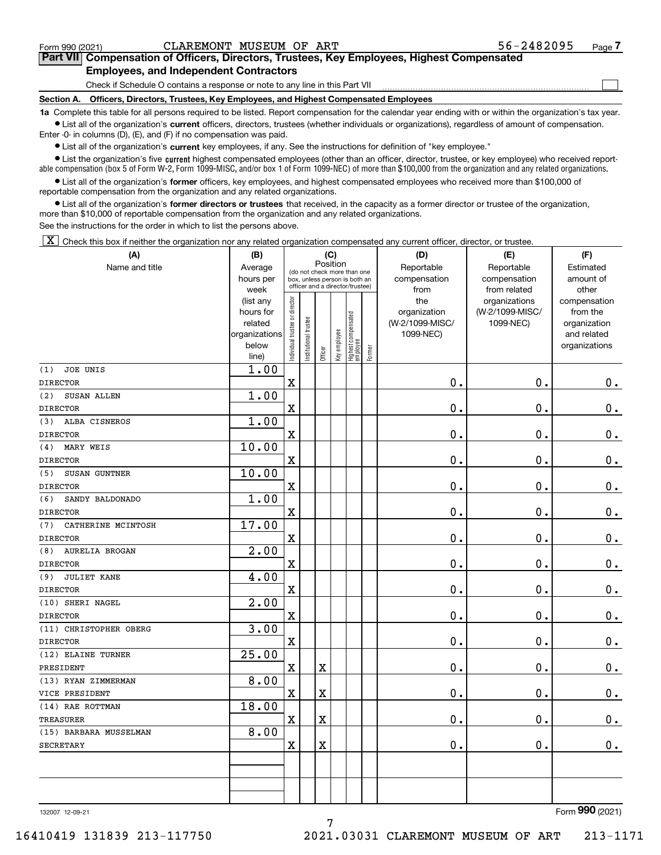$\mathcal{L}^{\text{max}}$ 

# **7Part VII Compensation of Officers, Directors, Trustees, Key Employees, Highest Compensated Employees, and Independent Contractors**

Check if Schedule O contains a response or note to any line in this Part VII

**Section A. Officers, Directors, Trustees, Key Employees, and Highest Compensated Employees**

**1a**  Complete this table for all persons required to be listed. Report compensation for the calendar year ending with or within the organization's tax year. **•** List all of the organization's current officers, directors, trustees (whether individuals or organizations), regardless of amount of compensation.

Enter -0- in columns (D), (E), and (F) if no compensation was paid.

 $\bullet$  List all of the organization's  $\sf current$  key employees, if any. See the instructions for definition of "key employee."

**•** List the organization's five current highest compensated employees (other than an officer, director, trustee, or key employee) who received reportable compensation (box 5 of Form W-2, Form 1099-MISC, and/or box 1 of Form 1099-NEC) of more than \$100,000 from the organization and any related organizations.

**•** List all of the organization's former officers, key employees, and highest compensated employees who received more than \$100,000 of reportable compensation from the organization and any related organizations.

**former directors or trustees**  ¥ List all of the organization's that received, in the capacity as a former director or trustee of the organization, more than \$10,000 of reportable compensation from the organization and any related organizations.

See the instructions for the order in which to list the persons above.

 $\boxed{\textbf{X}}$  Check this box if neither the organization nor any related organization compensated any current officer, director, or trustee.

| (A)                          | (B)                    | (C)                                                                                             |                      |                         |              |                                 |        | (D)             | (E)             | (F)           |
|------------------------------|------------------------|-------------------------------------------------------------------------------------------------|----------------------|-------------------------|--------------|---------------------------------|--------|-----------------|-----------------|---------------|
| Name and title               | Average                |                                                                                                 |                      | Position                |              |                                 |        | Reportable      | Reportable      | Estimated     |
|                              | hours per              | (do not check more than one<br>box, unless person is both an<br>officer and a director/trustee) |                      |                         |              |                                 |        | compensation    | compensation    | amount of     |
|                              | week                   |                                                                                                 |                      |                         |              |                                 |        | from            | from related    | other         |
|                              | (list any              |                                                                                                 |                      |                         |              |                                 |        | the             | organizations   | compensation  |
|                              | hours for              |                                                                                                 |                      |                         |              |                                 |        | organization    | (W-2/1099-MISC/ | from the      |
|                              | related                |                                                                                                 |                      |                         |              |                                 |        | (W-2/1099-MISC/ | 1099-NEC)       | organization  |
|                              | organizations<br>below |                                                                                                 |                      |                         |              |                                 |        | 1099-NEC)       |                 | and related   |
|                              | line)                  | ndividual trustee or director                                                                   | nstitutional trustee | Officer                 | Key employee | Highest compensated<br>employee | Former |                 |                 | organizations |
| JOE UNIS<br>(1)              | 1.00                   |                                                                                                 |                      |                         |              |                                 |        |                 |                 |               |
| <b>DIRECTOR</b>              |                        | $\mathbf x$                                                                                     |                      |                         |              |                                 |        | $0$ .           | 0.              | $\mathbf 0$ . |
| SUSAN ALLEN<br>(2)           | 1.00                   |                                                                                                 |                      |                         |              |                                 |        |                 |                 |               |
| <b>DIRECTOR</b>              |                        | $\mathbf x$                                                                                     |                      |                         |              |                                 |        | 0.              | 0.              | $\mathbf 0$ . |
| ALBA CISNEROS<br>(3)         | 1.00                   |                                                                                                 |                      |                         |              |                                 |        |                 |                 |               |
| <b>DIRECTOR</b>              |                        | $\overline{\mathbf{X}}$                                                                         |                      |                         |              |                                 |        | $0$ .           | $\mathbf 0$ .   | $0$ .         |
| MARY WEIS<br>(4)             | 10.00                  |                                                                                                 |                      |                         |              |                                 |        |                 |                 |               |
| <b>DIRECTOR</b>              |                        | $\mathbf X$                                                                                     |                      |                         |              |                                 |        | $0$ .           | 0.              | $0_{.}$       |
| SUSAN GUNTNER<br>(5)         | 10.00                  |                                                                                                 |                      |                         |              |                                 |        |                 |                 |               |
| <b>DIRECTOR</b>              |                        | $\mathbf x$                                                                                     |                      |                         |              |                                 |        | $0$ .           | 0.              | $\mathbf 0$ . |
| SANDY BALDONADO<br>(6)       | 1.00                   |                                                                                                 |                      |                         |              |                                 |        |                 |                 |               |
| <b>DIRECTOR</b>              |                        | $\mathbf x$                                                                                     |                      |                         |              |                                 |        | $0$ .           | 0.              | $\mathbf 0$ . |
| (7)<br>CATHERINE MCINTOSH    | 17.00                  |                                                                                                 |                      |                         |              |                                 |        |                 |                 |               |
| <b>DIRECTOR</b>              |                        | $\mathbf x$                                                                                     |                      |                         |              |                                 |        | 0.              | $\mathbf 0$ .   | $0$ .         |
| <b>AURELIA BROGAN</b><br>(8) | 2.00                   |                                                                                                 |                      |                         |              |                                 |        |                 |                 |               |
| <b>DIRECTOR</b>              |                        | $\mathbf X$                                                                                     |                      |                         |              |                                 |        | 0.              | 0.              | $\mathbf 0$ . |
| <b>JULIET KANE</b><br>(9)    | 4.00                   |                                                                                                 |                      |                         |              |                                 |        |                 |                 |               |
| <b>DIRECTOR</b>              |                        | $\mathbf x$                                                                                     |                      |                         |              |                                 |        | 0.              | $\mathbf 0$ .   | $\mathbf 0$ . |
| (10) SHERI NAGEL             | $\overline{2.00}$      |                                                                                                 |                      |                         |              |                                 |        |                 |                 |               |
| <b>DIRECTOR</b>              |                        | $\mathbf X$                                                                                     |                      |                         |              |                                 |        | $0$ .           | $\mathbf 0$ .   | $\mathbf 0$ . |
| (11) CHRISTOPHER OBERG       | 3.00                   |                                                                                                 |                      |                         |              |                                 |        |                 |                 |               |
| <b>DIRECTOR</b>              |                        | $\mathbf X$                                                                                     |                      |                         |              |                                 |        | 0.              | $\mathbf 0$ .   | $\mathbf 0$ . |
| (12) ELAINE TURNER           | 25.00                  |                                                                                                 |                      |                         |              |                                 |        |                 |                 |               |
| PRESIDENT                    |                        | $\mathbf X$                                                                                     |                      | $\mathbf X$             |              |                                 |        | 0.              | $\mathbf 0$ .   | $0_{.}$       |
| (13) RYAN ZIMMERMAN          | 8.00                   |                                                                                                 |                      |                         |              |                                 |        |                 |                 |               |
| VICE PRESIDENT               |                        | $\mathbf x$                                                                                     |                      | $\overline{\textbf{X}}$ |              |                                 |        | 0.              | $\mathbf 0$ .   | $0_{.}$       |
| (14) RAE ROTTMAN             | 18.00                  |                                                                                                 |                      |                         |              |                                 |        |                 |                 |               |
| <b>TREASURER</b>             |                        | $\mathbf X$                                                                                     |                      | $\mathbf X$             |              |                                 |        | 0.              | $\mathbf 0$ .   | $0 \cdot$     |
| (15) BARBARA MUSSELMAN       | 8.00                   |                                                                                                 |                      |                         |              |                                 |        |                 |                 |               |
| <b>SECRETARY</b>             |                        | $\mathbf x$                                                                                     |                      | $\mathbf x$             |              |                                 |        | 0.              | 0.              | $0_{.}$       |
|                              |                        |                                                                                                 |                      |                         |              |                                 |        |                 |                 |               |
|                              |                        |                                                                                                 |                      |                         |              |                                 |        |                 |                 |               |
|                              |                        |                                                                                                 |                      |                         |              |                                 |        |                 |                 |               |
|                              |                        |                                                                                                 |                      |                         |              |                                 |        |                 |                 |               |

7

132007 12-09-21

Form (2021) **990**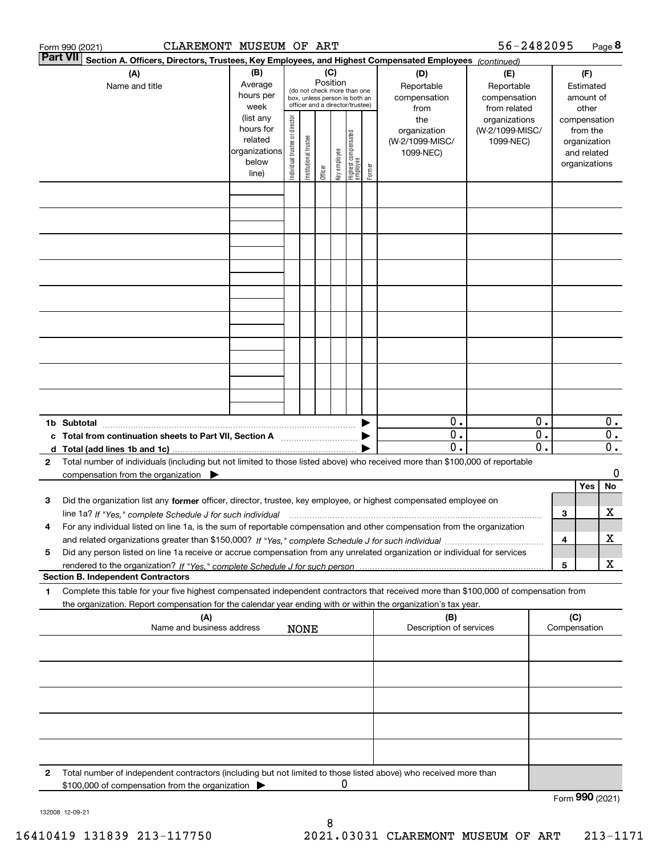|   | CLAREMONT MUSEUM OF ART<br>Form 990 (2021)                                                                                                      |                   |                                |                       |          |              |                                                                  |        |                                    | 56-2482095                    |                                                 |     |                       | Page 8                                        |
|---|-------------------------------------------------------------------------------------------------------------------------------------------------|-------------------|--------------------------------|-----------------------|----------|--------------|------------------------------------------------------------------|--------|------------------------------------|-------------------------------|-------------------------------------------------|-----|-----------------------|-----------------------------------------------|
|   | <b>Part VII</b><br>Section A. Officers, Directors, Trustees, Key Employees, and Highest Compensated Employees (continued)                       |                   |                                |                       |          |              |                                                                  |        |                                    |                               |                                                 |     |                       |                                               |
|   | (A)                                                                                                                                             | (B)               |                                |                       | (C)      |              |                                                                  |        | (D)                                | (E)                           |                                                 |     | (F)                   |                                               |
|   | Name and title                                                                                                                                  | Average           |                                |                       | Position |              | (do not check more than one                                      |        | Reportable                         | Reportable                    |                                                 |     | Estimated             |                                               |
|   |                                                                                                                                                 | hours per<br>week |                                |                       |          |              | box, unless person is both an<br>officer and a director/trustee) |        | compensation                       | compensation                  |                                                 |     | amount of             |                                               |
|   |                                                                                                                                                 | (list any         |                                |                       |          |              |                                                                  |        | from<br>the                        | from related<br>organizations |                                                 |     | other<br>compensation |                                               |
|   |                                                                                                                                                 | hours for         |                                |                       |          |              |                                                                  |        | organization                       | (W-2/1099-MISC/               |                                                 |     | from the              |                                               |
|   |                                                                                                                                                 | related           |                                |                       |          |              |                                                                  |        | (W-2/1099-MISC/                    | 1099-NEC)                     |                                                 |     | organization          |                                               |
|   |                                                                                                                                                 | organizations     |                                |                       |          |              |                                                                  |        | 1099-NEC)                          |                               |                                                 |     | and related           |                                               |
|   |                                                                                                                                                 | below             | Individual trustee or director | Institutional trustee | Officer  | Key employee | Highest compensated<br>  employee                                | Former |                                    |                               |                                                 |     | organizations         |                                               |
|   |                                                                                                                                                 | line)             |                                |                       |          |              |                                                                  |        |                                    |                               |                                                 |     |                       |                                               |
|   |                                                                                                                                                 |                   |                                |                       |          |              |                                                                  |        |                                    |                               |                                                 |     |                       |                                               |
|   |                                                                                                                                                 |                   |                                |                       |          |              |                                                                  |        |                                    |                               |                                                 |     |                       |                                               |
|   |                                                                                                                                                 |                   |                                |                       |          |              |                                                                  |        |                                    |                               |                                                 |     |                       |                                               |
|   |                                                                                                                                                 |                   |                                |                       |          |              |                                                                  |        |                                    |                               |                                                 |     |                       |                                               |
|   |                                                                                                                                                 |                   |                                |                       |          |              |                                                                  |        |                                    |                               |                                                 |     |                       |                                               |
|   |                                                                                                                                                 |                   |                                |                       |          |              |                                                                  |        |                                    |                               |                                                 |     |                       |                                               |
|   |                                                                                                                                                 |                   |                                |                       |          |              |                                                                  |        |                                    |                               |                                                 |     |                       |                                               |
|   |                                                                                                                                                 |                   |                                |                       |          |              |                                                                  |        |                                    |                               |                                                 |     |                       |                                               |
|   |                                                                                                                                                 |                   |                                |                       |          |              |                                                                  |        |                                    |                               |                                                 |     |                       |                                               |
|   |                                                                                                                                                 |                   |                                |                       |          |              |                                                                  |        |                                    |                               |                                                 |     |                       |                                               |
|   |                                                                                                                                                 |                   |                                |                       |          |              |                                                                  |        |                                    |                               |                                                 |     |                       |                                               |
|   |                                                                                                                                                 |                   |                                |                       |          |              |                                                                  |        |                                    |                               |                                                 |     |                       |                                               |
|   |                                                                                                                                                 |                   |                                |                       |          |              |                                                                  |        |                                    |                               |                                                 |     |                       |                                               |
|   |                                                                                                                                                 |                   |                                |                       |          |              |                                                                  |        |                                    |                               |                                                 |     |                       |                                               |
|   |                                                                                                                                                 |                   |                                |                       |          |              |                                                                  |        |                                    |                               |                                                 |     |                       |                                               |
|   |                                                                                                                                                 |                   |                                |                       |          |              |                                                                  |        |                                    |                               |                                                 |     |                       |                                               |
|   |                                                                                                                                                 |                   |                                |                       |          |              |                                                                  |        |                                    |                               |                                                 |     |                       |                                               |
|   | 1b Subtotal                                                                                                                                     |                   |                                |                       |          |              |                                                                  |        | 0.                                 |                               | 0.                                              |     |                       | $0$ .                                         |
|   | c Total from continuation sheets to Part VII, Section A                                                                                         |                   |                                |                       |          |              |                                                                  |        | $\mathbf{0}$ .<br>$\overline{0}$ . |                               | $\overline{0}$ .<br>$\overline{\mathfrak{0}}$ . |     |                       | $\overline{0}$ .<br>$\overline{\mathbf{0}}$ . |
|   |                                                                                                                                                 |                   |                                |                       |          |              |                                                                  |        |                                    |                               |                                                 |     |                       |                                               |
| 2 | Total number of individuals (including but not limited to those listed above) who received more than \$100,000 of reportable                    |                   |                                |                       |          |              |                                                                  |        |                                    |                               |                                                 |     |                       | 0                                             |
|   | compensation from the organization $\blacktriangleright$                                                                                        |                   |                                |                       |          |              |                                                                  |        |                                    |                               |                                                 |     | Yes                   | No                                            |
| з | Did the organization list any former officer, director, trustee, key employee, or highest compensated employee on                               |                   |                                |                       |          |              |                                                                  |        |                                    |                               |                                                 |     |                       |                                               |
|   | line 1a? If "Yes," complete Schedule J for such individual manufactured contained and the 1a? If "Yes," complete Schedule J for such individual |                   |                                |                       |          |              |                                                                  |        |                                    |                               |                                                 | 3   |                       | х                                             |
| 4 | For any individual listed on line 1a, is the sum of reportable compensation and other compensation from the organization                        |                   |                                |                       |          |              |                                                                  |        |                                    |                               |                                                 |     |                       |                                               |
|   |                                                                                                                                                 |                   |                                |                       |          |              |                                                                  |        |                                    |                               |                                                 | 4   |                       | х                                             |
| 5 | Did any person listed on line 1a receive or accrue compensation from any unrelated organization or individual for services                      |                   |                                |                       |          |              |                                                                  |        |                                    |                               |                                                 |     |                       |                                               |
|   |                                                                                                                                                 |                   |                                |                       |          |              |                                                                  |        |                                    |                               |                                                 | 5   |                       | X                                             |
|   | <b>Section B. Independent Contractors</b>                                                                                                       |                   |                                |                       |          |              |                                                                  |        |                                    |                               |                                                 |     |                       |                                               |
| 1 | Complete this table for your five highest compensated independent contractors that received more than \$100,000 of compensation from            |                   |                                |                       |          |              |                                                                  |        |                                    |                               |                                                 |     |                       |                                               |
|   | the organization. Report compensation for the calendar year ending with or within the organization's tax year.                                  |                   |                                |                       |          |              |                                                                  |        |                                    |                               |                                                 |     |                       |                                               |
|   | (A)                                                                                                                                             |                   |                                |                       |          |              |                                                                  |        | (B)                                |                               |                                                 | (C) |                       |                                               |
|   | Name and business address                                                                                                                       |                   |                                | <b>NONE</b>           |          |              |                                                                  |        | Description of services            |                               |                                                 |     | Compensation          |                                               |
|   |                                                                                                                                                 |                   |                                |                       |          |              |                                                                  |        |                                    |                               |                                                 |     |                       |                                               |
|   |                                                                                                                                                 |                   |                                |                       |          |              |                                                                  |        |                                    |                               |                                                 |     |                       |                                               |
|   |                                                                                                                                                 |                   |                                |                       |          |              |                                                                  |        |                                    |                               |                                                 |     |                       |                                               |
|   |                                                                                                                                                 |                   |                                |                       |          |              |                                                                  |        |                                    |                               |                                                 |     |                       |                                               |
|   |                                                                                                                                                 |                   |                                |                       |          |              |                                                                  |        |                                    |                               |                                                 |     |                       |                                               |
|   |                                                                                                                                                 |                   |                                |                       |          |              |                                                                  |        |                                    |                               |                                                 |     |                       |                                               |
|   |                                                                                                                                                 |                   |                                |                       |          |              |                                                                  |        |                                    |                               |                                                 |     |                       |                                               |
|   |                                                                                                                                                 |                   |                                |                       |          |              |                                                                  |        |                                    |                               |                                                 |     |                       |                                               |
|   |                                                                                                                                                 |                   |                                |                       |          |              |                                                                  |        |                                    |                               |                                                 |     |                       |                                               |
| 2 | Total number of independent contractors (including but not limited to those listed above) who received more than                                |                   |                                |                       |          |              |                                                                  |        |                                    |                               |                                                 |     |                       |                                               |
|   | \$100,000 of compensation from the organization                                                                                                 |                   |                                |                       |          | 0            |                                                                  |        |                                    |                               |                                                 |     |                       |                                               |
|   |                                                                                                                                                 |                   |                                |                       |          |              |                                                                  |        |                                    |                               |                                                 |     | Form 990 (2021)       |                                               |

132008 12-09-21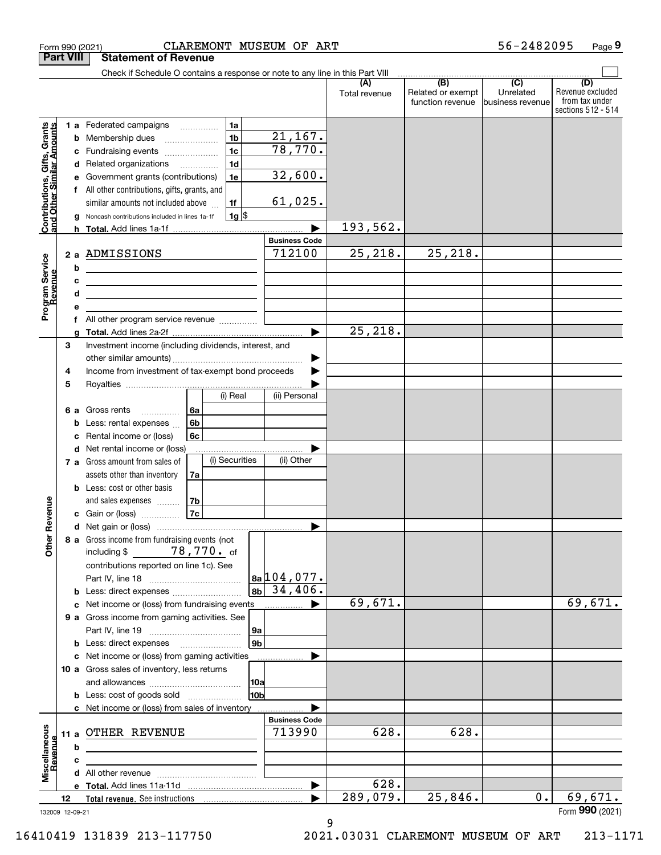|                                                                                         | Form 990 (2021)                 | CLAREMONT MUSEUM OF ART                                                                                                                                                                                                                                                                                                                                                                                                                                                                                                                                                                                                                                                                                            |                      |                                                     | 56-2482095                     | Page 9                                                          |
|-----------------------------------------------------------------------------------------|---------------------------------|--------------------------------------------------------------------------------------------------------------------------------------------------------------------------------------------------------------------------------------------------------------------------------------------------------------------------------------------------------------------------------------------------------------------------------------------------------------------------------------------------------------------------------------------------------------------------------------------------------------------------------------------------------------------------------------------------------------------|----------------------|-----------------------------------------------------|--------------------------------|-----------------------------------------------------------------|
|                                                                                         | <b>Part VIII</b>                | <b>Statement of Revenue</b>                                                                                                                                                                                                                                                                                                                                                                                                                                                                                                                                                                                                                                                                                        |                      |                                                     |                                |                                                                 |
|                                                                                         |                                 | Check if Schedule O contains a response or note to any line in this Part VIII                                                                                                                                                                                                                                                                                                                                                                                                                                                                                                                                                                                                                                      |                      | $\overline{(\mathsf{B})}$ $\overline{(\mathsf{C})}$ |                                |                                                                 |
|                                                                                         |                                 |                                                                                                                                                                                                                                                                                                                                                                                                                                                                                                                                                                                                                                                                                                                    | (A)<br>Total revenue | Related or exempt<br>function revenue               | Unrelated<br>lbusiness revenue | (D)<br>Revenue excluded<br>from tax under<br>sections 512 - 514 |
| Contributions, Gifts, Grants<br>and Other Similar Amounts<br>Program Service<br>Revenue | е<br>f<br>a<br>b<br>c<br>d<br>е | 1a<br><b>1 a</b> Federated campaigns<br>.<br>21, 167.<br>1 <sub>b</sub><br><b>b</b> Membership dues<br>$\ldots \ldots \ldots \ldots \ldots$<br>78,770.<br>1 <sub>c</sub><br>c Fundraising events<br>1 <sub>d</sub><br>d Related organizations<br>32,600.<br>1e<br>Government grants (contributions)<br>All other contributions, gifts, grants, and<br>61,025.<br>1f<br>similar amounts not included above<br>$1g$ \$<br>Noncash contributions included in lines 1a-1f<br><b>Business Code</b><br>712100<br>2 a ADMISSIONS<br><u> 1989 - Johann Barn, mars an t-Amerikaansk ferskeider (</u><br><u> 1989 - Johann Barn, mars ann an t-Amhain an t-Amhain an t-Amhain an t-Amhain an t-Amhain an t-Amhain an t-A</u> | 193,562.<br>25,218.  | 25, 218.                                            |                                |                                                                 |
|                                                                                         |                                 | f All other program service revenue                                                                                                                                                                                                                                                                                                                                                                                                                                                                                                                                                                                                                                                                                |                      |                                                     |                                |                                                                 |
|                                                                                         | 3                               | Investment income (including dividends, interest, and                                                                                                                                                                                                                                                                                                                                                                                                                                                                                                                                                                                                                                                              | 25, 218.             |                                                     |                                |                                                                 |
|                                                                                         | 4<br>5                          | Income from investment of tax-exempt bond proceeds<br>(i) Real<br>(ii) Personal                                                                                                                                                                                                                                                                                                                                                                                                                                                                                                                                                                                                                                    |                      |                                                     |                                |                                                                 |
|                                                                                         | c                               | 6a<br>6 a Gross rents<br>6b<br><b>b</b> Less: rental expenses<br>6c<br>Rental income or (loss)                                                                                                                                                                                                                                                                                                                                                                                                                                                                                                                                                                                                                     |                      |                                                     |                                |                                                                 |
|                                                                                         |                                 | d Net rental income or (loss)<br>(i) Securities<br>(ii) Other<br>7 a Gross amount from sales of                                                                                                                                                                                                                                                                                                                                                                                                                                                                                                                                                                                                                    |                      |                                                     |                                |                                                                 |
| evenue                                                                                  |                                 | assets other than inventory<br>7a<br><b>b</b> Less: cost or other basis<br>7b<br>and sales expenses<br>7c<br>c Gain or (loss)                                                                                                                                                                                                                                                                                                                                                                                                                                                                                                                                                                                      |                      |                                                     |                                |                                                                 |
|                                                                                         |                                 |                                                                                                                                                                                                                                                                                                                                                                                                                                                                                                                                                                                                                                                                                                                    |                      |                                                     |                                |                                                                 |
| Other R                                                                                 |                                 | 8 a Gross income from fundraising events (not<br>including \$ 78, 770. of<br>contributions reported on line 1c). See<br>$8a$ 104, 077.<br>34,406.<br>8 <sub>b</sub>                                                                                                                                                                                                                                                                                                                                                                                                                                                                                                                                                |                      |                                                     |                                |                                                                 |
|                                                                                         |                                 |                                                                                                                                                                                                                                                                                                                                                                                                                                                                                                                                                                                                                                                                                                                    | 69,671.              |                                                     |                                | 69,671.                                                         |
|                                                                                         |                                 | 9 a Gross income from gaming activities. See<br>9a                                                                                                                                                                                                                                                                                                                                                                                                                                                                                                                                                                                                                                                                 |                      |                                                     |                                |                                                                 |
|                                                                                         |                                 | 9 <sub>b</sub><br><b>b</b> Less: direct expenses <b>manually</b>                                                                                                                                                                                                                                                                                                                                                                                                                                                                                                                                                                                                                                                   |                      |                                                     |                                |                                                                 |
|                                                                                         |                                 | c Net income or (loss) from gaming activities<br>.                                                                                                                                                                                                                                                                                                                                                                                                                                                                                                                                                                                                                                                                 |                      |                                                     |                                |                                                                 |
|                                                                                         |                                 | 10 a Gross sales of inventory, less returns<br> 10a<br>10b<br><b>b</b> Less: cost of goods sold                                                                                                                                                                                                                                                                                                                                                                                                                                                                                                                                                                                                                    |                      |                                                     |                                |                                                                 |
|                                                                                         |                                 | c Net income or (loss) from sales of inventory<br><b>Business Code</b>                                                                                                                                                                                                                                                                                                                                                                                                                                                                                                                                                                                                                                             |                      |                                                     |                                |                                                                 |
| Miscellaneous                                                                           | b                               | 713990<br>11 a OTHER REVENUE<br><u> 1989 - Johann Barn, mars ann an t-Amhain ann an t-Amhain ann an t-Amhain ann an t-Amhain ann an t-Amhain ann </u>                                                                                                                                                                                                                                                                                                                                                                                                                                                                                                                                                              | 628.                 | 628.                                                |                                |                                                                 |
| <u>Revenue</u>                                                                          | c                               | <u> 1989 - Johann Stein, mars an de Frankrik (f. 1989)</u>                                                                                                                                                                                                                                                                                                                                                                                                                                                                                                                                                                                                                                                         |                      |                                                     |                                |                                                                 |
|                                                                                         |                                 |                                                                                                                                                                                                                                                                                                                                                                                                                                                                                                                                                                                                                                                                                                                    | 628.                 |                                                     |                                |                                                                 |
|                                                                                         | 12                              | ▶                                                                                                                                                                                                                                                                                                                                                                                                                                                                                                                                                                                                                                                                                                                  | 289,079.             | 25,846.                                             | $0$ .                          | 69,671.                                                         |
|                                                                                         | 132009 12-09-21                 |                                                                                                                                                                                                                                                                                                                                                                                                                                                                                                                                                                                                                                                                                                                    |                      |                                                     |                                | Form 990 (2021)                                                 |

9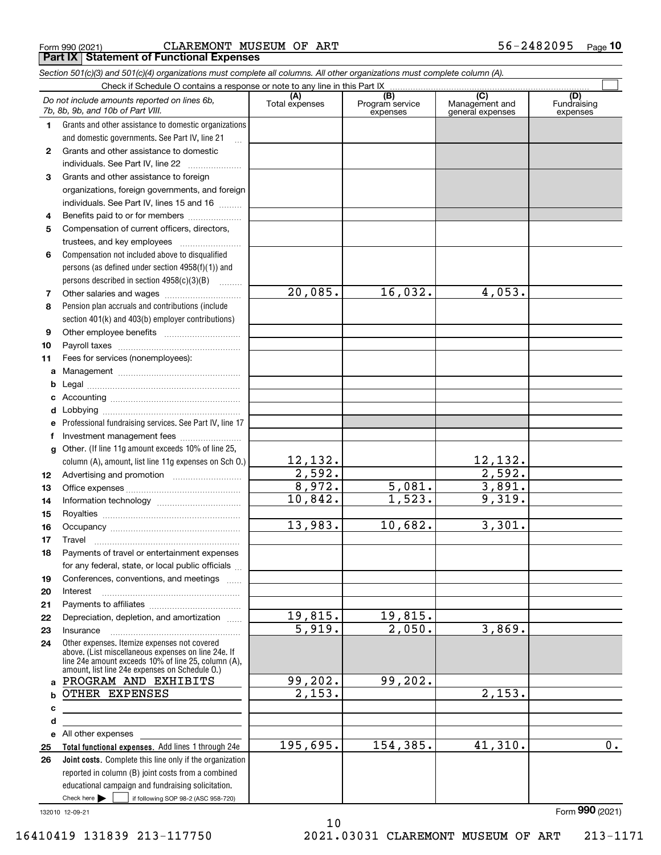|  | Form 990 (2021) |  |
|--|-----------------|--|
|  |                 |  |

Form 990 (2021) C ${\rm LAREMONT}$  MUSEUM OF  ${\rm ART}$  56-2482095  $_{\rm Page}$ **Part IX Statement of Functional Expenses**

|              | Section 501(c)(3) and 501(c)(4) organizations must complete all columns. All other organizations must complete column (A).                                                                                   |                       |                                    |                                                        |                                |
|--------------|--------------------------------------------------------------------------------------------------------------------------------------------------------------------------------------------------------------|-----------------------|------------------------------------|--------------------------------------------------------|--------------------------------|
|              | Check if Schedule O contains a response or note to any line in this Part IX                                                                                                                                  |                       |                                    |                                                        |                                |
|              | Do not include amounts reported on lines 6b,<br>7b, 8b, 9b, and 10b of Part VIII.                                                                                                                            | (A)<br>Total expenses | (B)<br>Program service<br>expenses | $\overline{(C)}$<br>Management and<br>general expenses | (D)<br>Fundraising<br>expenses |
| 1.           | Grants and other assistance to domestic organizations                                                                                                                                                        |                       |                                    |                                                        |                                |
|              | and domestic governments. See Part IV, line 21                                                                                                                                                               |                       |                                    |                                                        |                                |
| $\mathbf{2}$ | Grants and other assistance to domestic                                                                                                                                                                      |                       |                                    |                                                        |                                |
|              | individuals. See Part IV, line 22                                                                                                                                                                            |                       |                                    |                                                        |                                |
| 3            | Grants and other assistance to foreign                                                                                                                                                                       |                       |                                    |                                                        |                                |
|              | organizations, foreign governments, and foreign                                                                                                                                                              |                       |                                    |                                                        |                                |
|              | individuals. See Part IV, lines 15 and 16                                                                                                                                                                    |                       |                                    |                                                        |                                |
| 4            | Benefits paid to or for members                                                                                                                                                                              |                       |                                    |                                                        |                                |
| 5            | Compensation of current officers, directors,                                                                                                                                                                 |                       |                                    |                                                        |                                |
|              |                                                                                                                                                                                                              |                       |                                    |                                                        |                                |
| 6            | Compensation not included above to disqualified                                                                                                                                                              |                       |                                    |                                                        |                                |
|              | persons (as defined under section 4958(f)(1)) and                                                                                                                                                            |                       |                                    |                                                        |                                |
|              | persons described in section 4958(c)(3)(B)                                                                                                                                                                   |                       |                                    |                                                        |                                |
| 7            |                                                                                                                                                                                                              | 20,085.               | 16,032.                            | 4,053.                                                 |                                |
| 8            | Pension plan accruals and contributions (include                                                                                                                                                             |                       |                                    |                                                        |                                |
|              | section 401(k) and 403(b) employer contributions)                                                                                                                                                            |                       |                                    |                                                        |                                |
| 9            |                                                                                                                                                                                                              |                       |                                    |                                                        |                                |
| 10           |                                                                                                                                                                                                              |                       |                                    |                                                        |                                |
| 11           | Fees for services (nonemployees):                                                                                                                                                                            |                       |                                    |                                                        |                                |
| а            |                                                                                                                                                                                                              |                       |                                    |                                                        |                                |
| b            |                                                                                                                                                                                                              |                       |                                    |                                                        |                                |
| с            |                                                                                                                                                                                                              |                       |                                    |                                                        |                                |
| d            |                                                                                                                                                                                                              |                       |                                    |                                                        |                                |
| е            | Professional fundraising services. See Part IV, line 17                                                                                                                                                      |                       |                                    |                                                        |                                |
| f            | Investment management fees                                                                                                                                                                                   |                       |                                    |                                                        |                                |
| g            | Other. (If line 11g amount exceeds 10% of line 25,                                                                                                                                                           |                       |                                    |                                                        |                                |
|              | column (A), amount, list line 11g expenses on Sch 0.)                                                                                                                                                        | 12,132.               |                                    | 12,132.                                                |                                |
| 12           |                                                                                                                                                                                                              | 2,592.                |                                    | 2,592.                                                 |                                |
| 13           |                                                                                                                                                                                                              | 8,972.                | 5,081.                             | 3,891.                                                 |                                |
| 14           |                                                                                                                                                                                                              | 10,842.               | 1,523.                             | 9,319.                                                 |                                |
| 15           |                                                                                                                                                                                                              |                       |                                    |                                                        |                                |
| 16           |                                                                                                                                                                                                              | 13,983.               | 10,682.                            | 3,301.                                                 |                                |
| 17           |                                                                                                                                                                                                              |                       |                                    |                                                        |                                |
|              | Payments of travel or entertainment expenses                                                                                                                                                                 |                       |                                    |                                                        |                                |
|              | for any federal, state, or local public officials                                                                                                                                                            |                       |                                    |                                                        |                                |
| 19           | Conferences, conventions, and meetings                                                                                                                                                                       |                       |                                    |                                                        |                                |
| 20           | Interest                                                                                                                                                                                                     |                       |                                    |                                                        |                                |
| 21           |                                                                                                                                                                                                              |                       |                                    |                                                        |                                |
| 22           | Depreciation, depletion, and amortization                                                                                                                                                                    | 19,815.               | 19,815.                            |                                                        |                                |
| 23           | Insurance                                                                                                                                                                                                    | 5,919.                | 2,050.                             | 3,869.                                                 |                                |
| 24           | Other expenses. Itemize expenses not covered<br>above. (List miscellaneous expenses on line 24e. If<br>line 24e amount exceeds 10% of line 25, column (A),<br>amount, list line 24e expenses on Schedule O.) |                       |                                    |                                                        |                                |
|              | a PROGRAM AND EXHIBITS                                                                                                                                                                                       | 99,202.               | 99,202.                            |                                                        |                                |
| b            | OTHER EXPENSES                                                                                                                                                                                               | 2,153.                |                                    | 2,153.                                                 |                                |
| с            |                                                                                                                                                                                                              |                       |                                    |                                                        |                                |
| d            |                                                                                                                                                                                                              |                       |                                    |                                                        |                                |
|              | e All other expenses                                                                                                                                                                                         |                       |                                    |                                                        |                                |
| 25           | Total functional expenses. Add lines 1 through 24e                                                                                                                                                           | 195,695.              | 154,385.                           | 41,310.                                                | 0.                             |
| 26           | Joint costs. Complete this line only if the organization                                                                                                                                                     |                       |                                    |                                                        |                                |
|              | reported in column (B) joint costs from a combined                                                                                                                                                           |                       |                                    |                                                        |                                |
|              | educational campaign and fundraising solicitation.                                                                                                                                                           |                       |                                    |                                                        |                                |
|              | Check here $\blacktriangleright$<br>if following SOP 98-2 (ASC 958-720)                                                                                                                                      |                       |                                    |                                                        |                                |

132010 12-09-21

10 16410419 131839 213-117750 2021.03031 CLAREMONT MUSEUM OF ART 213-1171

Form (2021) **990**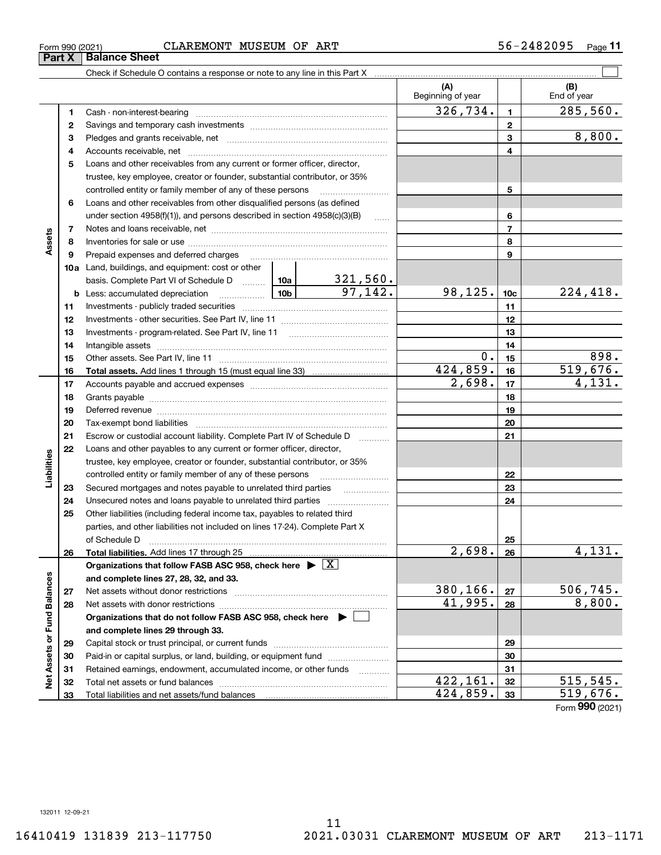**11**

|                             |    |                                                                                                                                                                                                                                                                                                                                                                                                                                                                |  |                          | (A)<br>Beginning of year |                 | (B)<br>End of year   |
|-----------------------------|----|----------------------------------------------------------------------------------------------------------------------------------------------------------------------------------------------------------------------------------------------------------------------------------------------------------------------------------------------------------------------------------------------------------------------------------------------------------------|--|--------------------------|--------------------------|-----------------|----------------------|
|                             | 1  |                                                                                                                                                                                                                                                                                                                                                                                                                                                                |  |                          | 326, 734.                | $\mathbf{1}$    | 285, 560.            |
|                             | 2  |                                                                                                                                                                                                                                                                                                                                                                                                                                                                |  |                          |                          | $\mathbf{2}$    |                      |
|                             | 3  |                                                                                                                                                                                                                                                                                                                                                                                                                                                                |  |                          |                          | 3               | 8,800.               |
|                             | 4  |                                                                                                                                                                                                                                                                                                                                                                                                                                                                |  |                          |                          | 4               |                      |
|                             | 5  | Loans and other receivables from any current or former officer, director,                                                                                                                                                                                                                                                                                                                                                                                      |  |                          |                          |                 |                      |
|                             |    | trustee, key employee, creator or founder, substantial contributor, or 35%                                                                                                                                                                                                                                                                                                                                                                                     |  |                          |                          |                 |                      |
|                             |    | controlled entity or family member of any of these persons                                                                                                                                                                                                                                                                                                                                                                                                     |  |                          |                          | 5               |                      |
|                             | 6  | Loans and other receivables from other disqualified persons (as defined                                                                                                                                                                                                                                                                                                                                                                                        |  |                          |                          |                 |                      |
|                             |    | under section $4958(f)(1)$ , and persons described in section $4958(c)(3)(B)$                                                                                                                                                                                                                                                                                                                                                                                  |  | $\sim$                   |                          | 6               |                      |
|                             | 7  |                                                                                                                                                                                                                                                                                                                                                                                                                                                                |  |                          | $\overline{7}$           |                 |                      |
| Assets                      | 8  |                                                                                                                                                                                                                                                                                                                                                                                                                                                                |  |                          |                          | 8               |                      |
|                             | 9  | Prepaid expenses and deferred charges                                                                                                                                                                                                                                                                                                                                                                                                                          |  |                          |                          | 9               |                      |
|                             |    | <b>10a</b> Land, buildings, and equipment: cost or other                                                                                                                                                                                                                                                                                                                                                                                                       |  |                          |                          |                 |                      |
|                             |    | basis. Complete Part VI of Schedule D  10a                                                                                                                                                                                                                                                                                                                                                                                                                     |  |                          |                          |                 |                      |
|                             |    | $\frac{10b}{2}$<br><b>b</b> Less: accumulated depreciation                                                                                                                                                                                                                                                                                                                                                                                                     |  | $\frac{321,560}{97,142}$ | 98,125.                  | 10 <sub>c</sub> | 224,418.             |
|                             | 11 |                                                                                                                                                                                                                                                                                                                                                                                                                                                                |  |                          | 11                       |                 |                      |
|                             | 12 |                                                                                                                                                                                                                                                                                                                                                                                                                                                                |  |                          |                          | 12              |                      |
|                             | 13 |                                                                                                                                                                                                                                                                                                                                                                                                                                                                |  | 13                       |                          |                 |                      |
|                             | 14 |                                                                                                                                                                                                                                                                                                                                                                                                                                                                |  | 14                       |                          |                 |                      |
|                             | 15 |                                                                                                                                                                                                                                                                                                                                                                                                                                                                |  | 0.                       | 15                       | 898.            |                      |
|                             | 16 |                                                                                                                                                                                                                                                                                                                                                                                                                                                                |  |                          | 424,859.                 | 16              | 519,676.             |
|                             | 17 |                                                                                                                                                                                                                                                                                                                                                                                                                                                                |  |                          | $\overline{2,698}$ .     | 17              | $\overline{4,131}$ . |
|                             | 18 |                                                                                                                                                                                                                                                                                                                                                                                                                                                                |  |                          | 18                       |                 |                      |
|                             | 19 | Deferred revenue manual contracts and contracts are all the manual contracts and contracts are contracted and contracts are contracted and contract are contracted and contract are contracted and contract are contracted and                                                                                                                                                                                                                                 |  |                          |                          | 19              |                      |
|                             | 20 |                                                                                                                                                                                                                                                                                                                                                                                                                                                                |  |                          | 20                       |                 |                      |
|                             | 21 | Escrow or custodial account liability. Complete Part IV of Schedule D                                                                                                                                                                                                                                                                                                                                                                                          |  | 1.1.1.1.1.1.1.1.1        |                          | 21              |                      |
|                             | 22 | Loans and other payables to any current or former officer, director,                                                                                                                                                                                                                                                                                                                                                                                           |  |                          |                          |                 |                      |
| Liabilities                 |    | trustee, key employee, creator or founder, substantial contributor, or 35%                                                                                                                                                                                                                                                                                                                                                                                     |  |                          |                          |                 |                      |
|                             |    | controlled entity or family member of any of these persons                                                                                                                                                                                                                                                                                                                                                                                                     |  |                          |                          | 22              |                      |
|                             | 23 | Secured mortgages and notes payable to unrelated third parties                                                                                                                                                                                                                                                                                                                                                                                                 |  |                          |                          | 23              |                      |
|                             | 24 | Unsecured notes and loans payable to unrelated third parties                                                                                                                                                                                                                                                                                                                                                                                                   |  |                          |                          | 24              |                      |
|                             | 25 | Other liabilities (including federal income tax, payables to related third                                                                                                                                                                                                                                                                                                                                                                                     |  |                          |                          |                 |                      |
|                             |    | parties, and other liabilities not included on lines 17-24). Complete Part X                                                                                                                                                                                                                                                                                                                                                                                   |  |                          |                          |                 |                      |
|                             |    | of Schedule D<br>$\begin{minipage}{0.5\textwidth} \begin{tabular}{ l l l } \hline & \multicolumn{1}{ l l } \hline & \multicolumn{1}{ l } \multicolumn{1}{ l } \hline \multicolumn{1}{ l } \multicolumn{1}{ l } \multicolumn{1}{ l } \multicolumn{1}{ l } \multicolumn{1}{ l } \multicolumn{1}{ l } \multicolumn{1}{ l } \multicolumn{1}{ l } \multicolumn{1}{ l } \multicolumn{1}{ l } \multicolumn{1}{ l } \multicolumn{1}{ l } \multicolumn{1}{ l } \multic$ |  |                          |                          | 25              |                      |
|                             | 26 |                                                                                                                                                                                                                                                                                                                                                                                                                                                                |  |                          | $2,698.$ 26              |                 | 4,131.               |
|                             |    | Organizations that follow FASB ASC 958, check here $\blacktriangleright \boxed{X}$                                                                                                                                                                                                                                                                                                                                                                             |  |                          |                          |                 |                      |
|                             |    | and complete lines 27, 28, 32, and 33.                                                                                                                                                                                                                                                                                                                                                                                                                         |  |                          |                          |                 |                      |
|                             | 27 |                                                                                                                                                                                                                                                                                                                                                                                                                                                                |  |                          | 380,166.                 | 27              | 506,745.             |
|                             | 28 |                                                                                                                                                                                                                                                                                                                                                                                                                                                                |  |                          | 41,995.                  | 28              | 8,800.               |
|                             |    | Organizations that do not follow FASB ASC 958, check here ▶ □                                                                                                                                                                                                                                                                                                                                                                                                  |  |                          |                          |                 |                      |
|                             |    | and complete lines 29 through 33.                                                                                                                                                                                                                                                                                                                                                                                                                              |  |                          |                          |                 |                      |
|                             | 29 |                                                                                                                                                                                                                                                                                                                                                                                                                                                                |  |                          |                          | 29              |                      |
|                             | 30 | Paid-in or capital surplus, or land, building, or equipment fund                                                                                                                                                                                                                                                                                                                                                                                               |  |                          |                          | 30              |                      |
| Net Assets or Fund Balances | 31 | Retained earnings, endowment, accumulated income, or other funds                                                                                                                                                                                                                                                                                                                                                                                               |  |                          |                          | 31              |                      |
|                             | 32 |                                                                                                                                                                                                                                                                                                                                                                                                                                                                |  |                          | 422,161.                 | 32              | 515, 545.            |
|                             | 33 |                                                                                                                                                                                                                                                                                                                                                                                                                                                                |  |                          | 424,859.                 | 33              | 519,676.             |

Form (2021) **990**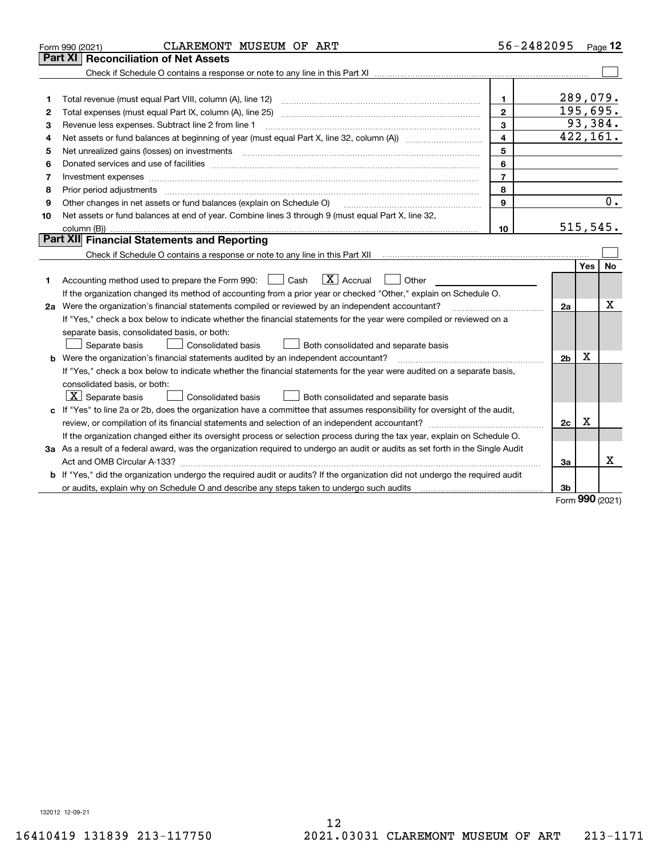|    | CLAREMONT MUSEUM OF ART<br>Form 990 (2021)                                                                                                                                                                                     | 56-2482095              |                |            | Page $12$ |
|----|--------------------------------------------------------------------------------------------------------------------------------------------------------------------------------------------------------------------------------|-------------------------|----------------|------------|-----------|
|    | <b>Reconciliation of Net Assets</b><br>Part XI                                                                                                                                                                                 |                         |                |            |           |
|    |                                                                                                                                                                                                                                |                         |                |            |           |
|    |                                                                                                                                                                                                                                |                         |                |            |           |
| 1  |                                                                                                                                                                                                                                | $\mathbf{1}$            | 289,079.       |            |           |
| 2  |                                                                                                                                                                                                                                | $\overline{2}$          | 195,695.       |            |           |
| 3  | Revenue less expenses. Subtract line 2 from line 1                                                                                                                                                                             | 3                       |                |            | 93,384.   |
| 4  |                                                                                                                                                                                                                                | $\overline{\mathbf{4}}$ |                |            | 422, 161. |
| 5  |                                                                                                                                                                                                                                | 5                       |                |            |           |
| 6  | Donated services and use of facilities [111] matter contracts and the facilities in the matter of facilities [11] matter contracts and use of facilities [11] matter contracts and the service of the service of the service o | 6                       |                |            |           |
| 7  |                                                                                                                                                                                                                                | $\overline{7}$          |                |            |           |
| 8  |                                                                                                                                                                                                                                | 8                       |                |            |           |
| 9  | Other changes in net assets or fund balances (explain on Schedule O)                                                                                                                                                           | 9                       |                |            | 0.        |
| 10 | Net assets or fund balances at end of year. Combine lines 3 through 9 (must equal Part X, line 32,                                                                                                                             |                         |                |            |           |
|    |                                                                                                                                                                                                                                | 10                      | 515, 545.      |            |           |
|    | Part XII Financial Statements and Reporting                                                                                                                                                                                    |                         |                |            |           |
|    |                                                                                                                                                                                                                                |                         |                |            |           |
|    |                                                                                                                                                                                                                                |                         |                | <b>Yes</b> | <b>No</b> |
| 1  | $\boxed{\mathbf{X}}$ Accrual<br>Accounting method used to prepare the Form 990: <u>[</u> Cash<br>Other                                                                                                                         |                         |                |            |           |
|    | If the organization changed its method of accounting from a prior year or checked "Other," explain on Schedule O.                                                                                                              |                         |                |            |           |
|    | 2a Were the organization's financial statements compiled or reviewed by an independent accountant?                                                                                                                             |                         | 2a             |            | Χ         |
|    | If "Yes," check a box below to indicate whether the financial statements for the year were compiled or reviewed on a                                                                                                           |                         |                |            |           |
|    | separate basis, consolidated basis, or both:                                                                                                                                                                                   |                         |                |            |           |
|    | Both consolidated and separate basis<br>Separate basis<br>Consolidated basis                                                                                                                                                   |                         |                |            |           |
|    | <b>b</b> Were the organization's financial statements audited by an independent accountant?                                                                                                                                    |                         | 2 <sub>b</sub> | Χ          |           |
|    | If "Yes," check a box below to indicate whether the financial statements for the year were audited on a separate basis,                                                                                                        |                         |                |            |           |
|    | consolidated basis, or both:                                                                                                                                                                                                   |                         |                |            |           |
|    | $ \mathbf{X} $ Separate basis<br><b>Consolidated basis</b><br>Both consolidated and separate basis                                                                                                                             |                         |                |            |           |
|    | c If "Yes" to line 2a or 2b, does the organization have a committee that assumes responsibility for oversight of the audit,                                                                                                    |                         |                |            |           |
|    |                                                                                                                                                                                                                                |                         | 2c             | Χ          |           |
|    | If the organization changed either its oversight process or selection process during the tax year, explain on Schedule O.                                                                                                      |                         |                |            |           |
|    | 3a As a result of a federal award, was the organization required to undergo an audit or audits as set forth in the Single Audit                                                                                                |                         |                |            |           |
|    |                                                                                                                                                                                                                                |                         | За             |            | x         |
|    | b If "Yes," did the organization undergo the required audit or audits? If the organization did not undergo the required audit                                                                                                  |                         |                |            |           |
|    |                                                                                                                                                                                                                                |                         | 3b             | nnn        |           |

Form (2021) **990**

132012 12-09-21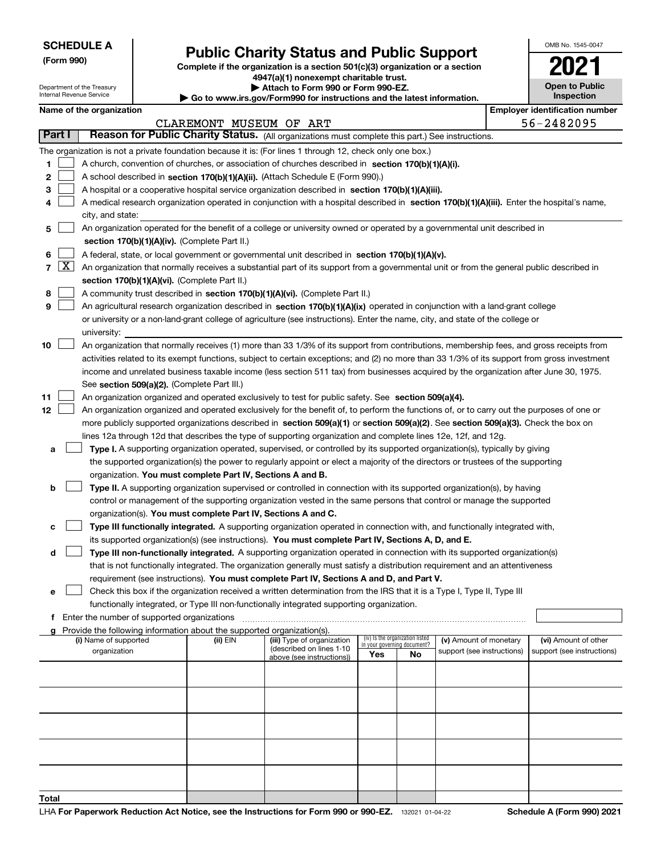Department of the Treasury Internal Revenue Service

**(Form 990)**

# **Public Charity Status and Public Support**

**Complete if the organization is a section 501(c)(3) organization or a section 4947(a)(1) nonexempt charitable trust.**

**| Attach to Form 990 or Form 990-EZ.** 

**| Go to www.irs.gov/Form990 for instructions and the latest information.**

| OMB No. 1545-0047     |
|-----------------------|
| 202                   |
| <b>Open to Public</b> |

**Inspection**

| Name of the organization |                      |  |
|--------------------------|----------------------|--|
|                          | $\sim$ $\sim$ $\sim$ |  |

|                |        | Name of the organization                                                                                                                     |                         |                            |     |                                 |                                                      | <b>Employer identification number</b>              |
|----------------|--------|----------------------------------------------------------------------------------------------------------------------------------------------|-------------------------|----------------------------|-----|---------------------------------|------------------------------------------------------|----------------------------------------------------|
|                |        |                                                                                                                                              | CLAREMONT MUSEUM OF ART |                            |     |                                 |                                                      | 56-2482095                                         |
|                | Part I | Reason for Public Charity Status. (All organizations must complete this part.) See instructions.                                             |                         |                            |     |                                 |                                                      |                                                    |
|                |        | The organization is not a private foundation because it is: (For lines 1 through 12, check only one box.)                                    |                         |                            |     |                                 |                                                      |                                                    |
| 1              |        | A church, convention of churches, or association of churches described in section 170(b)(1)(A)(i).                                           |                         |                            |     |                                 |                                                      |                                                    |
| 2              |        | A school described in section 170(b)(1)(A)(ii). (Attach Schedule E (Form 990).)                                                              |                         |                            |     |                                 |                                                      |                                                    |
| з              |        | A hospital or a cooperative hospital service organization described in section 170(b)(1)(A)(iii).                                            |                         |                            |     |                                 |                                                      |                                                    |
| 4              |        | A medical research organization operated in conjunction with a hospital described in section 170(b)(1)(A)(iii). Enter the hospital's name,   |                         |                            |     |                                 |                                                      |                                                    |
|                |        | city, and state:                                                                                                                             |                         |                            |     |                                 |                                                      |                                                    |
| 5              |        | An organization operated for the benefit of a college or university owned or operated by a governmental unit described in                    |                         |                            |     |                                 |                                                      |                                                    |
|                |        | section 170(b)(1)(A)(iv). (Complete Part II.)                                                                                                |                         |                            |     |                                 |                                                      |                                                    |
| 6              |        | A federal, state, or local government or governmental unit described in section 170(b)(1)(A)(v).                                             |                         |                            |     |                                 |                                                      |                                                    |
| $\overline{7}$ | X      | An organization that normally receives a substantial part of its support from a governmental unit or from the general public described in    |                         |                            |     |                                 |                                                      |                                                    |
|                |        | section 170(b)(1)(A)(vi). (Complete Part II.)                                                                                                |                         |                            |     |                                 |                                                      |                                                    |
| 8              |        | A community trust described in section 170(b)(1)(A)(vi). (Complete Part II.)                                                                 |                         |                            |     |                                 |                                                      |                                                    |
| 9              |        | An agricultural research organization described in section 170(b)(1)(A)(ix) operated in conjunction with a land-grant college                |                         |                            |     |                                 |                                                      |                                                    |
|                |        | or university or a non-land-grant college of agriculture (see instructions). Enter the name, city, and state of the college or               |                         |                            |     |                                 |                                                      |                                                    |
|                |        | university:                                                                                                                                  |                         |                            |     |                                 |                                                      |                                                    |
| 10             |        | An organization that normally receives (1) more than 33 1/3% of its support from contributions, membership fees, and gross receipts from     |                         |                            |     |                                 |                                                      |                                                    |
|                |        | activities related to its exempt functions, subject to certain exceptions; and (2) no more than 33 1/3% of its support from gross investment |                         |                            |     |                                 |                                                      |                                                    |
|                |        | income and unrelated business taxable income (less section 511 tax) from businesses acquired by the organization after June 30, 1975.        |                         |                            |     |                                 |                                                      |                                                    |
|                |        | See section 509(a)(2). (Complete Part III.)                                                                                                  |                         |                            |     |                                 |                                                      |                                                    |
| 11             |        | An organization organized and operated exclusively to test for public safety. See section 509(a)(4).                                         |                         |                            |     |                                 |                                                      |                                                    |
| 12             |        | An organization organized and operated exclusively for the benefit of, to perform the functions of, or to carry out the purposes of one or   |                         |                            |     |                                 |                                                      |                                                    |
|                |        | more publicly supported organizations described in section 509(a)(1) or section 509(a)(2). See section 509(a)(3). Check the box on           |                         |                            |     |                                 |                                                      |                                                    |
|                |        | lines 12a through 12d that describes the type of supporting organization and complete lines 12e, 12f, and 12g.                               |                         |                            |     |                                 |                                                      |                                                    |
| а              |        | Type I. A supporting organization operated, supervised, or controlled by its supported organization(s), typically by giving                  |                         |                            |     |                                 |                                                      |                                                    |
|                |        | the supported organization(s) the power to regularly appoint or elect a majority of the directors or trustees of the supporting              |                         |                            |     |                                 |                                                      |                                                    |
|                |        | organization. You must complete Part IV, Sections A and B.                                                                                   |                         |                            |     |                                 |                                                      |                                                    |
| b              |        | Type II. A supporting organization supervised or controlled in connection with its supported organization(s), by having                      |                         |                            |     |                                 |                                                      |                                                    |
|                |        | control or management of the supporting organization vested in the same persons that control or manage the supported                         |                         |                            |     |                                 |                                                      |                                                    |
|                |        | organization(s). You must complete Part IV, Sections A and C.                                                                                |                         |                            |     |                                 |                                                      |                                                    |
| с              |        | Type III functionally integrated. A supporting organization operated in connection with, and functionally integrated with,                   |                         |                            |     |                                 |                                                      |                                                    |
|                |        | its supported organization(s) (see instructions). You must complete Part IV, Sections A, D, and E.                                           |                         |                            |     |                                 |                                                      |                                                    |
| d              |        | Type III non-functionally integrated. A supporting organization operated in connection with its supported organization(s)                    |                         |                            |     |                                 |                                                      |                                                    |
|                |        | that is not functionally integrated. The organization generally must satisfy a distribution requirement and an attentiveness                 |                         |                            |     |                                 |                                                      |                                                    |
|                |        | requirement (see instructions). You must complete Part IV, Sections A and D, and Part V.                                                     |                         |                            |     |                                 |                                                      |                                                    |
| е              |        | Check this box if the organization received a written determination from the IRS that it is a Type I, Type II, Type III                      |                         |                            |     |                                 |                                                      |                                                    |
|                |        | functionally integrated, or Type III non-functionally integrated supporting organization.                                                    |                         |                            |     |                                 |                                                      |                                                    |
| f.             |        | Enter the number of supported organizations                                                                                                  |                         |                            |     |                                 |                                                      |                                                    |
| a              |        | Provide the following information about the supported organization(s).                                                                       |                         | (iii) Type of organization |     | (iv) Is the organization listed |                                                      |                                                    |
|                |        | (i) Name of supported<br>organization                                                                                                        | (ii) EIN                | (described on lines 1-10   |     | in your governing document?     | (v) Amount of monetary<br>support (see instructions) | (vi) Amount of other<br>support (see instructions) |
|                |        |                                                                                                                                              |                         | above (see instructions))  | Yes | No                              |                                                      |                                                    |
|                |        |                                                                                                                                              |                         |                            |     |                                 |                                                      |                                                    |
|                |        |                                                                                                                                              |                         |                            |     |                                 |                                                      |                                                    |
|                |        |                                                                                                                                              |                         |                            |     |                                 |                                                      |                                                    |
|                |        |                                                                                                                                              |                         |                            |     |                                 |                                                      |                                                    |
|                |        |                                                                                                                                              |                         |                            |     |                                 |                                                      |                                                    |
|                |        |                                                                                                                                              |                         |                            |     |                                 |                                                      |                                                    |
|                |        |                                                                                                                                              |                         |                            |     |                                 |                                                      |                                                    |
|                |        |                                                                                                                                              |                         |                            |     |                                 |                                                      |                                                    |
|                |        |                                                                                                                                              |                         |                            |     |                                 |                                                      |                                                    |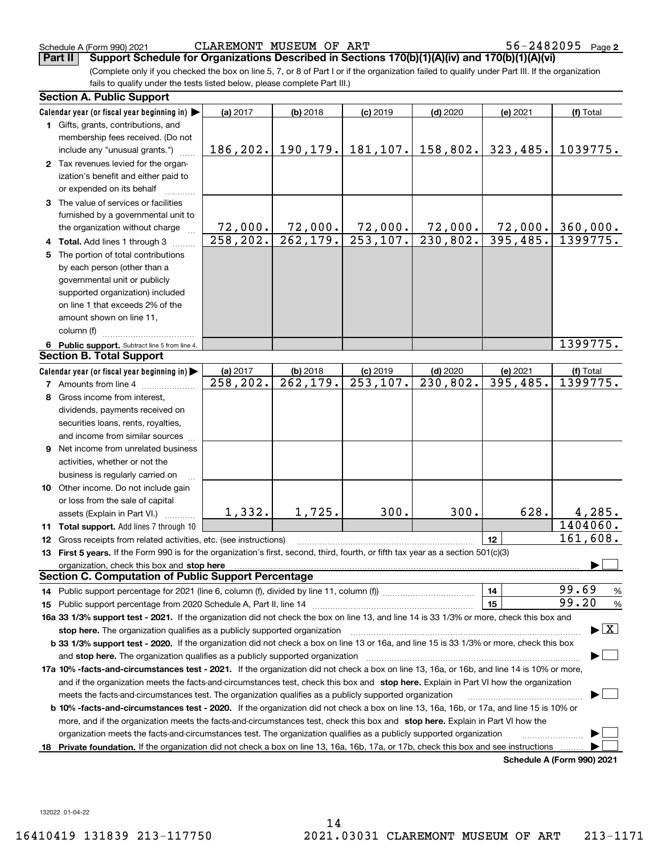(Complete only if you checked the box on line 5, 7, or 8 of Part I or if the organization failed to qualify under Part III. If the organization fails to qualify under the tests listed below, please complete Part III.) **Part II** Support Schedule for Organizations Described in Sections 170(b)(1)(A)(iv) and 170(b)(1)(A)(vi)

|    | <b>Section A. Public Support</b>                                                                                                                                                                                               |           |                        |            |            |          |                                          |
|----|--------------------------------------------------------------------------------------------------------------------------------------------------------------------------------------------------------------------------------|-----------|------------------------|------------|------------|----------|------------------------------------------|
|    | Calendar year (or fiscal year beginning in) $\blacktriangleright$                                                                                                                                                              | (a) 2017  | $(b)$ 2018             | $(c)$ 2019 | $(d)$ 2020 | (e) 2021 | (f) Total                                |
|    | 1 Gifts, grants, contributions, and                                                                                                                                                                                            |           |                        |            |            |          |                                          |
|    | membership fees received. (Do not                                                                                                                                                                                              |           |                        |            |            |          |                                          |
|    | include any "unusual grants.")                                                                                                                                                                                                 | 186, 202. | 190, 179.              | 181, 107.  | 158,802.   | 323,485. | 1039775.                                 |
|    | 2 Tax revenues levied for the organ-                                                                                                                                                                                           |           |                        |            |            |          |                                          |
|    | ization's benefit and either paid to                                                                                                                                                                                           |           |                        |            |            |          |                                          |
|    | or expended on its behalf                                                                                                                                                                                                      |           |                        |            |            |          |                                          |
|    | 3 The value of services or facilities                                                                                                                                                                                          |           |                        |            |            |          |                                          |
|    | furnished by a governmental unit to                                                                                                                                                                                            |           |                        |            |            |          |                                          |
|    | the organization without charge                                                                                                                                                                                                | 72,000.   | 72,000.                | 72,000.    | 72,000.    | 72,000.  | 360,000.                                 |
|    | 4 Total. Add lines 1 through 3                                                                                                                                                                                                 | 258, 202. | 262, 179.              | 253, 107.  | 230,802.   | 395,485. | 1399775.                                 |
| 5. | The portion of total contributions                                                                                                                                                                                             |           |                        |            |            |          |                                          |
|    | by each person (other than a                                                                                                                                                                                                   |           |                        |            |            |          |                                          |
|    | governmental unit or publicly                                                                                                                                                                                                  |           |                        |            |            |          |                                          |
|    | supported organization) included                                                                                                                                                                                               |           |                        |            |            |          |                                          |
|    | on line 1 that exceeds 2% of the                                                                                                                                                                                               |           |                        |            |            |          |                                          |
|    | amount shown on line 11,                                                                                                                                                                                                       |           |                        |            |            |          |                                          |
|    | column (f)                                                                                                                                                                                                                     |           |                        |            |            |          |                                          |
|    | 6 Public support. Subtract line 5 from line 4.                                                                                                                                                                                 |           |                        |            |            |          | 1399775.                                 |
|    | <b>Section B. Total Support</b>                                                                                                                                                                                                |           |                        |            |            |          |                                          |
|    | Calendar year (or fiscal year beginning in)                                                                                                                                                                                    | (a) 2017  | $(b)$ 2018             | $(c)$ 2019 | $(d)$ 2020 | (e) 2021 | (f) Total                                |
|    | <b>7</b> Amounts from line 4                                                                                                                                                                                                   | 258,202.  | $\overline{262,179}$ . | 253, 107.  | 230,802.   | 395,485. | 1399775.                                 |
|    | Gross income from interest,                                                                                                                                                                                                    |           |                        |            |            |          |                                          |
| 8  |                                                                                                                                                                                                                                |           |                        |            |            |          |                                          |
|    | dividends, payments received on                                                                                                                                                                                                |           |                        |            |            |          |                                          |
|    | securities loans, rents, royalties,                                                                                                                                                                                            |           |                        |            |            |          |                                          |
|    | and income from similar sources                                                                                                                                                                                                |           |                        |            |            |          |                                          |
| 9  | Net income from unrelated business                                                                                                                                                                                             |           |                        |            |            |          |                                          |
|    | activities, whether or not the                                                                                                                                                                                                 |           |                        |            |            |          |                                          |
|    | business is regularly carried on                                                                                                                                                                                               |           |                        |            |            |          |                                          |
|    | <b>10</b> Other income. Do not include gain                                                                                                                                                                                    |           |                        |            |            |          |                                          |
|    | or loss from the sale of capital                                                                                                                                                                                               |           |                        |            |            |          |                                          |
|    | assets (Explain in Part VI.)                                                                                                                                                                                                   | 1,332.    | 1,725.                 | 300.       | 300.       | 628.     | 4,285.                                   |
|    | 11 Total support. Add lines 7 through 10                                                                                                                                                                                       |           |                        |            |            |          | 1404060.                                 |
|    | <b>12</b> Gross receipts from related activities, etc. (see instructions)                                                                                                                                                      |           |                        |            |            | 12       | 161,608.                                 |
|    | 13 First 5 years. If the Form 990 is for the organization's first, second, third, fourth, or fifth tax year as a section 501(c)(3)                                                                                             |           |                        |            |            |          |                                          |
|    | organization, check this box and stop here manufactured and according to the state of the state of the state of the state of the state of the state of the state of the state of the state of the state of the state of the st |           |                        |            |            |          |                                          |
|    | <b>Section C. Computation of Public Support Percentage</b>                                                                                                                                                                     |           |                        |            |            |          |                                          |
|    |                                                                                                                                                                                                                                |           |                        |            |            | 14       | 99.69<br>$\frac{9}{6}$                   |
|    |                                                                                                                                                                                                                                |           |                        |            |            | 15       | 99.20<br>$\frac{9}{6}$                   |
|    | 16a 33 1/3% support test - 2021. If the organization did not check the box on line 13, and line 14 is 33 1/3% or more, check this box and                                                                                      |           |                        |            |            |          |                                          |
|    | stop here. The organization qualifies as a publicly supported organization                                                                                                                                                     |           |                        |            |            |          | $\blacktriangleright$ $\boxed{\text{X}}$ |
|    | b 33 1/3% support test - 2020. If the organization did not check a box on line 13 or 16a, and line 15 is 33 1/3% or more, check this box                                                                                       |           |                        |            |            |          |                                          |
|    | and stop here. The organization qualifies as a publicly supported organization                                                                                                                                                 |           |                        |            |            |          |                                          |
|    | 17a 10% -facts-and-circumstances test - 2021. If the organization did not check a box on line 13, 16a, or 16b, and line 14 is 10% or more,                                                                                     |           |                        |            |            |          |                                          |
|    | and if the organization meets the facts-and-circumstances test, check this box and stop here. Explain in Part VI how the organization                                                                                          |           |                        |            |            |          |                                          |
|    | meets the facts-and-circumstances test. The organization qualifies as a publicly supported organization                                                                                                                        |           |                        |            |            |          |                                          |
|    | <b>b 10% -facts-and-circumstances test - 2020.</b> If the organization did not check a box on line 13, 16a, 16b, or 17a, and line 15 is 10% or                                                                                 |           |                        |            |            |          |                                          |
|    | more, and if the organization meets the facts-and-circumstances test, check this box and stop here. Explain in Part VI how the                                                                                                 |           |                        |            |            |          |                                          |
|    | organization meets the facts-and-circumstances test. The organization qualifies as a publicly supported organization                                                                                                           |           |                        |            |            |          |                                          |
|    | 18 Private foundation. If the organization did not check a box on line 13, 16a, 16b, 17a, or 17b, check this box and see instructions                                                                                          |           |                        |            |            |          |                                          |
|    |                                                                                                                                                                                                                                |           |                        |            |            |          | Schedule A (Form 990) 2021               |

**Schedule A (Form 990) 2021**

132022 01-04-22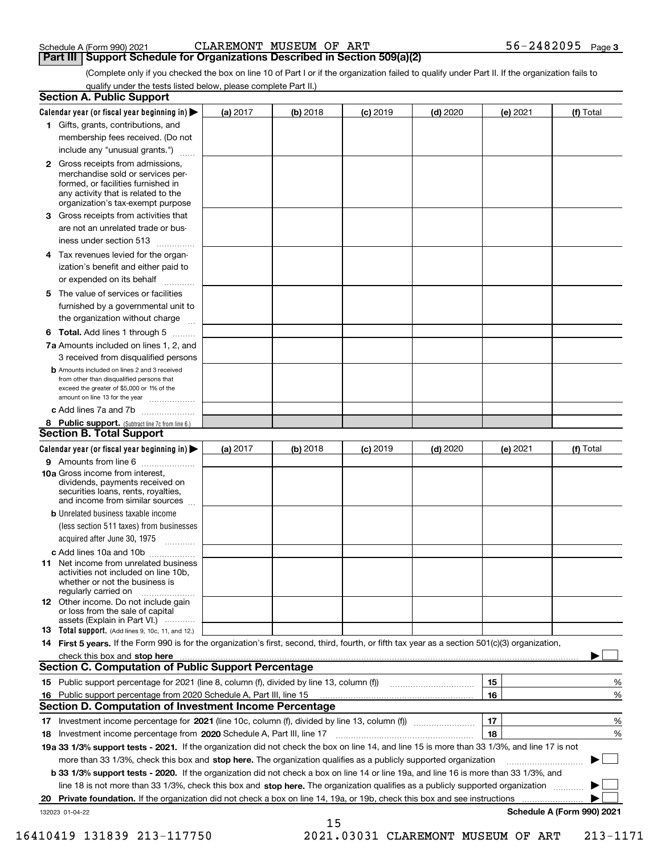| Schedule A (Form 990) 2021 |  |  |
|----------------------------|--|--|
|                            |  |  |

(Complete only if you checked the box on line 10 of Part I or if the organization failed to qualify under Part II. If the organization fails to **Part III Support Schedule for Organizations Described in Section 509(a)(2)** 

qualify under the tests listed below, please complete Part II.)

|    | <b>Section A. Public Support</b>                                                                                                                                                                                               |          |            |            |            |          |                            |
|----|--------------------------------------------------------------------------------------------------------------------------------------------------------------------------------------------------------------------------------|----------|------------|------------|------------|----------|----------------------------|
|    | Calendar year (or fiscal year beginning in) $\blacktriangleright$                                                                                                                                                              | (a) 2017 | (b) 2018   | $(c)$ 2019 | $(d)$ 2020 | (e) 2021 | (f) Total                  |
|    | 1 Gifts, grants, contributions, and                                                                                                                                                                                            |          |            |            |            |          |                            |
|    | membership fees received. (Do not                                                                                                                                                                                              |          |            |            |            |          |                            |
|    | include any "unusual grants.")                                                                                                                                                                                                 |          |            |            |            |          |                            |
|    | <b>2</b> Gross receipts from admissions,<br>merchandise sold or services per-<br>formed, or facilities furnished in<br>any activity that is related to the<br>organization's tax-exempt purpose                                |          |            |            |            |          |                            |
|    | 3 Gross receipts from activities that                                                                                                                                                                                          |          |            |            |            |          |                            |
|    | are not an unrelated trade or bus-<br>iness under section 513                                                                                                                                                                  |          |            |            |            |          |                            |
| 4  | Tax revenues levied for the organ-                                                                                                                                                                                             |          |            |            |            |          |                            |
|    | ization's benefit and either paid to<br>or expended on its behalf<br>.                                                                                                                                                         |          |            |            |            |          |                            |
|    | 5 The value of services or facilities<br>furnished by a governmental unit to                                                                                                                                                   |          |            |            |            |          |                            |
|    | the organization without charge                                                                                                                                                                                                |          |            |            |            |          |                            |
|    | <b>6 Total.</b> Add lines 1 through 5                                                                                                                                                                                          |          |            |            |            |          |                            |
|    | 7a Amounts included on lines 1, 2, and<br>3 received from disqualified persons                                                                                                                                                 |          |            |            |            |          |                            |
|    | <b>b</b> Amounts included on lines 2 and 3 received<br>from other than disqualified persons that<br>exceed the greater of \$5,000 or 1% of the<br>amount on line 13 for the year                                               |          |            |            |            |          |                            |
|    | c Add lines 7a and 7b                                                                                                                                                                                                          |          |            |            |            |          |                            |
|    | 8 Public support. (Subtract line 7c from line 6.)<br><b>Section B. Total Support</b>                                                                                                                                           |          |            |            |            |          |                            |
|    | Calendar year (or fiscal year beginning in)                                                                                                                                                                                    | (a) 2017 | $(b)$ 2018 | $(c)$ 2019 | $(d)$ 2020 | (e) 2021 | (f) Total                  |
|    | 9 Amounts from line 6                                                                                                                                                                                                          |          |            |            |            |          |                            |
|    | 10a Gross income from interest,<br>dividends, payments received on<br>securities loans, rents, royalties,<br>and income from similar sources                                                                                   |          |            |            |            |          |                            |
|    | <b>b</b> Unrelated business taxable income                                                                                                                                                                                     |          |            |            |            |          |                            |
|    | (less section 511 taxes) from businesses                                                                                                                                                                                       |          |            |            |            |          |                            |
|    | acquired after June 30, 1975<br>1.1.1.1.1.1.1.1.1.1                                                                                                                                                                            |          |            |            |            |          |                            |
|    | c Add lines 10a and 10b                                                                                                                                                                                                        |          |            |            |            |          |                            |
|    | 11 Net income from unrelated business<br>activities not included on line 10b,<br>whether or not the business is<br>regularly carried on                                                                                        |          |            |            |            |          |                            |
|    | 12 Other income. Do not include gain<br>or loss from the sale of capital<br>assets (Explain in Part VI.)                                                                                                                       |          |            |            |            |          |                            |
|    | <b>13</b> Total support. (Add lines 9, 10c, 11, and 12.)                                                                                                                                                                       |          |            |            |            |          |                            |
|    | 14 First 5 years. If the Form 990 is for the organization's first, second, third, fourth, or fifth tax year as a section 501(c)(3) organization,                                                                               |          |            |            |            |          |                            |
|    | check this box and stop here measurements and contain the state of the state of the state of the state of the state of the state of the state of the state of the state of the state of the state of the state of the state of |          |            |            |            |          |                            |
|    | <b>Section C. Computation of Public Support Percentage</b>                                                                                                                                                                     |          |            |            |            |          |                            |
|    |                                                                                                                                                                                                                                |          |            |            |            | 15       | %                          |
| 16 | Public support percentage from 2020 Schedule A, Part III, line 15                                                                                                                                                              |          |            |            |            | 16       | %                          |
|    | <b>Section D. Computation of Investment Income Percentage</b>                                                                                                                                                                  |          |            |            |            |          |                            |
|    | 17 Investment income percentage for 2021 (line 10c, column (f), divided by line 13, column (f))                                                                                                                                |          |            |            |            | 17       | %                          |
| 18 | Investment income percentage from 2020 Schedule A, Part III, line 17                                                                                                                                                           |          |            |            |            | 18       | %                          |
|    | 19a 33 1/3% support tests - 2021. If the organization did not check the box on line 14, and line 15 is more than 33 1/3%, and line 17 is not                                                                                   |          |            |            |            |          |                            |
|    | more than 33 1/3%, check this box and stop here. The organization qualifies as a publicly supported organization                                                                                                               |          |            |            |            |          |                            |
|    | <b>b 33 1/3% support tests - 2020.</b> If the organization did not check a box on line 14 or line 19a, and line 16 is more than 33 1/3%, and                                                                                   |          |            |            |            |          |                            |
|    | line 18 is not more than 33 1/3%, check this box and stop here. The organization qualifies as a publicly supported organization                                                                                                |          |            |            |            |          |                            |
| 20 | Private foundation. If the organization did not check a box on line 14, 19a, or 19b, check this box and see instructions                                                                                                       |          |            |            |            |          |                            |
|    | 132023 01-04-22                                                                                                                                                                                                                |          |            |            |            |          | Schedule A (Form 990) 2021 |
|    |                                                                                                                                                                                                                                |          | 15         |            |            |          |                            |

 <sup>16410419 131839 213-117750 2021.03031</sup> CLAREMONT MUSEUM OF ART 213-1171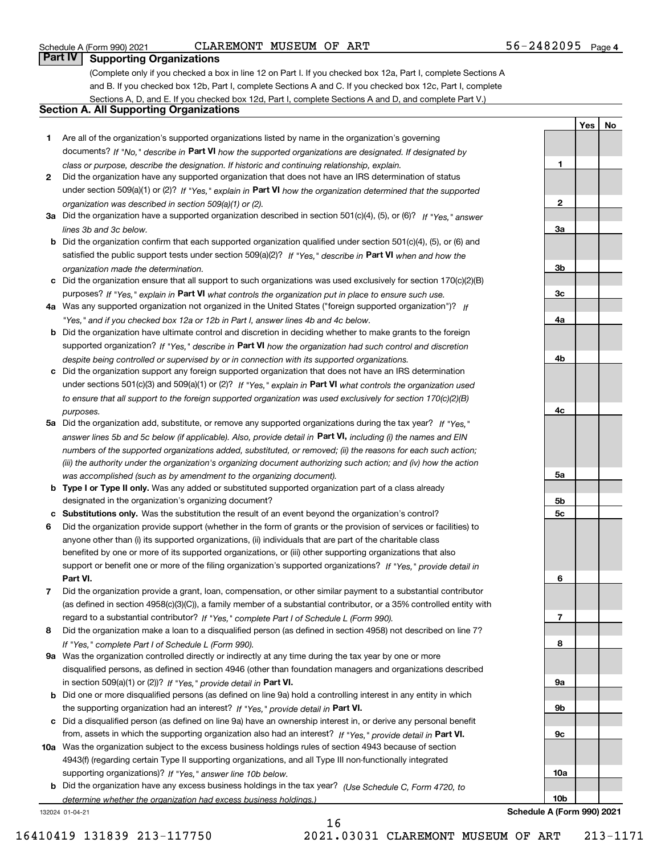**1**

**2**

**3a**

**3b**

**3c**

**4a**

**4b**

**4c**

**5a**

**5b5c**

**6**

**7**

**8**

**9a**

**9b**

**9c**

**10a**

**YesNo**

# **Part IV Supporting Organizations**

(Complete only if you checked a box in line 12 on Part I. If you checked box 12a, Part I, complete Sections A and B. If you checked box 12b, Part I, complete Sections A and C. If you checked box 12c, Part I, complete Sections A, D, and E. If you checked box 12d, Part I, complete Sections A and D, and complete Part V.)

# **Section A. All Supporting Organizations**

- **1** Are all of the organization's supported organizations listed by name in the organization's governing documents? If "No," describe in **Part VI** how the supported organizations are designated. If designated by *class or purpose, describe the designation. If historic and continuing relationship, explain.*
- **2** Did the organization have any supported organization that does not have an IRS determination of status under section 509(a)(1) or (2)? If "Yes," explain in Part VI how the organization determined that the supported *organization was described in section 509(a)(1) or (2).*
- **3a** Did the organization have a supported organization described in section 501(c)(4), (5), or (6)? If "Yes," answer *lines 3b and 3c below.*
- **b** Did the organization confirm that each supported organization qualified under section 501(c)(4), (5), or (6) and satisfied the public support tests under section 509(a)(2)? If "Yes," describe in **Part VI** when and how the *organization made the determination.*
- **c**Did the organization ensure that all support to such organizations was used exclusively for section 170(c)(2)(B) purposes? If "Yes," explain in **Part VI** what controls the organization put in place to ensure such use.
- **4a***If* Was any supported organization not organized in the United States ("foreign supported organization")? *"Yes," and if you checked box 12a or 12b in Part I, answer lines 4b and 4c below.*
- **b** Did the organization have ultimate control and discretion in deciding whether to make grants to the foreign supported organization? If "Yes," describe in **Part VI** how the organization had such control and discretion *despite being controlled or supervised by or in connection with its supported organizations.*
- **c** Did the organization support any foreign supported organization that does not have an IRS determination under sections 501(c)(3) and 509(a)(1) or (2)? If "Yes," explain in **Part VI** what controls the organization used *to ensure that all support to the foreign supported organization was used exclusively for section 170(c)(2)(B) purposes.*
- **5a** Did the organization add, substitute, or remove any supported organizations during the tax year? If "Yes," answer lines 5b and 5c below (if applicable). Also, provide detail in **Part VI,** including (i) the names and EIN *numbers of the supported organizations added, substituted, or removed; (ii) the reasons for each such action; (iii) the authority under the organization's organizing document authorizing such action; and (iv) how the action was accomplished (such as by amendment to the organizing document).*
- **b** Type I or Type II only. Was any added or substituted supported organization part of a class already designated in the organization's organizing document?
- **cSubstitutions only.**  Was the substitution the result of an event beyond the organization's control?
- **6** Did the organization provide support (whether in the form of grants or the provision of services or facilities) to **Part VI.** *If "Yes," provide detail in* support or benefit one or more of the filing organization's supported organizations? anyone other than (i) its supported organizations, (ii) individuals that are part of the charitable class benefited by one or more of its supported organizations, or (iii) other supporting organizations that also
- **7**Did the organization provide a grant, loan, compensation, or other similar payment to a substantial contributor *If "Yes," complete Part I of Schedule L (Form 990).* regard to a substantial contributor? (as defined in section 4958(c)(3)(C)), a family member of a substantial contributor, or a 35% controlled entity with
- **8** Did the organization make a loan to a disqualified person (as defined in section 4958) not described on line 7? *If "Yes," complete Part I of Schedule L (Form 990).*
- **9a** Was the organization controlled directly or indirectly at any time during the tax year by one or more in section 509(a)(1) or (2))? If "Yes," *provide detail in* <code>Part VI.</code> disqualified persons, as defined in section 4946 (other than foundation managers and organizations described
- **b** Did one or more disqualified persons (as defined on line 9a) hold a controlling interest in any entity in which the supporting organization had an interest? If "Yes," provide detail in P**art VI**.
- **c**Did a disqualified person (as defined on line 9a) have an ownership interest in, or derive any personal benefit from, assets in which the supporting organization also had an interest? If "Yes," provide detail in P**art VI.**
- **10a** Was the organization subject to the excess business holdings rules of section 4943 because of section supporting organizations)? If "Yes," answer line 10b below. 4943(f) (regarding certain Type II supporting organizations, and all Type III non-functionally integrated
- **b** Did the organization have any excess business holdings in the tax year? (Use Schedule C, Form 4720, to *determine whether the organization had excess business holdings.)*

16

132024 01-04-21

**10bSchedule A (Form 990) 2021**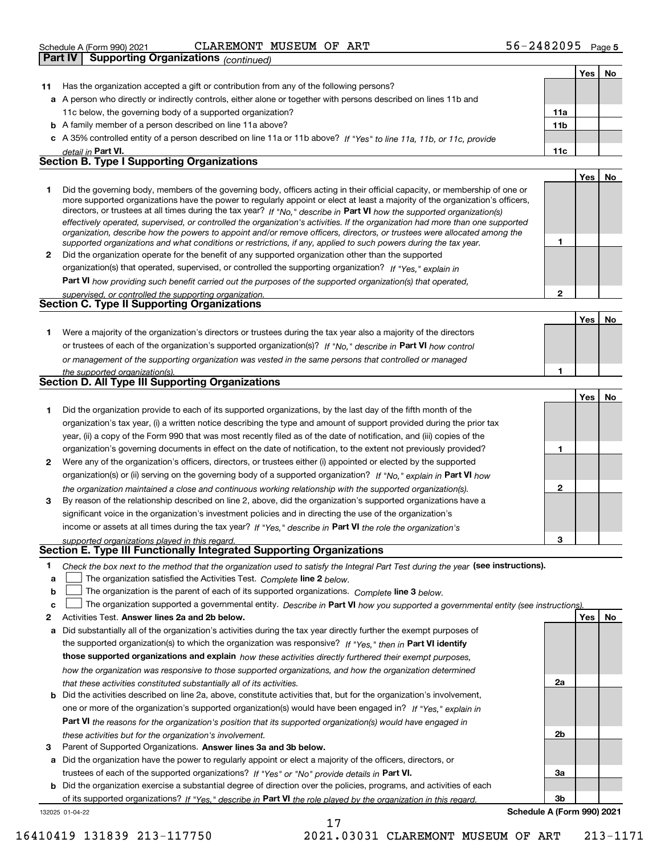|              | Part IV | <b>Supporting Organizations</b> (continued)                                                                                                                                                                                                                 |                 |            |    |
|--------------|---------|-------------------------------------------------------------------------------------------------------------------------------------------------------------------------------------------------------------------------------------------------------------|-----------------|------------|----|
|              |         |                                                                                                                                                                                                                                                             |                 | <b>Yes</b> | No |
| 11           |         | Has the organization accepted a gift or contribution from any of the following persons?                                                                                                                                                                     |                 |            |    |
|              |         | a A person who directly or indirectly controls, either alone or together with persons described on lines 11b and                                                                                                                                            |                 |            |    |
|              |         | 11c below, the governing body of a supported organization?                                                                                                                                                                                                  | 11a             |            |    |
|              |         | <b>b</b> A family member of a person described on line 11a above?                                                                                                                                                                                           | 11 <sub>b</sub> |            |    |
|              |         | c A 35% controlled entity of a person described on line 11a or 11b above? If "Yes" to line 11a, 11b, or 11c, provide                                                                                                                                        |                 |            |    |
|              |         | detail in Part VI.                                                                                                                                                                                                                                          | 11c             |            |    |
|              |         | <b>Section B. Type I Supporting Organizations</b>                                                                                                                                                                                                           |                 |            |    |
|              |         |                                                                                                                                                                                                                                                             |                 | Yes        | No |
| 1            |         | Did the governing body, members of the governing body, officers acting in their official capacity, or membership of one or<br>more supported organizations have the power to regularly appoint or elect at least a majority of the organization's officers, |                 |            |    |
|              |         | directors, or trustees at all times during the tax year? If "No," describe in Part VI how the supported organization(s)<br>effectively operated, supervised, or controlled the organization's activities. If the organization had more than one supported   |                 |            |    |
|              |         | organization, describe how the powers to appoint and/or remove officers, directors, or trustees were allocated among the<br>supported organizations and what conditions or restrictions, if any, applied to such powers during the tax year.                | 1               |            |    |
|              |         | 2 Did the organization operate for the benefit of any supported organization other than the supported                                                                                                                                                       |                 |            |    |
|              |         | organization(s) that operated, supervised, or controlled the supporting organization? If "Yes," explain in                                                                                                                                                  |                 |            |    |
|              |         | Part VI how providing such benefit carried out the purposes of the supported organization(s) that operated,                                                                                                                                                 |                 |            |    |
|              |         | supervised, or controlled the supporting organization.                                                                                                                                                                                                      | $\overline{2}$  |            |    |
|              |         | Section C. Type II Supporting Organizations                                                                                                                                                                                                                 |                 |            |    |
|              |         |                                                                                                                                                                                                                                                             |                 | Yes        | No |
| 1            |         | Were a majority of the organization's directors or trustees during the tax year also a majority of the directors                                                                                                                                            |                 |            |    |
|              |         | or trustees of each of the organization's supported organization(s)? If "No," describe in Part VI how control                                                                                                                                               |                 |            |    |
|              |         | or management of the supporting organization was vested in the same persons that controlled or managed                                                                                                                                                      |                 |            |    |
|              |         | the supported organization(s).                                                                                                                                                                                                                              | 1               |            |    |
|              |         | Section D. All Type III Supporting Organizations                                                                                                                                                                                                            |                 |            |    |
|              |         |                                                                                                                                                                                                                                                             |                 | Yes        | No |
| 1            |         | Did the organization provide to each of its supported organizations, by the last day of the fifth month of the                                                                                                                                              |                 |            |    |
|              |         | organization's tax year, (i) a written notice describing the type and amount of support provided during the prior tax                                                                                                                                       |                 |            |    |
|              |         | year, (ii) a copy of the Form 990 that was most recently filed as of the date of notification, and (iii) copies of the                                                                                                                                      |                 |            |    |
|              |         | organization's governing documents in effect on the date of notification, to the extent not previously provided?                                                                                                                                            | 1               |            |    |
| $\mathbf{2}$ |         | Were any of the organization's officers, directors, or trustees either (i) appointed or elected by the supported                                                                                                                                            |                 |            |    |
|              |         | organization(s) or (ii) serving on the governing body of a supported organization? If "No," explain in Part VI how                                                                                                                                          |                 |            |    |
|              |         | the organization maintained a close and continuous working relationship with the supported organization(s).                                                                                                                                                 | $\mathbf{2}$    |            |    |
| 3            |         | By reason of the relationship described on line 2, above, did the organization's supported organizations have a                                                                                                                                             |                 |            |    |
|              |         | significant voice in the organization's investment policies and in directing the use of the organization's                                                                                                                                                  |                 |            |    |
|              |         | income or assets at all times during the tax year? If "Yes," describe in Part VI the role the organization's                                                                                                                                                |                 |            |    |
|              |         | supported organizations played in this regard.<br>Section E. Type III Functionally Integrated Supporting Organizations                                                                                                                                      | 3               |            |    |
|              |         |                                                                                                                                                                                                                                                             |                 |            |    |

- **1**Check the box next to the method that the organization used to satisfy the Integral Part Test during the year (see instructions).
- **alinupy** The organization satisfied the Activities Test. Complete line 2 below.
- **bThe organization is the parent of each of its supported organizations. Complete line 3 below.**

|  | c $\Box$ The organization supported a governmental entity. Describe in Part VI how you supported a governmental entity (see instructions) |  |  |  |
|--|-------------------------------------------------------------------------------------------------------------------------------------------|--|--|--|
|--|-------------------------------------------------------------------------------------------------------------------------------------------|--|--|--|

17

- **2Answer lines 2a and 2b below. Yes No** Activities Test.
- **a** Did substantially all of the organization's activities during the tax year directly further the exempt purposes of the supported organization(s) to which the organization was responsive? If "Yes," then in **Part VI identify those supported organizations and explain**  *how these activities directly furthered their exempt purposes, how the organization was responsive to those supported organizations, and how the organization determined that these activities constituted substantially all of its activities.*
- **b** Did the activities described on line 2a, above, constitute activities that, but for the organization's involvement, **Part VI**  *the reasons for the organization's position that its supported organization(s) would have engaged in* one or more of the organization's supported organization(s) would have been engaged in? If "Yes," e*xplain in these activities but for the organization's involvement.*
- **3** Parent of Supported Organizations. Answer lines 3a and 3b below.

**a** Did the organization have the power to regularly appoint or elect a majority of the officers, directors, or trustees of each of the supported organizations? If "Yes" or "No" provide details in **Part VI.** 

132025 01-04-22 **b** Did the organization exercise a substantial degree of direction over the policies, programs, and activities of each of its supported organizations? If "Yes," describe in Part VI the role played by the organization in this regard.

**3bSchedule A (Form 990) 2021**

**2a**

**2b**

**3a**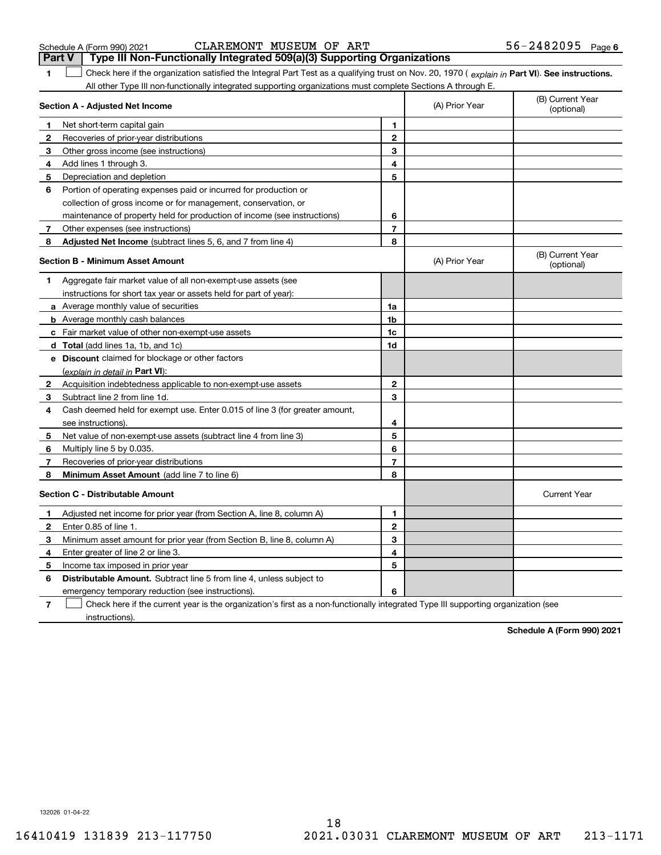| Schedule A (Form 990) 202 |  |  |  |
|---------------------------|--|--|--|
|---------------------------|--|--|--|

|              | $\sim$ $\sim$                                                                                                                                  | .              |                |                                |
|--------------|------------------------------------------------------------------------------------------------------------------------------------------------|----------------|----------------|--------------------------------|
| 1            | Check here if the organization satisfied the Integral Part Test as a qualifying trust on Nov. 20, 1970 (explain in Part VI). See instructions. |                |                |                                |
|              | All other Type III non-functionally integrated supporting organizations must complete Sections A through E.<br>Section A - Adjusted Net Income |                | (A) Prior Year | (B) Current Year<br>(optional) |
| 1            | Net short-term capital gain                                                                                                                    | 1              |                |                                |
| $\mathbf{2}$ | Recoveries of prior-year distributions                                                                                                         | $\mathbf 2$    |                |                                |
| 3            | Other gross income (see instructions)                                                                                                          | 3              |                |                                |
| 4            | Add lines 1 through 3.                                                                                                                         | 4              |                |                                |
| 5            | Depreciation and depletion                                                                                                                     | 5              |                |                                |
| 6            | Portion of operating expenses paid or incurred for production or                                                                               |                |                |                                |
|              | collection of gross income or for management, conservation, or                                                                                 |                |                |                                |
|              | maintenance of property held for production of income (see instructions)                                                                       | 6              |                |                                |
| 7            | Other expenses (see instructions)                                                                                                              | $\overline{7}$ |                |                                |
| 8            | Adjusted Net Income (subtract lines 5, 6, and 7 from line 4)                                                                                   | 8              |                |                                |
|              | <b>Section B - Minimum Asset Amount</b>                                                                                                        |                | (A) Prior Year | (B) Current Year<br>(optional) |
| 1            | Aggregate fair market value of all non-exempt-use assets (see                                                                                  |                |                |                                |
|              | instructions for short tax year or assets held for part of year):                                                                              |                |                |                                |
|              | a Average monthly value of securities                                                                                                          | 1a             |                |                                |
|              | <b>b</b> Average monthly cash balances                                                                                                         | 1 <sub>b</sub> |                |                                |
|              | c Fair market value of other non-exempt-use assets                                                                                             | 1c             |                |                                |
|              | <b>d</b> Total (add lines 1a, 1b, and 1c)                                                                                                      | 1d             |                |                                |
|              | e Discount claimed for blockage or other factors                                                                                               |                |                |                                |
|              | (explain in detail in Part VI):                                                                                                                |                |                |                                |
| $\mathbf{2}$ | Acquisition indebtedness applicable to non-exempt-use assets                                                                                   | $\mathbf{2}$   |                |                                |
| 3            | Subtract line 2 from line 1d.                                                                                                                  | 3              |                |                                |
| 4            | Cash deemed held for exempt use. Enter 0.015 of line 3 (for greater amount,                                                                    |                |                |                                |
|              | see instructions).                                                                                                                             | 4              |                |                                |
| 5            | Net value of non-exempt-use assets (subtract line 4 from line 3)                                                                               | 5              |                |                                |
| 6            | Multiply line 5 by 0.035.                                                                                                                      | 6              |                |                                |
| 7            | Recoveries of prior-year distributions                                                                                                         | $\overline{7}$ |                |                                |
| 8            | <b>Minimum Asset Amount</b> (add line 7 to line 6)                                                                                             | 8              |                |                                |
|              | <b>Section C - Distributable Amount</b>                                                                                                        |                |                | <b>Current Year</b>            |
| 1.           | Adjusted net income for prior year (from Section A, line 8, column A)                                                                          | 1              |                |                                |
| $\mathbf{2}$ | Enter 0.85 of line 1.                                                                                                                          | $\overline{2}$ |                |                                |
| 3            | Minimum asset amount for prior year (from Section B, line 8, column A)                                                                         | 3              |                |                                |
| 4            | Enter greater of line 2 or line 3.                                                                                                             | 4              |                |                                |
| 5            | Income tax imposed in prior year                                                                                                               | 5              |                |                                |
| 6            | Distributable Amount. Subtract line 5 from line 4, unless subject to                                                                           |                |                |                                |
|              | emergency temporary reduction (see instructions).                                                                                              | 6              |                |                                |
|              |                                                                                                                                                |                |                |                                |

**7**Check here if the current year is the organization's first as a non-functionally integrated Type III supporting organization (see instructions).

**Schedule A (Form 990) 2021**

132026 01-04-22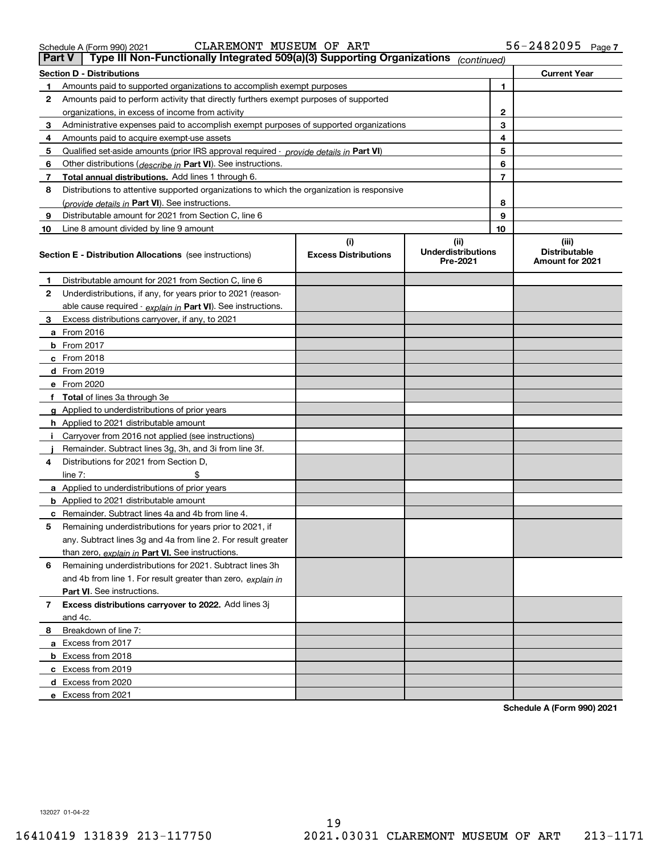and 4c.

**2**

**910**

**1**

**i**

**a** From 2016 **b** From 2017 **c**From 2018 **d**From 2019 **e**From 2020

**d**Excess from 2020 **e**Excess from 2021

**8**Breakdown of line 7:

**a** Excess from 2017 **b** Excess from 2018 **c**Excess from 2019

**Part VI** . See instructions.

**1**Amounts paid to supported organizations to accomplish exempt purposes Amounts paid to perform activity that directly furthers exempt purposes of supported organizations, in excess of income from activity

> **(i)Excess Distributions**

**Section D - Distributions Current Year**

| Schedule A (Form 990) 2021 |  | CLAREMONT MUSEUM OF ART |  |                                                                                                          | $56 - 2482095$ Page 7 |  |
|----------------------------|--|-------------------------|--|----------------------------------------------------------------------------------------------------------|-----------------------|--|
|                            |  |                         |  | <b>Part V</b>   Type III Non-Functionally Integrated 509(a)(3) Supporting Organizations $_{(continued)}$ |                       |  |

Qualified set-aside amounts (prior IRS approval required - *provide details in* Part VI)

Administrative expenses paid to accomplish exempt purposes of supported organizations

Distributions to attentive supported organizations to which the organization is responsive

Other distributions ( *describe in* Part VI). See instructions. **Total annual distributions.** Add lines 1 through 6.

(*provide details in* Part VI). See instructions.

Line 8 amount divided by line 9 amount

Amounts paid to acquire exempt-use assets

**Section E - Distribution Allocations**  (see instructions)

**3**Excess distributions carryover, if any, to 2021

**g**Applied to underdistributions of prior years **h** Applied to 2021 distributable amount

**a** Applied to underdistributions of prior years **b** Applied to 2021 distributable amount

**4**Distributions for 2021 from Section D,

 $line 7:$   $\frac{1}{2}$ 

**fTotal**  of lines 3a through 3e

**5** Remaining underdistributions for years prior to 2021, if

**c** Remainder. Subtract lines 4a and 4b from line 4.

<u>than zero, *explain in* Part VI. See instructions.</u>

**j** Remainder. Subtract lines 3g, 3h, and 3i from line 3f.

Carryover from 2016 not applied (see instructions)

**6** Remaining underdistributions for 2021. Subtract lines 3h

and 4b from line 1. For result greater than zero, *explain in* 

any. Subtract lines 3g and 4a from line 2. For result greater

**7Excess distributions carryover to 2022.**  Add lines 3j

**2**Underdistributions, if any, for years prior to 2021 (reason-

Distributable amount for 2021 from Section C, line 6

Distributable amount for 2021 from Section C, line 6

<u>able cause required - *explain in* Part VI). See instructions.</u>

**(iii) DistributableAmount for 2021**

**1**

**8910**

**(ii) Underdistributions Pre-2021**

**Schedule A (Form 990) 2021**

132027 01-04-22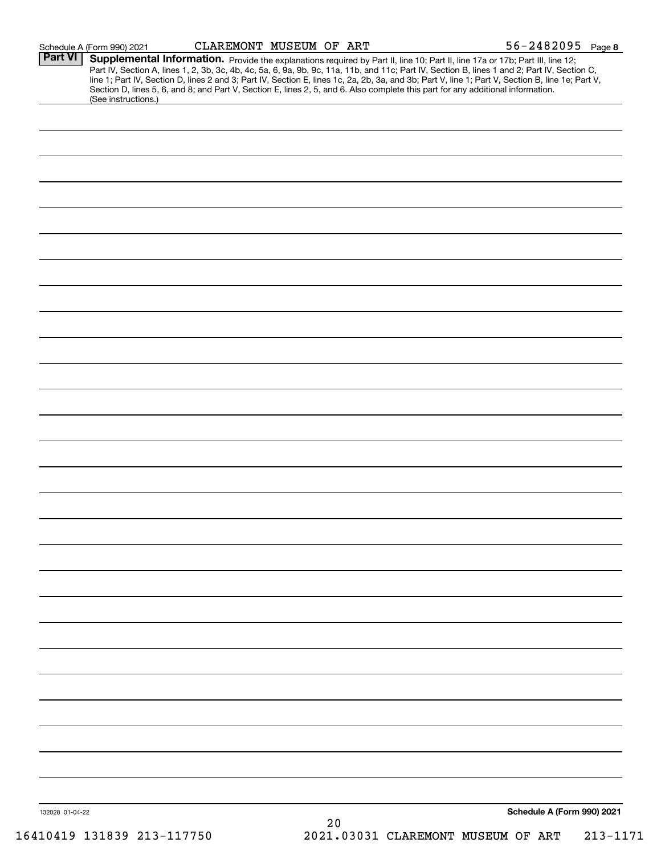|                 | Schedule A (Form 990) 2021 | CLAREMONT MUSEUM OF ART |    |                                                                                                                                 | $56 - 2482095$ Page 8                                                                                                                                                                                                                                                                                                                                                                                                             |
|-----------------|----------------------------|-------------------------|----|---------------------------------------------------------------------------------------------------------------------------------|-----------------------------------------------------------------------------------------------------------------------------------------------------------------------------------------------------------------------------------------------------------------------------------------------------------------------------------------------------------------------------------------------------------------------------------|
| <b>Part VI</b>  | (See instructions.)        |                         |    | Section D, lines 5, 6, and 8; and Part V, Section E, lines 2, 5, and 6. Also complete this part for any additional information. | Supplemental Information. Provide the explanations required by Part II, line 10; Part II, line 17a or 17b; Part III, line 12;<br>Part IV, Section A, lines 1, 2, 3b, 3c, 4b, 4c, 5a, 6, 9a, 9b, 9c, 11a, 11b, and 11c; Part IV, Section B, lines 1 and 2; Part IV, Section C,<br>line 1; Part IV, Section D, lines 2 and 3; Part IV, Section E, lines 1c, 2a, 2b, 3a, and 3b; Part V, line 1; Part V, Section B, line 1e; Part V, |
|                 |                            |                         |    |                                                                                                                                 |                                                                                                                                                                                                                                                                                                                                                                                                                                   |
|                 |                            |                         |    |                                                                                                                                 |                                                                                                                                                                                                                                                                                                                                                                                                                                   |
|                 |                            |                         |    |                                                                                                                                 |                                                                                                                                                                                                                                                                                                                                                                                                                                   |
|                 |                            |                         |    |                                                                                                                                 |                                                                                                                                                                                                                                                                                                                                                                                                                                   |
|                 |                            |                         |    |                                                                                                                                 |                                                                                                                                                                                                                                                                                                                                                                                                                                   |
|                 |                            |                         |    |                                                                                                                                 |                                                                                                                                                                                                                                                                                                                                                                                                                                   |
|                 |                            |                         |    |                                                                                                                                 |                                                                                                                                                                                                                                                                                                                                                                                                                                   |
|                 |                            |                         |    |                                                                                                                                 |                                                                                                                                                                                                                                                                                                                                                                                                                                   |
|                 |                            |                         |    |                                                                                                                                 |                                                                                                                                                                                                                                                                                                                                                                                                                                   |
|                 |                            |                         |    |                                                                                                                                 |                                                                                                                                                                                                                                                                                                                                                                                                                                   |
|                 |                            |                         |    |                                                                                                                                 |                                                                                                                                                                                                                                                                                                                                                                                                                                   |
|                 |                            |                         |    |                                                                                                                                 |                                                                                                                                                                                                                                                                                                                                                                                                                                   |
|                 |                            |                         |    |                                                                                                                                 |                                                                                                                                                                                                                                                                                                                                                                                                                                   |
|                 |                            |                         |    |                                                                                                                                 |                                                                                                                                                                                                                                                                                                                                                                                                                                   |
|                 |                            |                         |    |                                                                                                                                 |                                                                                                                                                                                                                                                                                                                                                                                                                                   |
|                 |                            |                         |    |                                                                                                                                 |                                                                                                                                                                                                                                                                                                                                                                                                                                   |
|                 |                            |                         |    |                                                                                                                                 |                                                                                                                                                                                                                                                                                                                                                                                                                                   |
|                 |                            |                         |    |                                                                                                                                 |                                                                                                                                                                                                                                                                                                                                                                                                                                   |
|                 |                            |                         |    |                                                                                                                                 |                                                                                                                                                                                                                                                                                                                                                                                                                                   |
|                 |                            |                         |    |                                                                                                                                 |                                                                                                                                                                                                                                                                                                                                                                                                                                   |
|                 |                            |                         |    |                                                                                                                                 |                                                                                                                                                                                                                                                                                                                                                                                                                                   |
|                 |                            |                         |    |                                                                                                                                 |                                                                                                                                                                                                                                                                                                                                                                                                                                   |
|                 |                            |                         |    |                                                                                                                                 |                                                                                                                                                                                                                                                                                                                                                                                                                                   |
|                 |                            |                         |    |                                                                                                                                 |                                                                                                                                                                                                                                                                                                                                                                                                                                   |
|                 |                            |                         |    |                                                                                                                                 |                                                                                                                                                                                                                                                                                                                                                                                                                                   |
|                 |                            |                         |    |                                                                                                                                 |                                                                                                                                                                                                                                                                                                                                                                                                                                   |
|                 |                            |                         |    |                                                                                                                                 |                                                                                                                                                                                                                                                                                                                                                                                                                                   |
|                 |                            |                         |    |                                                                                                                                 |                                                                                                                                                                                                                                                                                                                                                                                                                                   |
|                 |                            |                         |    |                                                                                                                                 |                                                                                                                                                                                                                                                                                                                                                                                                                                   |
|                 |                            |                         |    |                                                                                                                                 |                                                                                                                                                                                                                                                                                                                                                                                                                                   |
| 132028 01-04-22 |                            |                         | 20 |                                                                                                                                 | Schedule A (Form 990) 2021                                                                                                                                                                                                                                                                                                                                                                                                        |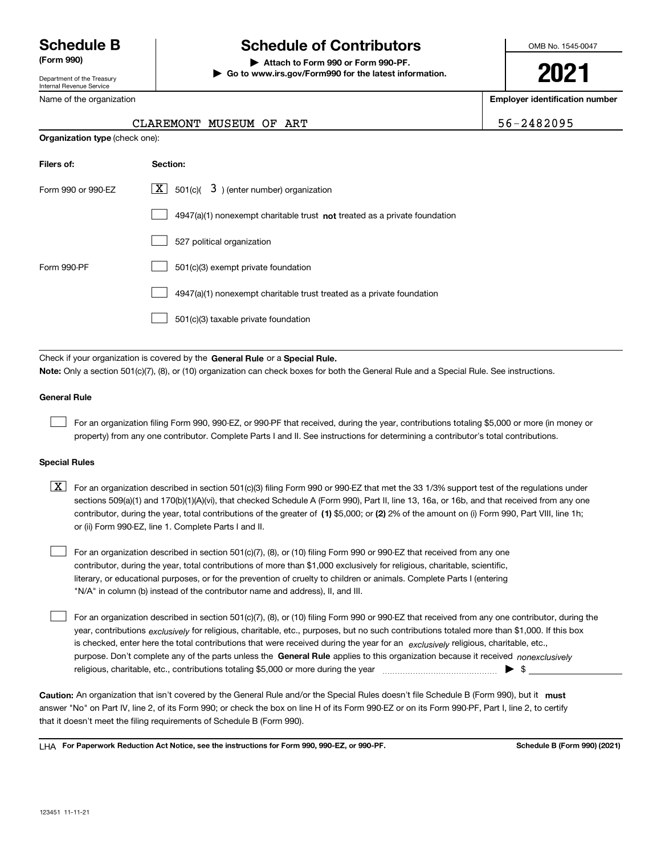Department of the Treasury Internal Revenue Service

Name of the organization

# **Schedule B Schedule of Contributors**

**(Form 990) | Attach to Form 990 or Form 990-PF. | Go to www.irs.gov/Form990 for the latest information.** OMB No. 1545-0047

**2021**

**Employer identification number**

| $6 - 2482095$ |  |
|---------------|--|
|---------------|--|

| CLAREMONT MUSEUM OF | ART |  |
|---------------------|-----|--|

| <b>Organization type (check one):</b> |                                                                             |  |  |  |
|---------------------------------------|-----------------------------------------------------------------------------|--|--|--|
| Filers of:                            | Section:                                                                    |  |  |  |
| Form 990 or 990-EZ                    | X  <br>$\,$ 501(c)( $\,$ 3) (enter number) organization                     |  |  |  |
|                                       | $4947(a)(1)$ nonexempt charitable trust not treated as a private foundation |  |  |  |
|                                       | 527 political organization                                                  |  |  |  |
| Form 990-PF                           | 501(c)(3) exempt private foundation                                         |  |  |  |
|                                       | 4947(a)(1) nonexempt charitable trust treated as a private foundation       |  |  |  |
|                                       | 501(c)(3) taxable private foundation                                        |  |  |  |

Check if your organization is covered by the **General Rule** or a **Special Rule. Note:**  Only a section 501(c)(7), (8), or (10) organization can check boxes for both the General Rule and a Special Rule. See instructions.

## **General Rule**

 $\mathcal{L}^{\text{max}}$ 

For an organization filing Form 990, 990-EZ, or 990-PF that received, during the year, contributions totaling \$5,000 or more (in money or property) from any one contributor. Complete Parts I and II. See instructions for determining a contributor's total contributions.

## **Special Rules**

contributor, during the year, total contributions of the greater of (1**)** \$5,000; or (2) 2% of the amount on (i) Form 990, Part VIII, line 1h;  $\boxed{\textbf{X}}$  For an organization described in section 501(c)(3) filing Form 990 or 990-EZ that met the 33 1/3% support test of the regulations under sections 509(a)(1) and 170(b)(1)(A)(vi), that checked Schedule A (Form 990), Part II, line 13, 16a, or 16b, and that received from any one or (ii) Form 990-EZ, line 1. Complete Parts I and II.

For an organization described in section 501(c)(7), (8), or (10) filing Form 990 or 990-EZ that received from any one contributor, during the year, total contributions of more than \$1,000 exclusively for religious, charitable, scientific, literary, or educational purposes, or for the prevention of cruelty to children or animals. Complete Parts I (entering "N/A" in column (b) instead of the contributor name and address), II, and III.  $\mathcal{L}^{\text{max}}$ 

purpose. Don't complete any of the parts unless the **General Rule** applies to this organization because it received *nonexclusively* year, contributions <sub>exclusively</sub> for religious, charitable, etc., purposes, but no such contributions totaled more than \$1,000. If this box is checked, enter here the total contributions that were received during the year for an  $\;$ exclusively religious, charitable, etc., For an organization described in section 501(c)(7), (8), or (10) filing Form 990 or 990-EZ that received from any one contributor, during the religious, charitable, etc., contributions totaling \$5,000 or more during the year  $\Box$ — $\Box$   $\Box$  $\mathcal{L}^{\text{max}}$ 

Caution: An organization that isn't covered by the General Rule and/or the Special Rules doesn't file Schedule B (Form 990), but it **must** answer "No" on Part IV, line 2, of its Form 990; or check the box on line H of its Form 990-EZ or on its Form 990-PF, Part I, line 2, to certify that it doesn't meet the filing requirements of Schedule B (Form 990).

LHA For Paperwork Reduction Act Notice, see the instructions for Form 990, 990-EZ, or 990-PF. **In the act and Schedule B** (Form 990) (2021)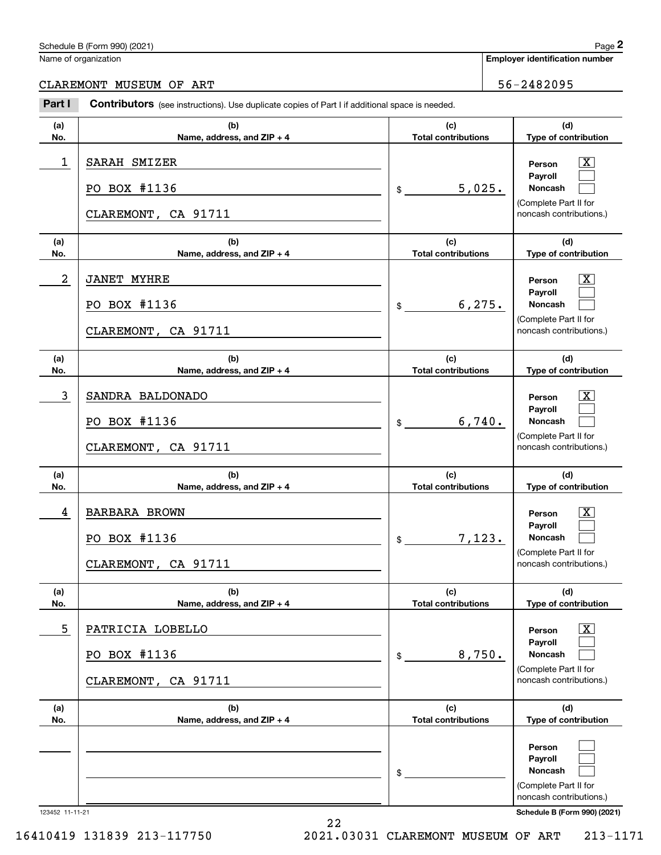## Schedule B (Form 990) (2021) Page 2

Name of organization

**Employer identification number**

CLAREMONT MUSEUM OF ART 56-2482095

## **(a)No.(b)Name, address, and ZIP + 4 (c)Total contributions (d)Type of contribution PersonPayrollNoncash (a)No.(b)Name, address, and ZIP + 4 (c)Total contributions (d)Type of contribution PersonPayrollNoncash (a)No.(b)Name, address, and ZIP + 4 (c)Total contributions (d)Type of contribution PersonPayrollNoncash (a) No.(b)Name, address, and ZIP + 4 (c) Total contributions (d) Type of contribution PersonPayrollNoncash (a) No.(b)Name, address, and ZIP + 4 (c) Total contributions (d)Type of contribution PersonPayrollNoncash (a)No.(b)Name, address, and ZIP + 4 (c)Total contributions (d)Type of contribution PersonPayrollNoncash Contributors** (see instructions). Use duplicate copies of Part I if additional space is needed. \$(Complete Part II for noncash contributions.) \$(Complete Part II for noncash contributions.) \$(Complete Part II for noncash contributions.) \$(Complete Part II for noncash contributions.) \$(Complete Part II for noncash contributions.) \$(Complete Part II for noncash contributions.) **2Page 2**<br>
Iame of organization<br> **2Part I 2Part I Contributors** (see instructions). Use duplicate copies of Part I if additional space is needed.<br> **2Part I Contributors** (see instructions). Use duplicate copies of Pa  $\lceil \text{X} \rceil$  $\mathcal{L}^{\text{max}}$  $\mathcal{L}^{\text{max}}$  $\boxed{\text{X}}$  $\mathcal{L}^{\text{max}}$  $\mathcal{L}^{\text{max}}$  $|X|$  $\mathcal{L}^{\text{max}}$  $\mathcal{L}^{\text{max}}$  $|X|$  $\mathcal{L}^{\text{max}}$  $\mathcal{L}^{\text{max}}$  $|X|$  $\mathcal{L}^{\text{max}}$  $\mathcal{L}^{\text{max}}$  $\mathcal{L}^{\text{max}}$  $\mathcal{L}^{\text{max}}$  $\mathcal{L}^{\text{max}}$ 1 X SARAH SMIZER 5,025. PO BOX #1136 CLAREMONT, CA 91711 2 X JANET MYHRE 6,275. PO BOX #1136 CLAREMONT, CA 91711 3 SANDRA BALDONADO 6,740. PO BOX #1136 CLAREMONT, CA 91711 4 X BARBARA BROWN 7,123. PO BOX #1136 CLAREMONT, CA 91711 5 X PATRICIA LOBELLO 8,750. PO BOX #1136 CLAREMONT, CA 91711

22

123452 11-11-21 **Schedule B (Form 990) (2021)**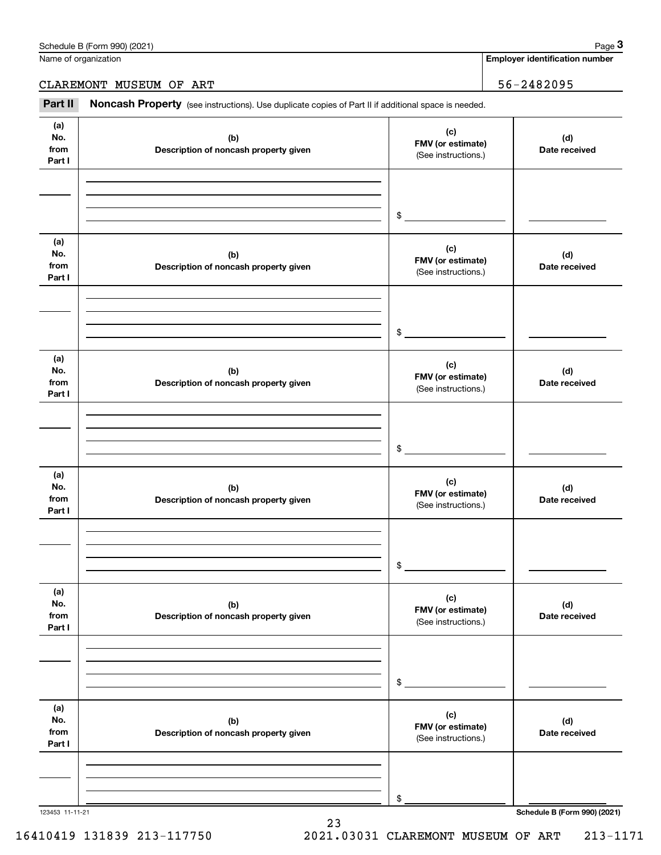| Schedule B (Form 990)<br>(2021)<br>12000<br>aue |  |
|-------------------------------------------------|--|
|-------------------------------------------------|--|

Name of organization

**Employer identification number**

CLAREMONT MUSEUM OF ART 36-2482095

Chedule B (Form 990) (2021)<br>
lame of organization<br> **3Part II if additional space is needed.**<br> **Part II if additional space is needed.** 

| (a)<br>(c)<br>No.<br>(d)<br>(b)<br>FMV (or estimate)<br>from<br>Description of noncash property given<br>Date received<br>(See instructions.)<br>Part I<br>$\frac{1}{2}$<br>(a)<br>(c)<br>No.<br>(b)<br>(d)<br>FMV (or estimate)<br>from<br>Description of noncash property given<br>Date received<br>(See instructions.)<br>Part I<br>$\frac{1}{2}$<br>(a)<br>(c)<br>No.<br>(b)<br>(d)<br>FMV (or estimate)<br>from<br>Description of noncash property given<br>Date received<br>(See instructions.)<br>Part I<br>\$<br>(a)<br>(c)<br>No.<br>(b)<br>(d)<br>FMV (or estimate)<br>from<br>Description of noncash property given<br>Date received<br>(See instructions.)<br>Part I<br>\$<br>(a)<br>(c)<br>No.<br>(b)<br>(d)<br>FMV (or estimate)<br>from<br>Description of noncash property given<br>Date received<br>(See instructions.)<br>Part I<br>\$<br>(a)<br>(c)<br>No.<br>(b)<br>(d)<br>FMV (or estimate)<br>from<br>Description of noncash property given<br>Date received<br>(See instructions.)<br>Part I<br>\$ |                 |  |                              |
|--------------------------------------------------------------------------------------------------------------------------------------------------------------------------------------------------------------------------------------------------------------------------------------------------------------------------------------------------------------------------------------------------------------------------------------------------------------------------------------------------------------------------------------------------------------------------------------------------------------------------------------------------------------------------------------------------------------------------------------------------------------------------------------------------------------------------------------------------------------------------------------------------------------------------------------------------------------------------------------------------------------------------|-----------------|--|------------------------------|
|                                                                                                                                                                                                                                                                                                                                                                                                                                                                                                                                                                                                                                                                                                                                                                                                                                                                                                                                                                                                                          |                 |  |                              |
|                                                                                                                                                                                                                                                                                                                                                                                                                                                                                                                                                                                                                                                                                                                                                                                                                                                                                                                                                                                                                          |                 |  |                              |
|                                                                                                                                                                                                                                                                                                                                                                                                                                                                                                                                                                                                                                                                                                                                                                                                                                                                                                                                                                                                                          |                 |  |                              |
|                                                                                                                                                                                                                                                                                                                                                                                                                                                                                                                                                                                                                                                                                                                                                                                                                                                                                                                                                                                                                          |                 |  |                              |
|                                                                                                                                                                                                                                                                                                                                                                                                                                                                                                                                                                                                                                                                                                                                                                                                                                                                                                                                                                                                                          |                 |  |                              |
|                                                                                                                                                                                                                                                                                                                                                                                                                                                                                                                                                                                                                                                                                                                                                                                                                                                                                                                                                                                                                          |                 |  |                              |
|                                                                                                                                                                                                                                                                                                                                                                                                                                                                                                                                                                                                                                                                                                                                                                                                                                                                                                                                                                                                                          |                 |  |                              |
|                                                                                                                                                                                                                                                                                                                                                                                                                                                                                                                                                                                                                                                                                                                                                                                                                                                                                                                                                                                                                          |                 |  |                              |
|                                                                                                                                                                                                                                                                                                                                                                                                                                                                                                                                                                                                                                                                                                                                                                                                                                                                                                                                                                                                                          |                 |  |                              |
|                                                                                                                                                                                                                                                                                                                                                                                                                                                                                                                                                                                                                                                                                                                                                                                                                                                                                                                                                                                                                          |                 |  |                              |
|                                                                                                                                                                                                                                                                                                                                                                                                                                                                                                                                                                                                                                                                                                                                                                                                                                                                                                                                                                                                                          |                 |  |                              |
|                                                                                                                                                                                                                                                                                                                                                                                                                                                                                                                                                                                                                                                                                                                                                                                                                                                                                                                                                                                                                          |                 |  |                              |
|                                                                                                                                                                                                                                                                                                                                                                                                                                                                                                                                                                                                                                                                                                                                                                                                                                                                                                                                                                                                                          |                 |  |                              |
|                                                                                                                                                                                                                                                                                                                                                                                                                                                                                                                                                                                                                                                                                                                                                                                                                                                                                                                                                                                                                          |                 |  |                              |
|                                                                                                                                                                                                                                                                                                                                                                                                                                                                                                                                                                                                                                                                                                                                                                                                                                                                                                                                                                                                                          |                 |  |                              |
|                                                                                                                                                                                                                                                                                                                                                                                                                                                                                                                                                                                                                                                                                                                                                                                                                                                                                                                                                                                                                          |                 |  |                              |
|                                                                                                                                                                                                                                                                                                                                                                                                                                                                                                                                                                                                                                                                                                                                                                                                                                                                                                                                                                                                                          |                 |  |                              |
|                                                                                                                                                                                                                                                                                                                                                                                                                                                                                                                                                                                                                                                                                                                                                                                                                                                                                                                                                                                                                          |                 |  |                              |
|                                                                                                                                                                                                                                                                                                                                                                                                                                                                                                                                                                                                                                                                                                                                                                                                                                                                                                                                                                                                                          |                 |  |                              |
|                                                                                                                                                                                                                                                                                                                                                                                                                                                                                                                                                                                                                                                                                                                                                                                                                                                                                                                                                                                                                          |                 |  |                              |
|                                                                                                                                                                                                                                                                                                                                                                                                                                                                                                                                                                                                                                                                                                                                                                                                                                                                                                                                                                                                                          |                 |  |                              |
|                                                                                                                                                                                                                                                                                                                                                                                                                                                                                                                                                                                                                                                                                                                                                                                                                                                                                                                                                                                                                          |                 |  |                              |
|                                                                                                                                                                                                                                                                                                                                                                                                                                                                                                                                                                                                                                                                                                                                                                                                                                                                                                                                                                                                                          |                 |  |                              |
|                                                                                                                                                                                                                                                                                                                                                                                                                                                                                                                                                                                                                                                                                                                                                                                                                                                                                                                                                                                                                          |                 |  |                              |
|                                                                                                                                                                                                                                                                                                                                                                                                                                                                                                                                                                                                                                                                                                                                                                                                                                                                                                                                                                                                                          |                 |  |                              |
|                                                                                                                                                                                                                                                                                                                                                                                                                                                                                                                                                                                                                                                                                                                                                                                                                                                                                                                                                                                                                          |                 |  |                              |
|                                                                                                                                                                                                                                                                                                                                                                                                                                                                                                                                                                                                                                                                                                                                                                                                                                                                                                                                                                                                                          | 123453 11-11-21 |  | Schedule B (Form 990) (2021) |

23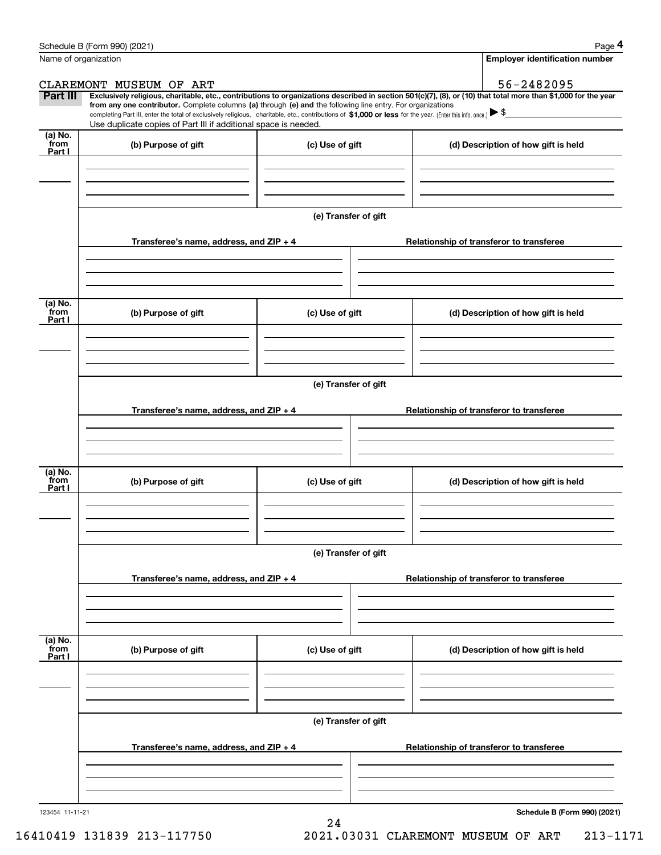|                           | Schedule B (Form 990) (2021)                                                                                                                                                                                                                         |                      | Page 4                                                                                                                                                         |
|---------------------------|------------------------------------------------------------------------------------------------------------------------------------------------------------------------------------------------------------------------------------------------------|----------------------|----------------------------------------------------------------------------------------------------------------------------------------------------------------|
|                           | Name of organization                                                                                                                                                                                                                                 |                      | <b>Employer identification number</b>                                                                                                                          |
|                           | CLAREMONT MUSEUM OF ART                                                                                                                                                                                                                              |                      | 56-2482095                                                                                                                                                     |
| Part III                  | from any one contributor. Complete columns (a) through (e) and the following line entry. For organizations                                                                                                                                           |                      | Exclusively religious, charitable, etc., contributions to organizations described in section 501(c)(7), (8), or (10) that total more than \$1,000 for the year |
|                           | completing Part III, enter the total of exclusively religious, charitable, etc., contributions of \$1,000 or less for the year. (Enter this info. once.) $\blacktriangleright$ \$<br>Use duplicate copies of Part III if additional space is needed. |                      |                                                                                                                                                                |
| (a) No.                   |                                                                                                                                                                                                                                                      |                      |                                                                                                                                                                |
| from<br>Part I            | (b) Purpose of gift                                                                                                                                                                                                                                  | (c) Use of gift      | (d) Description of how gift is held                                                                                                                            |
|                           |                                                                                                                                                                                                                                                      |                      |                                                                                                                                                                |
|                           |                                                                                                                                                                                                                                                      |                      |                                                                                                                                                                |
|                           |                                                                                                                                                                                                                                                      |                      |                                                                                                                                                                |
|                           |                                                                                                                                                                                                                                                      | (e) Transfer of gift |                                                                                                                                                                |
|                           | Transferee's name, address, and $ZIP + 4$                                                                                                                                                                                                            |                      | Relationship of transferor to transferee                                                                                                                       |
|                           |                                                                                                                                                                                                                                                      |                      |                                                                                                                                                                |
|                           |                                                                                                                                                                                                                                                      |                      |                                                                                                                                                                |
|                           |                                                                                                                                                                                                                                                      |                      |                                                                                                                                                                |
| (a) No.<br>from           | (b) Purpose of gift                                                                                                                                                                                                                                  | (c) Use of gift      | (d) Description of how gift is held                                                                                                                            |
| Part I                    |                                                                                                                                                                                                                                                      |                      |                                                                                                                                                                |
|                           |                                                                                                                                                                                                                                                      |                      |                                                                                                                                                                |
|                           |                                                                                                                                                                                                                                                      |                      |                                                                                                                                                                |
|                           |                                                                                                                                                                                                                                                      | (e) Transfer of gift |                                                                                                                                                                |
|                           |                                                                                                                                                                                                                                                      |                      |                                                                                                                                                                |
|                           | Transferee's name, address, and $ZIP + 4$                                                                                                                                                                                                            |                      | Relationship of transferor to transferee                                                                                                                       |
|                           |                                                                                                                                                                                                                                                      |                      |                                                                                                                                                                |
|                           |                                                                                                                                                                                                                                                      |                      |                                                                                                                                                                |
| (a) No.<br>from           | (b) Purpose of gift                                                                                                                                                                                                                                  | (c) Use of gift      | (d) Description of how gift is held                                                                                                                            |
| Part I                    |                                                                                                                                                                                                                                                      |                      |                                                                                                                                                                |
|                           |                                                                                                                                                                                                                                                      |                      |                                                                                                                                                                |
|                           |                                                                                                                                                                                                                                                      |                      |                                                                                                                                                                |
|                           |                                                                                                                                                                                                                                                      | (e) Transfer of gift |                                                                                                                                                                |
|                           |                                                                                                                                                                                                                                                      |                      |                                                                                                                                                                |
|                           | Transferee's name, address, and $ZIP + 4$                                                                                                                                                                                                            |                      | Relationship of transferor to transferee                                                                                                                       |
|                           |                                                                                                                                                                                                                                                      |                      |                                                                                                                                                                |
|                           |                                                                                                                                                                                                                                                      |                      |                                                                                                                                                                |
|                           |                                                                                                                                                                                                                                                      |                      |                                                                                                                                                                |
| (a) No.<br>from<br>Part I | (b) Purpose of gift                                                                                                                                                                                                                                  | (c) Use of gift      | (d) Description of how gift is held                                                                                                                            |
|                           |                                                                                                                                                                                                                                                      |                      |                                                                                                                                                                |
|                           |                                                                                                                                                                                                                                                      |                      |                                                                                                                                                                |
|                           |                                                                                                                                                                                                                                                      |                      |                                                                                                                                                                |
|                           |                                                                                                                                                                                                                                                      | (e) Transfer of gift |                                                                                                                                                                |
|                           | Transferee's name, address, and $ZIP + 4$                                                                                                                                                                                                            |                      | Relationship of transferor to transferee                                                                                                                       |
|                           |                                                                                                                                                                                                                                                      |                      |                                                                                                                                                                |
|                           |                                                                                                                                                                                                                                                      |                      |                                                                                                                                                                |
|                           |                                                                                                                                                                                                                                                      |                      |                                                                                                                                                                |
|                           |                                                                                                                                                                                                                                                      |                      |                                                                                                                                                                |

24

123454 11-11-21

**Schedule B (Form 990) (2021)**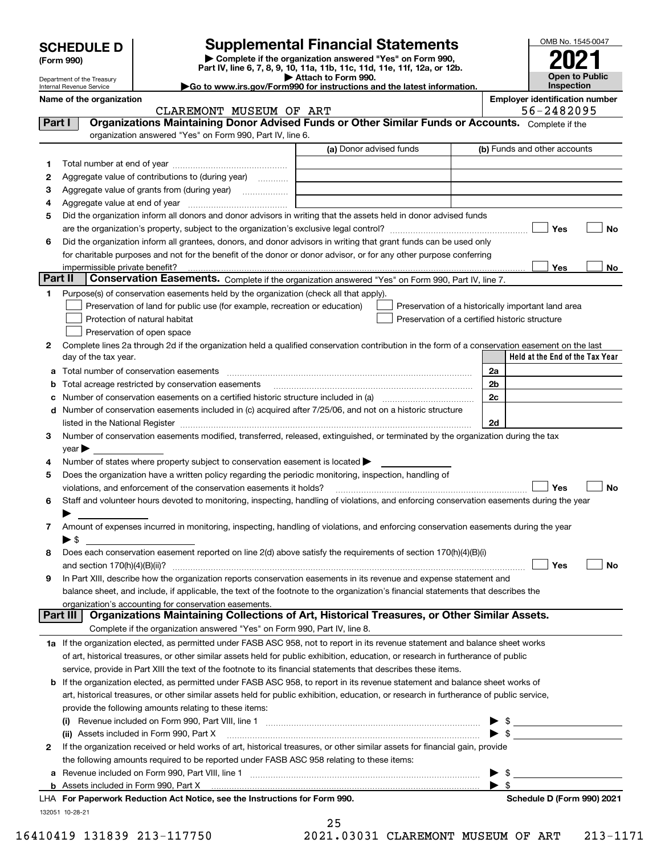| <b>SCHEDULE D</b>          | <b>Supplemental Financial Statements</b>                                                                                             |
|----------------------------|--------------------------------------------------------------------------------------------------------------------------------------|
| (Form 990)                 | Complete if the organization answered "Yes" on Form 990,<br>Part IV, line 6, 7, 8, 9, 10, 11a, 11b, 11c, 11d, 11e, 11f, 12a, or 12b. |
| Department of the Treasury | Attach to Form 990.                                                                                                                  |

# OMB No. 1545-0047 **2021**

**Open to Public Inspection**

Department of the Treasury Internal Revenue Service Name of the organization<br> **Employer identification number**<br> **EMPLOYER AND THE STARTIVE OF AREA** 

| Attach to Form 990.                                                                          |
|----------------------------------------------------------------------------------------------|
| $\blacktriangleright$ Go to www.irs.gov/Form990 for instructions and the latest information. |

|         | CLAREMONT MUSEUM OF ART                                                                                                                                                                                                       |                                                | 56-2482095                                         |  |  |  |  |
|---------|-------------------------------------------------------------------------------------------------------------------------------------------------------------------------------------------------------------------------------|------------------------------------------------|----------------------------------------------------|--|--|--|--|
| Part I  | Organizations Maintaining Donor Advised Funds or Other Similar Funds or Accounts. Complete if the                                                                                                                             |                                                |                                                    |  |  |  |  |
|         | organization answered "Yes" on Form 990, Part IV, line 6.                                                                                                                                                                     |                                                |                                                    |  |  |  |  |
|         |                                                                                                                                                                                                                               | (a) Donor advised funds                        | (b) Funds and other accounts                       |  |  |  |  |
| 1       |                                                                                                                                                                                                                               |                                                |                                                    |  |  |  |  |
| 2       | Aggregate value of contributions to (during year)                                                                                                                                                                             |                                                |                                                    |  |  |  |  |
| з       |                                                                                                                                                                                                                               |                                                |                                                    |  |  |  |  |
| 4       |                                                                                                                                                                                                                               |                                                |                                                    |  |  |  |  |
| 5       | Did the organization inform all donors and donor advisors in writing that the assets held in donor advised funds                                                                                                              |                                                |                                                    |  |  |  |  |
|         |                                                                                                                                                                                                                               |                                                | Yes<br>No                                          |  |  |  |  |
| 6       | Did the organization inform all grantees, donors, and donor advisors in writing that grant funds can be used only                                                                                                             |                                                |                                                    |  |  |  |  |
|         | for charitable purposes and not for the benefit of the donor or donor advisor, or for any other purpose conferring                                                                                                            |                                                |                                                    |  |  |  |  |
|         | impermissible private benefit?                                                                                                                                                                                                |                                                | Yes<br>No                                          |  |  |  |  |
| Part II | Conservation Easements. Complete if the organization answered "Yes" on Form 990, Part IV, line 7.                                                                                                                             |                                                |                                                    |  |  |  |  |
| 1       | Purpose(s) of conservation easements held by the organization (check all that apply).                                                                                                                                         |                                                |                                                    |  |  |  |  |
|         | Preservation of land for public use (for example, recreation or education)                                                                                                                                                    |                                                | Preservation of a historically important land area |  |  |  |  |
|         | Protection of natural habitat                                                                                                                                                                                                 | Preservation of a certified historic structure |                                                    |  |  |  |  |
|         | Preservation of open space                                                                                                                                                                                                    |                                                |                                                    |  |  |  |  |
| 2       | Complete lines 2a through 2d if the organization held a qualified conservation contribution in the form of a conservation easement on the last                                                                                |                                                |                                                    |  |  |  |  |
|         | day of the tax year.                                                                                                                                                                                                          |                                                | Held at the End of the Tax Year                    |  |  |  |  |
|         |                                                                                                                                                                                                                               |                                                | 2a                                                 |  |  |  |  |
| b       | Total acreage restricted by conservation easements                                                                                                                                                                            |                                                | 2 <sub>b</sub>                                     |  |  |  |  |
| c       | Number of conservation easements on a certified historic structure included in (a) manufacture included in (a)                                                                                                                |                                                | 2c                                                 |  |  |  |  |
|         | d Number of conservation easements included in (c) acquired after 7/25/06, and not on a historic structure                                                                                                                    |                                                |                                                    |  |  |  |  |
|         | listed in the National Register [111] Marshall Register [11] Marshall Register [11] Marshall Register [11] Marshall Register [11] Marshall Register [11] Marshall Register [11] Marshall Register [11] Marshall Register [11] |                                                | 2d                                                 |  |  |  |  |
| 3       | Number of conservation easements modified, transferred, released, extinguished, or terminated by the organization during the tax                                                                                              |                                                |                                                    |  |  |  |  |
|         | $year \blacktriangleright$                                                                                                                                                                                                    |                                                |                                                    |  |  |  |  |
| 4       | Number of states where property subject to conservation easement is located >                                                                                                                                                 |                                                |                                                    |  |  |  |  |
| 5       | Does the organization have a written policy regarding the periodic monitoring, inspection, handling of                                                                                                                        |                                                |                                                    |  |  |  |  |
|         | Yes<br>violations, and enforcement of the conservation easements it holds?<br>No                                                                                                                                              |                                                |                                                    |  |  |  |  |
| 6       | Staff and volunteer hours devoted to monitoring, inspecting, handling of violations, and enforcing conservation easements during the year                                                                                     |                                                |                                                    |  |  |  |  |
|         |                                                                                                                                                                                                                               |                                                |                                                    |  |  |  |  |
| 7       | Amount of expenses incurred in monitoring, inspecting, handling of violations, and enforcing conservation easements during the year                                                                                           |                                                |                                                    |  |  |  |  |
|         | $\blacktriangleright$ \$                                                                                                                                                                                                      |                                                |                                                    |  |  |  |  |
| 8       | Does each conservation easement reported on line 2(d) above satisfy the requirements of section 170(h)(4)(B)(i)                                                                                                               |                                                |                                                    |  |  |  |  |
|         |                                                                                                                                                                                                                               |                                                | Yes<br>No                                          |  |  |  |  |
| 9       | In Part XIII, describe how the organization reports conservation easements in its revenue and expense statement and                                                                                                           |                                                |                                                    |  |  |  |  |
|         | balance sheet, and include, if applicable, the text of the footnote to the organization's financial statements that describes the                                                                                             |                                                |                                                    |  |  |  |  |
|         | organization's accounting for conservation easements.                                                                                                                                                                         |                                                |                                                    |  |  |  |  |
|         | Organizations Maintaining Collections of Art, Historical Treasures, or Other Similar Assets.<br>Part III                                                                                                                      |                                                |                                                    |  |  |  |  |
|         | Complete if the organization answered "Yes" on Form 990, Part IV, line 8.                                                                                                                                                     |                                                |                                                    |  |  |  |  |
|         | 1a If the organization elected, as permitted under FASB ASC 958, not to report in its revenue statement and balance sheet works                                                                                               |                                                |                                                    |  |  |  |  |
|         | of art, historical treasures, or other similar assets held for public exhibition, education, or research in furtherance of public                                                                                             |                                                |                                                    |  |  |  |  |
|         | service, provide in Part XIII the text of the footnote to its financial statements that describes these items.                                                                                                                |                                                |                                                    |  |  |  |  |
| b       | If the organization elected, as permitted under FASB ASC 958, to report in its revenue statement and balance sheet works of                                                                                                   |                                                |                                                    |  |  |  |  |
|         | art, historical treasures, or other similar assets held for public exhibition, education, or research in furtherance of public service,                                                                                       |                                                |                                                    |  |  |  |  |
|         | provide the following amounts relating to these items:                                                                                                                                                                        |                                                |                                                    |  |  |  |  |
|         |                                                                                                                                                                                                                               |                                                |                                                    |  |  |  |  |
|         | $\triangleright$ \$<br>(ii) Assets included in Form 990, Part X                                                                                                                                                               |                                                |                                                    |  |  |  |  |
| 2       | If the organization received or held works of art, historical treasures, or other similar assets for financial gain, provide                                                                                                  |                                                |                                                    |  |  |  |  |
|         | the following amounts required to be reported under FASB ASC 958 relating to these items:                                                                                                                                     |                                                |                                                    |  |  |  |  |
|         | \$                                                                                                                                                                                                                            |                                                |                                                    |  |  |  |  |
|         |                                                                                                                                                                                                                               |                                                | $\blacktriangleright$ \$                           |  |  |  |  |
|         | LHA For Paperwork Reduction Act Notice, see the Instructions for Form 990.                                                                                                                                                    |                                                | Schedule D (Form 990) 2021                         |  |  |  |  |
|         | 132051 10-28-21                                                                                                                                                                                                               |                                                |                                                    |  |  |  |  |

25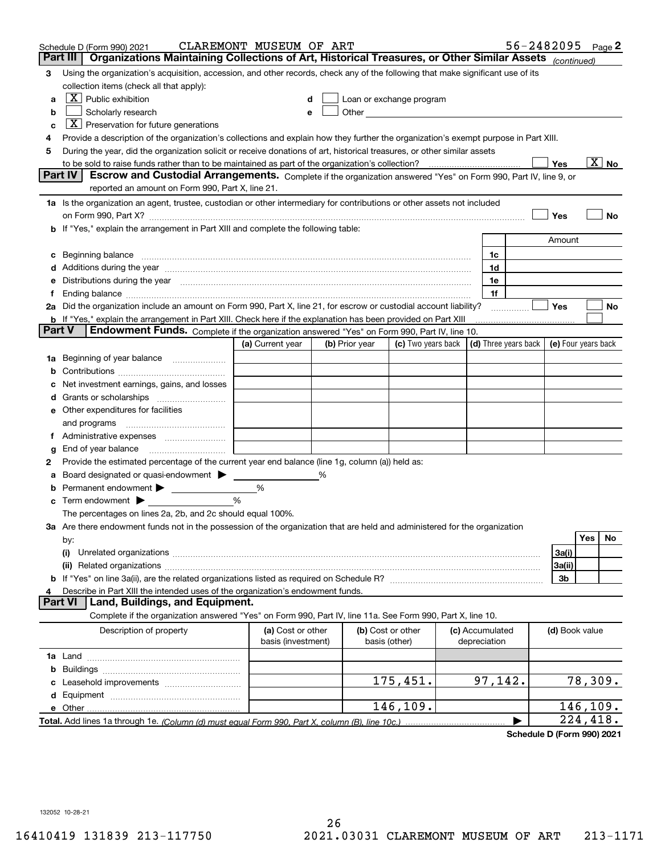| Organizations Maintaining Collections of Art, Historical Treasures, or Other Similar Assets (continued)<br>Part III<br>Using the organization's acquisition, accession, and other records, check any of the following that make significant use of its<br>3<br>collection items (check all that apply):<br>$X$ Public exhibition<br>Loan or exchange program<br>a<br>Other and the contract of the contract of the contract of the contract of the contract of the contract of the contract of the contract of the contract of the contract of the contract of the contract of the contract of the<br>Scholarly research<br>b<br>е<br>$X$ Preservation for future generations<br>c<br>Provide a description of the organization's collections and explain how they further the organization's exempt purpose in Part XIII.<br>4<br>During the year, did the organization solicit or receive donations of art, historical treasures, or other similar assets<br>5<br>$\overline{\mathrm{X}}$ No<br>Yes<br><b>Part IV</b><br>Escrow and Custodial Arrangements. Complete if the organization answered "Yes" on Form 990, Part IV, line 9, or<br>reported an amount on Form 990, Part X, line 21.<br>1a Is the organization an agent, trustee, custodian or other intermediary for contributions or other assets not included<br>Yes<br>No<br>on Form 990, Part X? [11] matter and the contract of the contract of the contract of the contract of the contract of the contract of the contract of the contract of the contract of the contract of the contract of the contr<br>b If "Yes," explain the arrangement in Part XIII and complete the following table:<br>Amount<br>1c<br>Additions during the year manufactured and an anti-manufactured and the year manufactured and all the year manufactured and all the year manufactured and all the year manufactured and all the year manufactured and all the<br>1d<br>Distributions during the year manufactured and continuum control of the year manufactured and control of the year manufactured and control of the year manufactured and control of the year manufactured and control of the ye<br>1e<br>1f<br>Yes<br>2a Did the organization include an amount on Form 990, Part X, line 21, for escrow or custodial account liability?<br>No<br><b>b</b> If "Yes," explain the arrangement in Part XIII. Check here if the explanation has been provided on Part XIII<br>Part V<br><b>Endowment Funds.</b> Complete if the organization answered "Yes" on Form 990, Part IV, line 10.<br>(c) Two years back $\vert$ (d) Three years back $\vert$ (e) Four years back<br>(a) Current year<br>(b) Prior year<br>Beginning of year balance<br>1a<br>Net investment earnings, gains, and losses<br>Other expenditures for facilities<br>and programs<br>End of year balance<br>g<br>Provide the estimated percentage of the current year end balance (line 1g, column (a)) held as:<br>2<br>Board designated or quasi-endowment<br>%<br>Permanent endowment ><br>%<br>%<br>Term endowment $\blacktriangleright$<br>с<br>The percentages on lines 2a, 2b, and 2c should equal 100%.<br>3a Are there endowment funds not in the possession of the organization that are held and administered for the organization<br>Yes<br>No<br>by:<br>3a(i)<br>(i)<br>3a(ii)<br>3b<br>Describe in Part XIII the intended uses of the organization's endowment funds.<br>Land, Buildings, and Equipment.<br>Part VI<br>Complete if the organization answered "Yes" on Form 990, Part IV, line 11a. See Form 990, Part X, line 10.<br>Description of property<br>(a) Cost or other<br>(b) Cost or other<br>(c) Accumulated<br>(d) Book value<br>basis (investment)<br>basis (other)<br>depreciation<br>b<br>97,142.<br>78,309.<br>175,451.<br>d<br>146,109.<br>146,109.<br>e Other<br>$\overline{224}$ , 418. | Schedule D (Form 990) 2021 | CLAREMONT MUSEUM OF ART |  |  | 56-2482095 Page 2 |  |  |
|------------------------------------------------------------------------------------------------------------------------------------------------------------------------------------------------------------------------------------------------------------------------------------------------------------------------------------------------------------------------------------------------------------------------------------------------------------------------------------------------------------------------------------------------------------------------------------------------------------------------------------------------------------------------------------------------------------------------------------------------------------------------------------------------------------------------------------------------------------------------------------------------------------------------------------------------------------------------------------------------------------------------------------------------------------------------------------------------------------------------------------------------------------------------------------------------------------------------------------------------------------------------------------------------------------------------------------------------------------------------------------------------------------------------------------------------------------------------------------------------------------------------------------------------------------------------------------------------------------------------------------------------------------------------------------------------------------------------------------------------------------------------------------------------------------------------------------------------------------------------------------------------------------------------------------------------------------------------------------------------------------------------------------------------------------------------------------------------------------------------------------------------------------------------------------------------------------------------------------------------------------------------------------------------------------------------------------------------------------------------------------------------------------------------------------------------------------------------------------------------------------------------------------------------------------------------------------------------------------------------------------------------------------------------------------------------------------------------------------------------------------------------------------------------------------------------------------------------------------------------------------------------------------------------------------------------------------------------------------------------------------------------------------------------------------------------------------------------------------------------------------------------------------------------------------------------------------------------------------------------------------------------------------------------------------------------------------------------------------------------------------------------------------------------------------------------------------------------------------------------------------------------------------------------------------------------------------------------------------------------------------------------------------------------------------------------------------------------------------------------------------------------------------------------------------------------------------------------------|----------------------------|-------------------------|--|--|-------------------|--|--|
|                                                                                                                                                                                                                                                                                                                                                                                                                                                                                                                                                                                                                                                                                                                                                                                                                                                                                                                                                                                                                                                                                                                                                                                                                                                                                                                                                                                                                                                                                                                                                                                                                                                                                                                                                                                                                                                                                                                                                                                                                                                                                                                                                                                                                                                                                                                                                                                                                                                                                                                                                                                                                                                                                                                                                                                                                                                                                                                                                                                                                                                                                                                                                                                                                                                                                                                                                                                                                                                                                                                                                                                                                                                                                                                                                                                                                                                      |                            |                         |  |  |                   |  |  |
|                                                                                                                                                                                                                                                                                                                                                                                                                                                                                                                                                                                                                                                                                                                                                                                                                                                                                                                                                                                                                                                                                                                                                                                                                                                                                                                                                                                                                                                                                                                                                                                                                                                                                                                                                                                                                                                                                                                                                                                                                                                                                                                                                                                                                                                                                                                                                                                                                                                                                                                                                                                                                                                                                                                                                                                                                                                                                                                                                                                                                                                                                                                                                                                                                                                                                                                                                                                                                                                                                                                                                                                                                                                                                                                                                                                                                                                      |                            |                         |  |  |                   |  |  |
|                                                                                                                                                                                                                                                                                                                                                                                                                                                                                                                                                                                                                                                                                                                                                                                                                                                                                                                                                                                                                                                                                                                                                                                                                                                                                                                                                                                                                                                                                                                                                                                                                                                                                                                                                                                                                                                                                                                                                                                                                                                                                                                                                                                                                                                                                                                                                                                                                                                                                                                                                                                                                                                                                                                                                                                                                                                                                                                                                                                                                                                                                                                                                                                                                                                                                                                                                                                                                                                                                                                                                                                                                                                                                                                                                                                                                                                      |                            |                         |  |  |                   |  |  |
|                                                                                                                                                                                                                                                                                                                                                                                                                                                                                                                                                                                                                                                                                                                                                                                                                                                                                                                                                                                                                                                                                                                                                                                                                                                                                                                                                                                                                                                                                                                                                                                                                                                                                                                                                                                                                                                                                                                                                                                                                                                                                                                                                                                                                                                                                                                                                                                                                                                                                                                                                                                                                                                                                                                                                                                                                                                                                                                                                                                                                                                                                                                                                                                                                                                                                                                                                                                                                                                                                                                                                                                                                                                                                                                                                                                                                                                      |                            |                         |  |  |                   |  |  |
|                                                                                                                                                                                                                                                                                                                                                                                                                                                                                                                                                                                                                                                                                                                                                                                                                                                                                                                                                                                                                                                                                                                                                                                                                                                                                                                                                                                                                                                                                                                                                                                                                                                                                                                                                                                                                                                                                                                                                                                                                                                                                                                                                                                                                                                                                                                                                                                                                                                                                                                                                                                                                                                                                                                                                                                                                                                                                                                                                                                                                                                                                                                                                                                                                                                                                                                                                                                                                                                                                                                                                                                                                                                                                                                                                                                                                                                      |                            |                         |  |  |                   |  |  |
|                                                                                                                                                                                                                                                                                                                                                                                                                                                                                                                                                                                                                                                                                                                                                                                                                                                                                                                                                                                                                                                                                                                                                                                                                                                                                                                                                                                                                                                                                                                                                                                                                                                                                                                                                                                                                                                                                                                                                                                                                                                                                                                                                                                                                                                                                                                                                                                                                                                                                                                                                                                                                                                                                                                                                                                                                                                                                                                                                                                                                                                                                                                                                                                                                                                                                                                                                                                                                                                                                                                                                                                                                                                                                                                                                                                                                                                      |                            |                         |  |  |                   |  |  |
|                                                                                                                                                                                                                                                                                                                                                                                                                                                                                                                                                                                                                                                                                                                                                                                                                                                                                                                                                                                                                                                                                                                                                                                                                                                                                                                                                                                                                                                                                                                                                                                                                                                                                                                                                                                                                                                                                                                                                                                                                                                                                                                                                                                                                                                                                                                                                                                                                                                                                                                                                                                                                                                                                                                                                                                                                                                                                                                                                                                                                                                                                                                                                                                                                                                                                                                                                                                                                                                                                                                                                                                                                                                                                                                                                                                                                                                      |                            |                         |  |  |                   |  |  |
|                                                                                                                                                                                                                                                                                                                                                                                                                                                                                                                                                                                                                                                                                                                                                                                                                                                                                                                                                                                                                                                                                                                                                                                                                                                                                                                                                                                                                                                                                                                                                                                                                                                                                                                                                                                                                                                                                                                                                                                                                                                                                                                                                                                                                                                                                                                                                                                                                                                                                                                                                                                                                                                                                                                                                                                                                                                                                                                                                                                                                                                                                                                                                                                                                                                                                                                                                                                                                                                                                                                                                                                                                                                                                                                                                                                                                                                      |                            |                         |  |  |                   |  |  |
|                                                                                                                                                                                                                                                                                                                                                                                                                                                                                                                                                                                                                                                                                                                                                                                                                                                                                                                                                                                                                                                                                                                                                                                                                                                                                                                                                                                                                                                                                                                                                                                                                                                                                                                                                                                                                                                                                                                                                                                                                                                                                                                                                                                                                                                                                                                                                                                                                                                                                                                                                                                                                                                                                                                                                                                                                                                                                                                                                                                                                                                                                                                                                                                                                                                                                                                                                                                                                                                                                                                                                                                                                                                                                                                                                                                                                                                      |                            |                         |  |  |                   |  |  |
|                                                                                                                                                                                                                                                                                                                                                                                                                                                                                                                                                                                                                                                                                                                                                                                                                                                                                                                                                                                                                                                                                                                                                                                                                                                                                                                                                                                                                                                                                                                                                                                                                                                                                                                                                                                                                                                                                                                                                                                                                                                                                                                                                                                                                                                                                                                                                                                                                                                                                                                                                                                                                                                                                                                                                                                                                                                                                                                                                                                                                                                                                                                                                                                                                                                                                                                                                                                                                                                                                                                                                                                                                                                                                                                                                                                                                                                      |                            |                         |  |  |                   |  |  |
|                                                                                                                                                                                                                                                                                                                                                                                                                                                                                                                                                                                                                                                                                                                                                                                                                                                                                                                                                                                                                                                                                                                                                                                                                                                                                                                                                                                                                                                                                                                                                                                                                                                                                                                                                                                                                                                                                                                                                                                                                                                                                                                                                                                                                                                                                                                                                                                                                                                                                                                                                                                                                                                                                                                                                                                                                                                                                                                                                                                                                                                                                                                                                                                                                                                                                                                                                                                                                                                                                                                                                                                                                                                                                                                                                                                                                                                      |                            |                         |  |  |                   |  |  |
|                                                                                                                                                                                                                                                                                                                                                                                                                                                                                                                                                                                                                                                                                                                                                                                                                                                                                                                                                                                                                                                                                                                                                                                                                                                                                                                                                                                                                                                                                                                                                                                                                                                                                                                                                                                                                                                                                                                                                                                                                                                                                                                                                                                                                                                                                                                                                                                                                                                                                                                                                                                                                                                                                                                                                                                                                                                                                                                                                                                                                                                                                                                                                                                                                                                                                                                                                                                                                                                                                                                                                                                                                                                                                                                                                                                                                                                      |                            |                         |  |  |                   |  |  |
|                                                                                                                                                                                                                                                                                                                                                                                                                                                                                                                                                                                                                                                                                                                                                                                                                                                                                                                                                                                                                                                                                                                                                                                                                                                                                                                                                                                                                                                                                                                                                                                                                                                                                                                                                                                                                                                                                                                                                                                                                                                                                                                                                                                                                                                                                                                                                                                                                                                                                                                                                                                                                                                                                                                                                                                                                                                                                                                                                                                                                                                                                                                                                                                                                                                                                                                                                                                                                                                                                                                                                                                                                                                                                                                                                                                                                                                      |                            |                         |  |  |                   |  |  |
|                                                                                                                                                                                                                                                                                                                                                                                                                                                                                                                                                                                                                                                                                                                                                                                                                                                                                                                                                                                                                                                                                                                                                                                                                                                                                                                                                                                                                                                                                                                                                                                                                                                                                                                                                                                                                                                                                                                                                                                                                                                                                                                                                                                                                                                                                                                                                                                                                                                                                                                                                                                                                                                                                                                                                                                                                                                                                                                                                                                                                                                                                                                                                                                                                                                                                                                                                                                                                                                                                                                                                                                                                                                                                                                                                                                                                                                      |                            |                         |  |  |                   |  |  |
|                                                                                                                                                                                                                                                                                                                                                                                                                                                                                                                                                                                                                                                                                                                                                                                                                                                                                                                                                                                                                                                                                                                                                                                                                                                                                                                                                                                                                                                                                                                                                                                                                                                                                                                                                                                                                                                                                                                                                                                                                                                                                                                                                                                                                                                                                                                                                                                                                                                                                                                                                                                                                                                                                                                                                                                                                                                                                                                                                                                                                                                                                                                                                                                                                                                                                                                                                                                                                                                                                                                                                                                                                                                                                                                                                                                                                                                      |                            |                         |  |  |                   |  |  |
|                                                                                                                                                                                                                                                                                                                                                                                                                                                                                                                                                                                                                                                                                                                                                                                                                                                                                                                                                                                                                                                                                                                                                                                                                                                                                                                                                                                                                                                                                                                                                                                                                                                                                                                                                                                                                                                                                                                                                                                                                                                                                                                                                                                                                                                                                                                                                                                                                                                                                                                                                                                                                                                                                                                                                                                                                                                                                                                                                                                                                                                                                                                                                                                                                                                                                                                                                                                                                                                                                                                                                                                                                                                                                                                                                                                                                                                      |                            |                         |  |  |                   |  |  |
|                                                                                                                                                                                                                                                                                                                                                                                                                                                                                                                                                                                                                                                                                                                                                                                                                                                                                                                                                                                                                                                                                                                                                                                                                                                                                                                                                                                                                                                                                                                                                                                                                                                                                                                                                                                                                                                                                                                                                                                                                                                                                                                                                                                                                                                                                                                                                                                                                                                                                                                                                                                                                                                                                                                                                                                                                                                                                                                                                                                                                                                                                                                                                                                                                                                                                                                                                                                                                                                                                                                                                                                                                                                                                                                                                                                                                                                      |                            |                         |  |  |                   |  |  |
|                                                                                                                                                                                                                                                                                                                                                                                                                                                                                                                                                                                                                                                                                                                                                                                                                                                                                                                                                                                                                                                                                                                                                                                                                                                                                                                                                                                                                                                                                                                                                                                                                                                                                                                                                                                                                                                                                                                                                                                                                                                                                                                                                                                                                                                                                                                                                                                                                                                                                                                                                                                                                                                                                                                                                                                                                                                                                                                                                                                                                                                                                                                                                                                                                                                                                                                                                                                                                                                                                                                                                                                                                                                                                                                                                                                                                                                      |                            |                         |  |  |                   |  |  |
|                                                                                                                                                                                                                                                                                                                                                                                                                                                                                                                                                                                                                                                                                                                                                                                                                                                                                                                                                                                                                                                                                                                                                                                                                                                                                                                                                                                                                                                                                                                                                                                                                                                                                                                                                                                                                                                                                                                                                                                                                                                                                                                                                                                                                                                                                                                                                                                                                                                                                                                                                                                                                                                                                                                                                                                                                                                                                                                                                                                                                                                                                                                                                                                                                                                                                                                                                                                                                                                                                                                                                                                                                                                                                                                                                                                                                                                      |                            |                         |  |  |                   |  |  |
|                                                                                                                                                                                                                                                                                                                                                                                                                                                                                                                                                                                                                                                                                                                                                                                                                                                                                                                                                                                                                                                                                                                                                                                                                                                                                                                                                                                                                                                                                                                                                                                                                                                                                                                                                                                                                                                                                                                                                                                                                                                                                                                                                                                                                                                                                                                                                                                                                                                                                                                                                                                                                                                                                                                                                                                                                                                                                                                                                                                                                                                                                                                                                                                                                                                                                                                                                                                                                                                                                                                                                                                                                                                                                                                                                                                                                                                      |                            |                         |  |  |                   |  |  |
|                                                                                                                                                                                                                                                                                                                                                                                                                                                                                                                                                                                                                                                                                                                                                                                                                                                                                                                                                                                                                                                                                                                                                                                                                                                                                                                                                                                                                                                                                                                                                                                                                                                                                                                                                                                                                                                                                                                                                                                                                                                                                                                                                                                                                                                                                                                                                                                                                                                                                                                                                                                                                                                                                                                                                                                                                                                                                                                                                                                                                                                                                                                                                                                                                                                                                                                                                                                                                                                                                                                                                                                                                                                                                                                                                                                                                                                      |                            |                         |  |  |                   |  |  |
|                                                                                                                                                                                                                                                                                                                                                                                                                                                                                                                                                                                                                                                                                                                                                                                                                                                                                                                                                                                                                                                                                                                                                                                                                                                                                                                                                                                                                                                                                                                                                                                                                                                                                                                                                                                                                                                                                                                                                                                                                                                                                                                                                                                                                                                                                                                                                                                                                                                                                                                                                                                                                                                                                                                                                                                                                                                                                                                                                                                                                                                                                                                                                                                                                                                                                                                                                                                                                                                                                                                                                                                                                                                                                                                                                                                                                                                      |                            |                         |  |  |                   |  |  |
|                                                                                                                                                                                                                                                                                                                                                                                                                                                                                                                                                                                                                                                                                                                                                                                                                                                                                                                                                                                                                                                                                                                                                                                                                                                                                                                                                                                                                                                                                                                                                                                                                                                                                                                                                                                                                                                                                                                                                                                                                                                                                                                                                                                                                                                                                                                                                                                                                                                                                                                                                                                                                                                                                                                                                                                                                                                                                                                                                                                                                                                                                                                                                                                                                                                                                                                                                                                                                                                                                                                                                                                                                                                                                                                                                                                                                                                      |                            |                         |  |  |                   |  |  |
|                                                                                                                                                                                                                                                                                                                                                                                                                                                                                                                                                                                                                                                                                                                                                                                                                                                                                                                                                                                                                                                                                                                                                                                                                                                                                                                                                                                                                                                                                                                                                                                                                                                                                                                                                                                                                                                                                                                                                                                                                                                                                                                                                                                                                                                                                                                                                                                                                                                                                                                                                                                                                                                                                                                                                                                                                                                                                                                                                                                                                                                                                                                                                                                                                                                                                                                                                                                                                                                                                                                                                                                                                                                                                                                                                                                                                                                      |                            |                         |  |  |                   |  |  |
|                                                                                                                                                                                                                                                                                                                                                                                                                                                                                                                                                                                                                                                                                                                                                                                                                                                                                                                                                                                                                                                                                                                                                                                                                                                                                                                                                                                                                                                                                                                                                                                                                                                                                                                                                                                                                                                                                                                                                                                                                                                                                                                                                                                                                                                                                                                                                                                                                                                                                                                                                                                                                                                                                                                                                                                                                                                                                                                                                                                                                                                                                                                                                                                                                                                                                                                                                                                                                                                                                                                                                                                                                                                                                                                                                                                                                                                      |                            |                         |  |  |                   |  |  |
|                                                                                                                                                                                                                                                                                                                                                                                                                                                                                                                                                                                                                                                                                                                                                                                                                                                                                                                                                                                                                                                                                                                                                                                                                                                                                                                                                                                                                                                                                                                                                                                                                                                                                                                                                                                                                                                                                                                                                                                                                                                                                                                                                                                                                                                                                                                                                                                                                                                                                                                                                                                                                                                                                                                                                                                                                                                                                                                                                                                                                                                                                                                                                                                                                                                                                                                                                                                                                                                                                                                                                                                                                                                                                                                                                                                                                                                      |                            |                         |  |  |                   |  |  |
|                                                                                                                                                                                                                                                                                                                                                                                                                                                                                                                                                                                                                                                                                                                                                                                                                                                                                                                                                                                                                                                                                                                                                                                                                                                                                                                                                                                                                                                                                                                                                                                                                                                                                                                                                                                                                                                                                                                                                                                                                                                                                                                                                                                                                                                                                                                                                                                                                                                                                                                                                                                                                                                                                                                                                                                                                                                                                                                                                                                                                                                                                                                                                                                                                                                                                                                                                                                                                                                                                                                                                                                                                                                                                                                                                                                                                                                      |                            |                         |  |  |                   |  |  |
|                                                                                                                                                                                                                                                                                                                                                                                                                                                                                                                                                                                                                                                                                                                                                                                                                                                                                                                                                                                                                                                                                                                                                                                                                                                                                                                                                                                                                                                                                                                                                                                                                                                                                                                                                                                                                                                                                                                                                                                                                                                                                                                                                                                                                                                                                                                                                                                                                                                                                                                                                                                                                                                                                                                                                                                                                                                                                                                                                                                                                                                                                                                                                                                                                                                                                                                                                                                                                                                                                                                                                                                                                                                                                                                                                                                                                                                      |                            |                         |  |  |                   |  |  |
|                                                                                                                                                                                                                                                                                                                                                                                                                                                                                                                                                                                                                                                                                                                                                                                                                                                                                                                                                                                                                                                                                                                                                                                                                                                                                                                                                                                                                                                                                                                                                                                                                                                                                                                                                                                                                                                                                                                                                                                                                                                                                                                                                                                                                                                                                                                                                                                                                                                                                                                                                                                                                                                                                                                                                                                                                                                                                                                                                                                                                                                                                                                                                                                                                                                                                                                                                                                                                                                                                                                                                                                                                                                                                                                                                                                                                                                      |                            |                         |  |  |                   |  |  |
|                                                                                                                                                                                                                                                                                                                                                                                                                                                                                                                                                                                                                                                                                                                                                                                                                                                                                                                                                                                                                                                                                                                                                                                                                                                                                                                                                                                                                                                                                                                                                                                                                                                                                                                                                                                                                                                                                                                                                                                                                                                                                                                                                                                                                                                                                                                                                                                                                                                                                                                                                                                                                                                                                                                                                                                                                                                                                                                                                                                                                                                                                                                                                                                                                                                                                                                                                                                                                                                                                                                                                                                                                                                                                                                                                                                                                                                      |                            |                         |  |  |                   |  |  |
|                                                                                                                                                                                                                                                                                                                                                                                                                                                                                                                                                                                                                                                                                                                                                                                                                                                                                                                                                                                                                                                                                                                                                                                                                                                                                                                                                                                                                                                                                                                                                                                                                                                                                                                                                                                                                                                                                                                                                                                                                                                                                                                                                                                                                                                                                                                                                                                                                                                                                                                                                                                                                                                                                                                                                                                                                                                                                                                                                                                                                                                                                                                                                                                                                                                                                                                                                                                                                                                                                                                                                                                                                                                                                                                                                                                                                                                      |                            |                         |  |  |                   |  |  |
|                                                                                                                                                                                                                                                                                                                                                                                                                                                                                                                                                                                                                                                                                                                                                                                                                                                                                                                                                                                                                                                                                                                                                                                                                                                                                                                                                                                                                                                                                                                                                                                                                                                                                                                                                                                                                                                                                                                                                                                                                                                                                                                                                                                                                                                                                                                                                                                                                                                                                                                                                                                                                                                                                                                                                                                                                                                                                                                                                                                                                                                                                                                                                                                                                                                                                                                                                                                                                                                                                                                                                                                                                                                                                                                                                                                                                                                      |                            |                         |  |  |                   |  |  |
|                                                                                                                                                                                                                                                                                                                                                                                                                                                                                                                                                                                                                                                                                                                                                                                                                                                                                                                                                                                                                                                                                                                                                                                                                                                                                                                                                                                                                                                                                                                                                                                                                                                                                                                                                                                                                                                                                                                                                                                                                                                                                                                                                                                                                                                                                                                                                                                                                                                                                                                                                                                                                                                                                                                                                                                                                                                                                                                                                                                                                                                                                                                                                                                                                                                                                                                                                                                                                                                                                                                                                                                                                                                                                                                                                                                                                                                      |                            |                         |  |  |                   |  |  |
|                                                                                                                                                                                                                                                                                                                                                                                                                                                                                                                                                                                                                                                                                                                                                                                                                                                                                                                                                                                                                                                                                                                                                                                                                                                                                                                                                                                                                                                                                                                                                                                                                                                                                                                                                                                                                                                                                                                                                                                                                                                                                                                                                                                                                                                                                                                                                                                                                                                                                                                                                                                                                                                                                                                                                                                                                                                                                                                                                                                                                                                                                                                                                                                                                                                                                                                                                                                                                                                                                                                                                                                                                                                                                                                                                                                                                                                      |                            |                         |  |  |                   |  |  |
|                                                                                                                                                                                                                                                                                                                                                                                                                                                                                                                                                                                                                                                                                                                                                                                                                                                                                                                                                                                                                                                                                                                                                                                                                                                                                                                                                                                                                                                                                                                                                                                                                                                                                                                                                                                                                                                                                                                                                                                                                                                                                                                                                                                                                                                                                                                                                                                                                                                                                                                                                                                                                                                                                                                                                                                                                                                                                                                                                                                                                                                                                                                                                                                                                                                                                                                                                                                                                                                                                                                                                                                                                                                                                                                                                                                                                                                      |                            |                         |  |  |                   |  |  |
|                                                                                                                                                                                                                                                                                                                                                                                                                                                                                                                                                                                                                                                                                                                                                                                                                                                                                                                                                                                                                                                                                                                                                                                                                                                                                                                                                                                                                                                                                                                                                                                                                                                                                                                                                                                                                                                                                                                                                                                                                                                                                                                                                                                                                                                                                                                                                                                                                                                                                                                                                                                                                                                                                                                                                                                                                                                                                                                                                                                                                                                                                                                                                                                                                                                                                                                                                                                                                                                                                                                                                                                                                                                                                                                                                                                                                                                      |                            |                         |  |  |                   |  |  |
|                                                                                                                                                                                                                                                                                                                                                                                                                                                                                                                                                                                                                                                                                                                                                                                                                                                                                                                                                                                                                                                                                                                                                                                                                                                                                                                                                                                                                                                                                                                                                                                                                                                                                                                                                                                                                                                                                                                                                                                                                                                                                                                                                                                                                                                                                                                                                                                                                                                                                                                                                                                                                                                                                                                                                                                                                                                                                                                                                                                                                                                                                                                                                                                                                                                                                                                                                                                                                                                                                                                                                                                                                                                                                                                                                                                                                                                      |                            |                         |  |  |                   |  |  |
|                                                                                                                                                                                                                                                                                                                                                                                                                                                                                                                                                                                                                                                                                                                                                                                                                                                                                                                                                                                                                                                                                                                                                                                                                                                                                                                                                                                                                                                                                                                                                                                                                                                                                                                                                                                                                                                                                                                                                                                                                                                                                                                                                                                                                                                                                                                                                                                                                                                                                                                                                                                                                                                                                                                                                                                                                                                                                                                                                                                                                                                                                                                                                                                                                                                                                                                                                                                                                                                                                                                                                                                                                                                                                                                                                                                                                                                      |                            |                         |  |  |                   |  |  |
|                                                                                                                                                                                                                                                                                                                                                                                                                                                                                                                                                                                                                                                                                                                                                                                                                                                                                                                                                                                                                                                                                                                                                                                                                                                                                                                                                                                                                                                                                                                                                                                                                                                                                                                                                                                                                                                                                                                                                                                                                                                                                                                                                                                                                                                                                                                                                                                                                                                                                                                                                                                                                                                                                                                                                                                                                                                                                                                                                                                                                                                                                                                                                                                                                                                                                                                                                                                                                                                                                                                                                                                                                                                                                                                                                                                                                                                      |                            |                         |  |  |                   |  |  |
|                                                                                                                                                                                                                                                                                                                                                                                                                                                                                                                                                                                                                                                                                                                                                                                                                                                                                                                                                                                                                                                                                                                                                                                                                                                                                                                                                                                                                                                                                                                                                                                                                                                                                                                                                                                                                                                                                                                                                                                                                                                                                                                                                                                                                                                                                                                                                                                                                                                                                                                                                                                                                                                                                                                                                                                                                                                                                                                                                                                                                                                                                                                                                                                                                                                                                                                                                                                                                                                                                                                                                                                                                                                                                                                                                                                                                                                      |                            |                         |  |  |                   |  |  |
|                                                                                                                                                                                                                                                                                                                                                                                                                                                                                                                                                                                                                                                                                                                                                                                                                                                                                                                                                                                                                                                                                                                                                                                                                                                                                                                                                                                                                                                                                                                                                                                                                                                                                                                                                                                                                                                                                                                                                                                                                                                                                                                                                                                                                                                                                                                                                                                                                                                                                                                                                                                                                                                                                                                                                                                                                                                                                                                                                                                                                                                                                                                                                                                                                                                                                                                                                                                                                                                                                                                                                                                                                                                                                                                                                                                                                                                      |                            |                         |  |  |                   |  |  |
|                                                                                                                                                                                                                                                                                                                                                                                                                                                                                                                                                                                                                                                                                                                                                                                                                                                                                                                                                                                                                                                                                                                                                                                                                                                                                                                                                                                                                                                                                                                                                                                                                                                                                                                                                                                                                                                                                                                                                                                                                                                                                                                                                                                                                                                                                                                                                                                                                                                                                                                                                                                                                                                                                                                                                                                                                                                                                                                                                                                                                                                                                                                                                                                                                                                                                                                                                                                                                                                                                                                                                                                                                                                                                                                                                                                                                                                      |                            |                         |  |  |                   |  |  |
|                                                                                                                                                                                                                                                                                                                                                                                                                                                                                                                                                                                                                                                                                                                                                                                                                                                                                                                                                                                                                                                                                                                                                                                                                                                                                                                                                                                                                                                                                                                                                                                                                                                                                                                                                                                                                                                                                                                                                                                                                                                                                                                                                                                                                                                                                                                                                                                                                                                                                                                                                                                                                                                                                                                                                                                                                                                                                                                                                                                                                                                                                                                                                                                                                                                                                                                                                                                                                                                                                                                                                                                                                                                                                                                                                                                                                                                      |                            |                         |  |  |                   |  |  |
|                                                                                                                                                                                                                                                                                                                                                                                                                                                                                                                                                                                                                                                                                                                                                                                                                                                                                                                                                                                                                                                                                                                                                                                                                                                                                                                                                                                                                                                                                                                                                                                                                                                                                                                                                                                                                                                                                                                                                                                                                                                                                                                                                                                                                                                                                                                                                                                                                                                                                                                                                                                                                                                                                                                                                                                                                                                                                                                                                                                                                                                                                                                                                                                                                                                                                                                                                                                                                                                                                                                                                                                                                                                                                                                                                                                                                                                      |                            |                         |  |  |                   |  |  |
|                                                                                                                                                                                                                                                                                                                                                                                                                                                                                                                                                                                                                                                                                                                                                                                                                                                                                                                                                                                                                                                                                                                                                                                                                                                                                                                                                                                                                                                                                                                                                                                                                                                                                                                                                                                                                                                                                                                                                                                                                                                                                                                                                                                                                                                                                                                                                                                                                                                                                                                                                                                                                                                                                                                                                                                                                                                                                                                                                                                                                                                                                                                                                                                                                                                                                                                                                                                                                                                                                                                                                                                                                                                                                                                                                                                                                                                      |                            |                         |  |  |                   |  |  |
|                                                                                                                                                                                                                                                                                                                                                                                                                                                                                                                                                                                                                                                                                                                                                                                                                                                                                                                                                                                                                                                                                                                                                                                                                                                                                                                                                                                                                                                                                                                                                                                                                                                                                                                                                                                                                                                                                                                                                                                                                                                                                                                                                                                                                                                                                                                                                                                                                                                                                                                                                                                                                                                                                                                                                                                                                                                                                                                                                                                                                                                                                                                                                                                                                                                                                                                                                                                                                                                                                                                                                                                                                                                                                                                                                                                                                                                      |                            |                         |  |  |                   |  |  |
|                                                                                                                                                                                                                                                                                                                                                                                                                                                                                                                                                                                                                                                                                                                                                                                                                                                                                                                                                                                                                                                                                                                                                                                                                                                                                                                                                                                                                                                                                                                                                                                                                                                                                                                                                                                                                                                                                                                                                                                                                                                                                                                                                                                                                                                                                                                                                                                                                                                                                                                                                                                                                                                                                                                                                                                                                                                                                                                                                                                                                                                                                                                                                                                                                                                                                                                                                                                                                                                                                                                                                                                                                                                                                                                                                                                                                                                      |                            |                         |  |  |                   |  |  |
|                                                                                                                                                                                                                                                                                                                                                                                                                                                                                                                                                                                                                                                                                                                                                                                                                                                                                                                                                                                                                                                                                                                                                                                                                                                                                                                                                                                                                                                                                                                                                                                                                                                                                                                                                                                                                                                                                                                                                                                                                                                                                                                                                                                                                                                                                                                                                                                                                                                                                                                                                                                                                                                                                                                                                                                                                                                                                                                                                                                                                                                                                                                                                                                                                                                                                                                                                                                                                                                                                                                                                                                                                                                                                                                                                                                                                                                      |                            |                         |  |  |                   |  |  |
|                                                                                                                                                                                                                                                                                                                                                                                                                                                                                                                                                                                                                                                                                                                                                                                                                                                                                                                                                                                                                                                                                                                                                                                                                                                                                                                                                                                                                                                                                                                                                                                                                                                                                                                                                                                                                                                                                                                                                                                                                                                                                                                                                                                                                                                                                                                                                                                                                                                                                                                                                                                                                                                                                                                                                                                                                                                                                                                                                                                                                                                                                                                                                                                                                                                                                                                                                                                                                                                                                                                                                                                                                                                                                                                                                                                                                                                      |                            |                         |  |  |                   |  |  |
|                                                                                                                                                                                                                                                                                                                                                                                                                                                                                                                                                                                                                                                                                                                                                                                                                                                                                                                                                                                                                                                                                                                                                                                                                                                                                                                                                                                                                                                                                                                                                                                                                                                                                                                                                                                                                                                                                                                                                                                                                                                                                                                                                                                                                                                                                                                                                                                                                                                                                                                                                                                                                                                                                                                                                                                                                                                                                                                                                                                                                                                                                                                                                                                                                                                                                                                                                                                                                                                                                                                                                                                                                                                                                                                                                                                                                                                      |                            |                         |  |  |                   |  |  |

**Schedule D (Form 990) 2021**

132052 10-28-21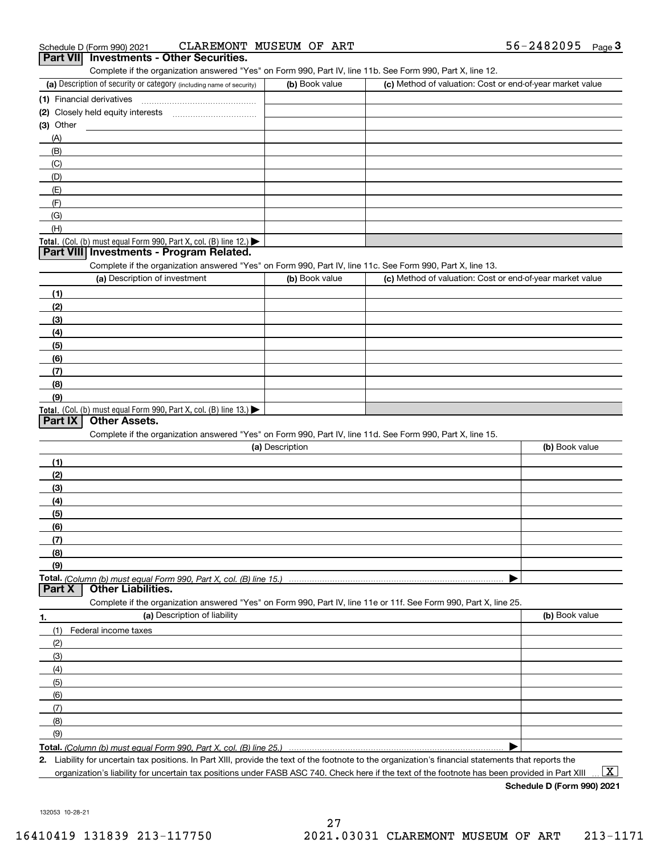| Schedule D (Form 990) 2021 | CLAREMONT MUSEUM OF ART                  |  | 56-2482095 | Page 3 |
|----------------------------|------------------------------------------|--|------------|--------|
|                            | Part VII Investments - Other Securities. |  |            |        |

| 11 VIII THVESURENTS - OUTER SECURITIES. |  |  |  |  |  |  |  |
|-----------------------------------------|--|--|--|--|--|--|--|
|                                         |  |  |  |  |  |  |  |

Complete if the organization answered "Yes" on Form 990, Part IV, line 11b. See Form 990, Part X, line 12.

| (a) Description of security or category (including name of security)                   | (b) Book value | (c) Method of valuation: Cost or end-of-year market value |
|----------------------------------------------------------------------------------------|----------------|-----------------------------------------------------------|
| (1) Financial derivatives                                                              |                |                                                           |
| (2) Closely held equity interests                                                      |                |                                                           |
| $(3)$ Other                                                                            |                |                                                           |
| (A)                                                                                    |                |                                                           |
| (B)                                                                                    |                |                                                           |
| (C)                                                                                    |                |                                                           |
| (D)                                                                                    |                |                                                           |
| (E)                                                                                    |                |                                                           |
| (F)                                                                                    |                |                                                           |
| (G)                                                                                    |                |                                                           |
| (H)                                                                                    |                |                                                           |
| Total. (Col. (b) must equal Form 990, Part X, col. (B) line 12.) $\blacktriangleright$ |                |                                                           |

## **Part VIII Investments - Program Related.**

Complete if the organization answered "Yes" on Form 990, Part IV, line 11c. See Form 990, Part X, line 13.

| (a) Description of investment                                    | (b) Book value | (c) Method of valuation: Cost or end-of-year market value |
|------------------------------------------------------------------|----------------|-----------------------------------------------------------|
| (1)                                                              |                |                                                           |
| (2)                                                              |                |                                                           |
| (3)                                                              |                |                                                           |
| (4)                                                              |                |                                                           |
| $\frac{1}{2}$                                                    |                |                                                           |
| (6)                                                              |                |                                                           |
| (7)                                                              |                |                                                           |
| (8)                                                              |                |                                                           |
| (9)                                                              |                |                                                           |
| Total. (Col. (b) must equal Form 990, Part X, col. (B) line 13.) |                |                                                           |

# **Part IX Other Assets.**

Complete if the organization answered "Yes" on Form 990, Part IV, line 11d. See Form 990, Part X, line 15.

| (a) Description                    | (b) Book value |
|------------------------------------|----------------|
| (1)                                |                |
| (2)                                |                |
| (3)                                |                |
| (4)                                |                |
| $\frac{1}{2}$ (5)                  |                |
| (6)                                |                |
|                                    |                |
| (8)                                |                |
| (9)                                |                |
|                                    |                |
| <b>Part X</b>   Other Liabilities. |                |

**1.(a)** Description of liability **Book value** Book value Book value Book value Book value Complete if the organization answered "Yes" on Form 990, Part IV, line 11e or 11f. See Form 990, Part X, line 25. (1)Federal income taxes (2)(3)(4)(5) (6)(7)(8)

**Total.**  *(Column (b) must equal Form 990, Part X, col. (B) line 25.)*

 $\blacktriangleright$ 

**2.**Liability for uncertain tax positions. In Part XIII, provide the text of the footnote to the organization's financial statements that reports the organization's liability for uncertain tax positions under FASB ASC 740. Check here if the text of the footnote has been provided in Part XIII

**Schedule D (Form 990) 2021**

 $\boxed{\text{X}}$ 

132053 10-28-21

(9)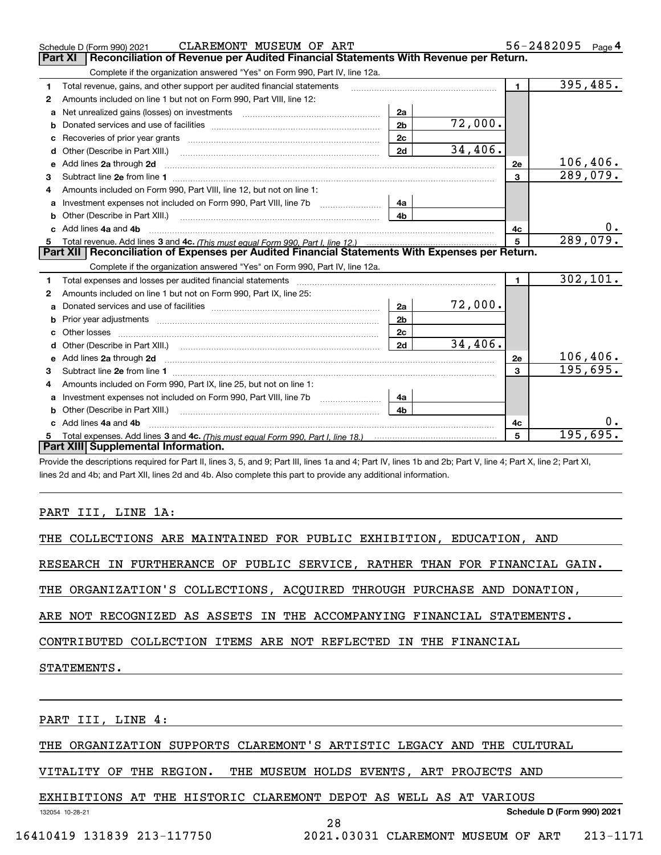|   | CLAREMONT MUSEUM OF ART<br>Schedule D (Form 990) 2021                                                                                                                                                                               |                |         |                | 56-2482095 | Page 4 |
|---|-------------------------------------------------------------------------------------------------------------------------------------------------------------------------------------------------------------------------------------|----------------|---------|----------------|------------|--------|
|   | Part XI<br>Reconciliation of Revenue per Audited Financial Statements With Revenue per Return.                                                                                                                                      |                |         |                |            |        |
|   | Complete if the organization answered "Yes" on Form 990, Part IV, line 12a.                                                                                                                                                         |                |         |                |            |        |
| 1 | Total revenue, gains, and other support per audited financial statements                                                                                                                                                            |                |         | $\blacksquare$ | 395,485.   |        |
| 2 | Amounts included on line 1 but not on Form 990, Part VIII, line 12:                                                                                                                                                                 |                |         |                |            |        |
| a |                                                                                                                                                                                                                                     | 2a             |         |                |            |        |
| b |                                                                                                                                                                                                                                     | 2 <sub>b</sub> | 72,000. |                |            |        |
|   |                                                                                                                                                                                                                                     | 2 <sub>c</sub> |         |                |            |        |
| d |                                                                                                                                                                                                                                     | 2d             | 34,406. |                |            |        |
| e | Add lines 2a through 2d                                                                                                                                                                                                             |                |         | 2e             | 106,406.   |        |
| 3 |                                                                                                                                                                                                                                     |                |         | 3              | 289,079.   |        |
| 4 | Amounts included on Form 990, Part VIII, line 12, but not on line 1:                                                                                                                                                                |                |         |                |            |        |
| a |                                                                                                                                                                                                                                     | 4a             |         |                |            |        |
|   |                                                                                                                                                                                                                                     | 4 <sub>b</sub> |         |                |            |        |
|   | Add lines 4a and 4b                                                                                                                                                                                                                 |                |         | 4c             |            | 0.     |
| 5 |                                                                                                                                                                                                                                     |                |         | 5              | 289,079.   |        |
|   | Part XII   Reconciliation of Expenses per Audited Financial Statements With Expenses per Return.                                                                                                                                    |                |         |                |            |        |
|   | Complete if the organization answered "Yes" on Form 990, Part IV, line 12a.                                                                                                                                                         |                |         |                |            |        |
| 1 | Total expenses and losses per audited financial statements [11, 11] manuscription control expenses and losses per audited financial statements [11] manuscription of the statements [11] manuscription of the statements [11]       |                |         | $\blacksquare$ | 302, 101.  |        |
| 2 | Amounts included on line 1 but not on Form 990, Part IX, line 25:                                                                                                                                                                   |                |         |                |            |        |
|   |                                                                                                                                                                                                                                     | 2a             | 72,000. |                |            |        |
| b | Prior year adjustments manufactured and contract and contract and contract and contract and contract and contract and contract and contract and contract and contract and contract and contract and contract and contract and       | 2 <sub>b</sub> |         |                |            |        |
|   |                                                                                                                                                                                                                                     | 2 <sub>c</sub> |         |                |            |        |
| d |                                                                                                                                                                                                                                     | 2d             | 34,406. |                |            |        |
| е | Add lines 2a through 2d <b>must be a constructed as the constant of the S2a</b> through 2d must be a constructed as a construction of the set of the set of the set of the set of the set of the set of the set of the set of the s |                |         | 2e             | 106,406.   |        |
| 3 |                                                                                                                                                                                                                                     |                |         | 3              | 195,695.   |        |
|   | Amounts included on Form 990, Part IX, line 25, but not on line 1:                                                                                                                                                                  |                |         |                |            |        |
| a | Investment expenses not included on Form 990, Part VIII, line 7b [1000000000000000000000000000000000                                                                                                                                | 4a             |         |                |            |        |
|   | <b>b</b> Other (Describe in Part XIII.)                                                                                                                                                                                             | 4 <sub>b</sub> |         |                |            |        |
|   | Add lines 4a and 4b                                                                                                                                                                                                                 |                |         | 4c             |            | $0$ .  |
| 5 |                                                                                                                                                                                                                                     |                |         | 5              | 195,695.   |        |
|   | Part XIII Supplemental Information.                                                                                                                                                                                                 |                |         |                |            |        |
|   | Describe the decorrections required for Doubli lines O. F. and O. Doublil lines do and A. Doubling discond Ob. Doubling A. Doubling O. Doubling O. Doubling O. Doubling O. Doubling O. Doubling O. Doubling O. Doubling O. Dou      |                |         |                |            |        |

Provide the descriptions required for Part II, lines 3, 5, and 9; Part III, lines 1a and 4; Part IV, lines 1b and 2b; Part V, line 4; Part X, line 2; Part XI, lines 2d and 4b; and Part XII, lines 2d and 4b. Also complete this part to provide any additional information.

# PART III, LINE 1A:

|  | THE COLLECTIONS ARE MAINTAINED FOR PUBLIC EXHIBITION, EDUCATION, AND |  |  |  |  |  |  |  |
|--|----------------------------------------------------------------------|--|--|--|--|--|--|--|
|--|----------------------------------------------------------------------|--|--|--|--|--|--|--|

RESEARCH IN FURTHERANCE OF PUBLIC SERVICE, RATHER THAN FOR FINANCIAL GAIN.

THE ORGANIZATION'S COLLECTIONS, ACQUIRED THROUGH PURCHASE AND DONATION,

ARE NOT RECOGNIZED AS ASSETS IN THE ACCOMPANYING FINANCIAL STATEMENTS.

CONTRIBUTED COLLECTION ITEMS ARE NOT REFLECTED IN THE FINANCIAL

STATEMENTS.

PART III, LINE 4:

THE ORGANIZATION SUPPORTS CLAREMONT'S ARTISTIC LEGACY AND THE CULTURAL

28

VITALITY OF THE REGION. THE MUSEUM HOLDS EVENTS, ART PROJECTS AND

EXHIBITIONS AT THE HISTORIC CLAREMONT DEPOT AS WELL AS AT VARIOUS

132054 10-28-21

```
Schedule D (Form 990) 2021
```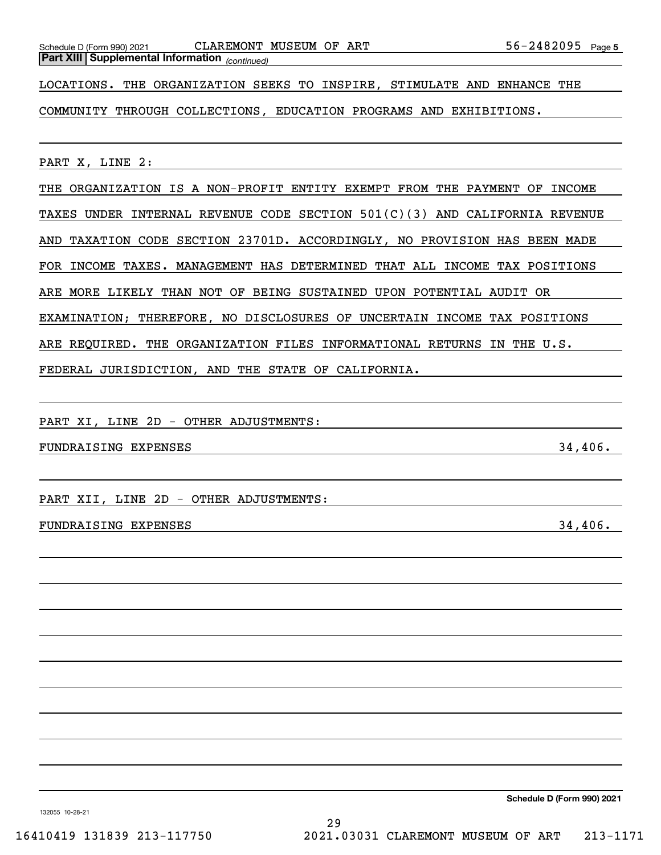*(continued)* **Part XIII Supplemental Information** 

Schedule D (Form 990) 2021 CLAREMONT MUSEUM OF ART 56-2482095 Page

LOCATIONS. THE ORGANIZATION SEEKS TO INSPIRE, STIMULATE AND ENHANCE THE

COMMUNITY THROUGH COLLECTIONS, EDUCATION PROGRAMS AND EXHIBITIONS.

PART X, LINE 2:

THE ORGANIZATION IS A NON-PROFIT ENTITY EXEMPT FROM THE PAYMENT OF INCOME TAXES UNDER INTERNAL REVENUE CODE SECTION 501(C)(3) AND CALIFORNIA REVENUE AND TAXATION CODE SECTION 23701D. ACCORDINGLY, NO PROVISION HAS BEEN MADE FOR INCOME TAXES. MANAGEMENT HAS DETERMINED THAT ALL INCOME TAX POSITIONS ARE MORE LIKELY THAN NOT OF BEING SUSTAINED UPON POTENTIAL AUDIT OR EXAMINATION; THEREFORE, NO DISCLOSURES OF UNCERTAIN INCOME TAX POSITIONS ARE REQUIRED. THE ORGANIZATION FILES INFORMATIONAL RETURNS IN THE U.S. FEDERAL JURISDICTION, AND THE STATE OF CALIFORNIA.

PART XI, LINE 2D - OTHER ADJUSTMENTS:

FUNDRAISING EXPENSES 34,406.

PART XII, LINE 2D - OTHER ADJUSTMENTS:

# FUNDRAISING EXPENSES 34,406.

**Schedule D (Form 990) 2021**

132055 10-28-21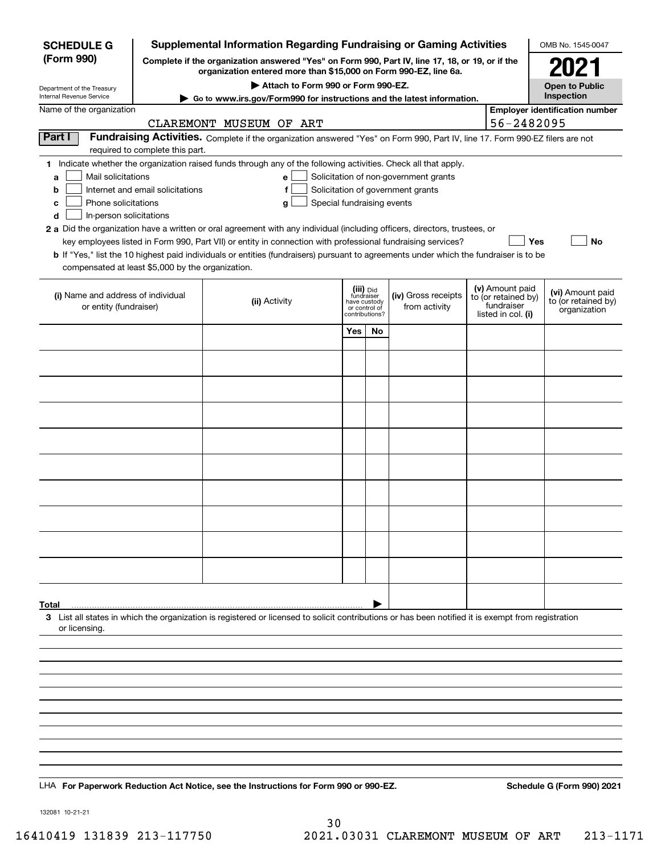| <b>Supplemental Information Regarding Fundraising or Gaming Activities</b><br><b>SCHEDULE G</b>                                               |                                                                                                 |                                                                                                                                                                                                                                                                                                                                                                                                                                                                                                                                                    |                         |                                                 |                                                                            | OMB No. 1545-0047 |                                                                            |                                                         |
|-----------------------------------------------------------------------------------------------------------------------------------------------|-------------------------------------------------------------------------------------------------|----------------------------------------------------------------------------------------------------------------------------------------------------------------------------------------------------------------------------------------------------------------------------------------------------------------------------------------------------------------------------------------------------------------------------------------------------------------------------------------------------------------------------------------------------|-------------------------|-------------------------------------------------|----------------------------------------------------------------------------|-------------------|----------------------------------------------------------------------------|---------------------------------------------------------|
| (Form 990)                                                                                                                                    | Complete if the organization answered "Yes" on Form 990, Part IV, line 17, 18, or 19, or if the |                                                                                                                                                                                                                                                                                                                                                                                                                                                                                                                                                    | 2021                    |                                                 |                                                                            |                   |                                                                            |                                                         |
|                                                                                                                                               |                                                                                                 | organization entered more than \$15,000 on Form 990-EZ, line 6a.<br>Attach to Form 990 or Form 990-EZ.                                                                                                                                                                                                                                                                                                                                                                                                                                             |                         |                                                 |                                                                            |                   |                                                                            | <b>Open to Public</b>                                   |
| Department of the Treasury<br>Internal Revenue Service                                                                                        |                                                                                                 | Go to www.irs.gov/Form990 for instructions and the latest information.                                                                                                                                                                                                                                                                                                                                                                                                                                                                             |                         |                                                 |                                                                            |                   |                                                                            | Inspection                                              |
| Name of the organization                                                                                                                      |                                                                                                 | CLAREMONT MUSEUM OF ART                                                                                                                                                                                                                                                                                                                                                                                                                                                                                                                            |                         |                                                 |                                                                            |                   | 56-2482095                                                                 | <b>Employer identification number</b>                   |
| Part I                                                                                                                                        | required to complete this part.                                                                 | Fundraising Activities. Complete if the organization answered "Yes" on Form 990, Part IV, line 17. Form 990-EZ filers are not                                                                                                                                                                                                                                                                                                                                                                                                                      |                         |                                                 |                                                                            |                   |                                                                            |                                                         |
| Mail solicitations<br>a<br>b<br>Phone solicitations<br>c<br>In-person solicitations<br>d<br>compensated at least \$5,000 by the organization. | Internet and email solicitations                                                                | 1 Indicate whether the organization raised funds through any of the following activities. Check all that apply.<br>е<br>f<br>Special fundraising events<br>g<br>2 a Did the organization have a written or oral agreement with any individual (including officers, directors, trustees, or<br>key employees listed in Form 990, Part VII) or entity in connection with professional fundraising services?<br>b If "Yes," list the 10 highest paid individuals or entities (fundraisers) pursuant to agreements under which the fundraiser is to be |                         |                                                 | Solicitation of non-government grants<br>Solicitation of government grants |                   | Yes                                                                        | No                                                      |
| (i) Name and address of individual<br>or entity (fundraiser)                                                                                  |                                                                                                 | (ii) Activity                                                                                                                                                                                                                                                                                                                                                                                                                                                                                                                                      | (iii) Did<br>fundraiser | have custody<br>or control of<br>contributions? | (iv) Gross receipts<br>from activity                                       |                   | (v) Amount paid<br>to (or retained by)<br>fundraiser<br>listed in col. (i) | (vi) Amount paid<br>to (or retained by)<br>organization |
|                                                                                                                                               |                                                                                                 |                                                                                                                                                                                                                                                                                                                                                                                                                                                                                                                                                    | Yes                     | No.                                             |                                                                            |                   |                                                                            |                                                         |
|                                                                                                                                               |                                                                                                 |                                                                                                                                                                                                                                                                                                                                                                                                                                                                                                                                                    |                         |                                                 |                                                                            |                   |                                                                            |                                                         |
|                                                                                                                                               |                                                                                                 |                                                                                                                                                                                                                                                                                                                                                                                                                                                                                                                                                    |                         |                                                 |                                                                            |                   |                                                                            |                                                         |
|                                                                                                                                               |                                                                                                 |                                                                                                                                                                                                                                                                                                                                                                                                                                                                                                                                                    |                         |                                                 |                                                                            |                   |                                                                            |                                                         |
|                                                                                                                                               |                                                                                                 |                                                                                                                                                                                                                                                                                                                                                                                                                                                                                                                                                    |                         |                                                 |                                                                            |                   |                                                                            |                                                         |
|                                                                                                                                               |                                                                                                 |                                                                                                                                                                                                                                                                                                                                                                                                                                                                                                                                                    |                         |                                                 |                                                                            |                   |                                                                            |                                                         |
|                                                                                                                                               |                                                                                                 |                                                                                                                                                                                                                                                                                                                                                                                                                                                                                                                                                    |                         |                                                 |                                                                            |                   |                                                                            |                                                         |
|                                                                                                                                               |                                                                                                 |                                                                                                                                                                                                                                                                                                                                                                                                                                                                                                                                                    |                         |                                                 |                                                                            |                   |                                                                            |                                                         |
|                                                                                                                                               |                                                                                                 |                                                                                                                                                                                                                                                                                                                                                                                                                                                                                                                                                    |                         |                                                 |                                                                            |                   |                                                                            |                                                         |
|                                                                                                                                               |                                                                                                 |                                                                                                                                                                                                                                                                                                                                                                                                                                                                                                                                                    |                         |                                                 |                                                                            |                   |                                                                            |                                                         |
|                                                                                                                                               |                                                                                                 |                                                                                                                                                                                                                                                                                                                                                                                                                                                                                                                                                    |                         |                                                 |                                                                            |                   |                                                                            |                                                         |
| Total<br>or licensing.                                                                                                                        |                                                                                                 | 3 List all states in which the organization is registered or licensed to solicit contributions or has been notified it is exempt from registration                                                                                                                                                                                                                                                                                                                                                                                                 |                         |                                                 |                                                                            |                   |                                                                            |                                                         |
|                                                                                                                                               |                                                                                                 |                                                                                                                                                                                                                                                                                                                                                                                                                                                                                                                                                    |                         |                                                 |                                                                            |                   |                                                                            |                                                         |
|                                                                                                                                               |                                                                                                 |                                                                                                                                                                                                                                                                                                                                                                                                                                                                                                                                                    |                         |                                                 |                                                                            |                   |                                                                            |                                                         |
|                                                                                                                                               |                                                                                                 |                                                                                                                                                                                                                                                                                                                                                                                                                                                                                                                                                    |                         |                                                 |                                                                            |                   |                                                                            |                                                         |
|                                                                                                                                               |                                                                                                 |                                                                                                                                                                                                                                                                                                                                                                                                                                                                                                                                                    |                         |                                                 |                                                                            |                   |                                                                            |                                                         |
|                                                                                                                                               |                                                                                                 |                                                                                                                                                                                                                                                                                                                                                                                                                                                                                                                                                    |                         |                                                 |                                                                            |                   |                                                                            |                                                         |
|                                                                                                                                               |                                                                                                 |                                                                                                                                                                                                                                                                                                                                                                                                                                                                                                                                                    |                         |                                                 |                                                                            |                   |                                                                            |                                                         |
|                                                                                                                                               |                                                                                                 | LHA For Paperwork Reduction Act Notice, see the Instructions for Form 990 or 990-EZ.                                                                                                                                                                                                                                                                                                                                                                                                                                                               |                         |                                                 |                                                                            |                   |                                                                            | Schedule G (Form 990) 2021                              |

132081 10-21-21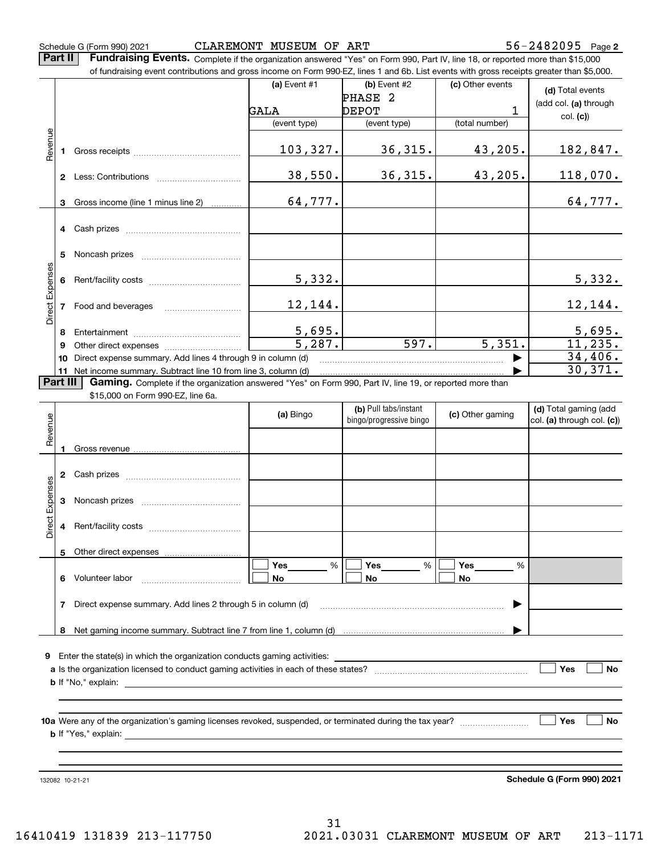**Part II** | Fundraising Events. Complete if the organization answered "Yes" on Form 990, Part IV, line 18, or reported more than \$15,000

|                 |    | of fundraising event contributions and gross income on Form 990-EZ, lines 1 and 6b. List events with gross receipts greater than \$5,000. |                     |                                                  |                      |                                                     |
|-----------------|----|-------------------------------------------------------------------------------------------------------------------------------------------|---------------------|--------------------------------------------------|----------------------|-----------------------------------------------------|
|                 |    |                                                                                                                                           | (a) Event #1        | $(b)$ Event #2                                   | (c) Other events     | (d) Total events                                    |
|                 |    |                                                                                                                                           |                     | PHASE <sub>2</sub>                               |                      | (add col. (a) through                               |
|                 |    |                                                                                                                                           | GALA                | <b>DEPOT</b>                                     | 1                    | col. (c)                                            |
|                 |    |                                                                                                                                           | (event type)        | (event type)                                     | (total number)       |                                                     |
|                 |    |                                                                                                                                           |                     |                                                  |                      |                                                     |
| Revenue         | 1. |                                                                                                                                           | 103,327.            | 36, 315.                                         | 43,205.              | 182,847.                                            |
|                 |    |                                                                                                                                           |                     |                                                  |                      |                                                     |
|                 |    |                                                                                                                                           | 38,550.             | 36, 315.                                         | 43,205.              | 118,070.                                            |
|                 |    |                                                                                                                                           |                     |                                                  |                      |                                                     |
|                 | 3  | Gross income (line 1 minus line 2)                                                                                                        | 64,777.             |                                                  |                      | 64,777.                                             |
|                 |    |                                                                                                                                           |                     |                                                  |                      |                                                     |
|                 |    |                                                                                                                                           |                     |                                                  |                      |                                                     |
|                 |    |                                                                                                                                           |                     |                                                  |                      |                                                     |
|                 | 5  |                                                                                                                                           |                     |                                                  |                      |                                                     |
|                 | 6  |                                                                                                                                           | 5,332.              |                                                  |                      | 5,332.                                              |
|                 |    |                                                                                                                                           |                     |                                                  |                      |                                                     |
|                 | 7  |                                                                                                                                           | 12,144.             |                                                  |                      | 12,144.                                             |
| Direct Expenses |    |                                                                                                                                           |                     |                                                  |                      |                                                     |
|                 | 8  |                                                                                                                                           | 5,695.              |                                                  |                      | 5,695.                                              |
|                 | 9  |                                                                                                                                           | $\frac{1}{5.287}$ . | 597.                                             | $\overline{5,351}$ . | 11,235.                                             |
|                 |    | 10 Direct expense summary. Add lines 4 through 9 in column (d)                                                                            |                     |                                                  |                      | 34,406.                                             |
|                 |    | 11 Net income summary. Subtract line 10 from line 3, column (d)                                                                           |                     |                                                  |                      | 30,371.                                             |
| Part III        |    | Gaming. Complete if the organization answered "Yes" on Form 990, Part IV, line 19, or reported more than                                  |                     |                                                  |                      |                                                     |
|                 |    | \$15,000 on Form 990-EZ, line 6a.                                                                                                         |                     |                                                  |                      |                                                     |
|                 |    |                                                                                                                                           | (a) Bingo           | (b) Pull tabs/instant<br>bingo/progressive bingo | (c) Other gaming     | (d) Total gaming (add<br>col. (a) through col. (c)) |
| Revenue         |    |                                                                                                                                           |                     |                                                  |                      |                                                     |
|                 |    |                                                                                                                                           |                     |                                                  |                      |                                                     |
|                 |    |                                                                                                                                           |                     |                                                  |                      |                                                     |
|                 | 2  |                                                                                                                                           |                     |                                                  |                      |                                                     |
|                 |    |                                                                                                                                           |                     |                                                  |                      |                                                     |
| Expenses        | 3  |                                                                                                                                           |                     |                                                  |                      |                                                     |
|                 |    |                                                                                                                                           |                     |                                                  |                      |                                                     |
| Direct          | 4  |                                                                                                                                           |                     |                                                  |                      |                                                     |
|                 |    |                                                                                                                                           |                     |                                                  |                      |                                                     |
|                 | 5  | Other direct expenses                                                                                                                     |                     |                                                  |                      |                                                     |
|                 |    |                                                                                                                                           | %<br>Yes            | %<br>Yes                                         | Yes<br>%             |                                                     |
|                 | 6  | Volunteer labor                                                                                                                           | No                  | No                                               | No                   |                                                     |
|                 |    |                                                                                                                                           |                     |                                                  |                      |                                                     |
|                 | 7  | Direct expense summary. Add lines 2 through 5 in column (d)                                                                               |                     |                                                  |                      |                                                     |
|                 |    |                                                                                                                                           |                     |                                                  |                      |                                                     |
|                 | 8  |                                                                                                                                           |                     |                                                  |                      |                                                     |
| 9               |    |                                                                                                                                           |                     |                                                  |                      |                                                     |
|                 |    |                                                                                                                                           |                     |                                                  |                      | Yes<br><b>No</b>                                    |
|                 |    |                                                                                                                                           |                     |                                                  |                      |                                                     |
|                 |    |                                                                                                                                           |                     |                                                  |                      |                                                     |
|                 |    |                                                                                                                                           |                     |                                                  |                      |                                                     |
|                 |    |                                                                                                                                           |                     |                                                  |                      | Yes<br><b>No</b>                                    |
|                 |    |                                                                                                                                           |                     |                                                  |                      |                                                     |
|                 |    |                                                                                                                                           |                     |                                                  |                      |                                                     |
|                 |    |                                                                                                                                           |                     |                                                  |                      |                                                     |
|                 |    | 132082 10-21-21                                                                                                                           |                     |                                                  |                      | Schedule G (Form 990) 2021                          |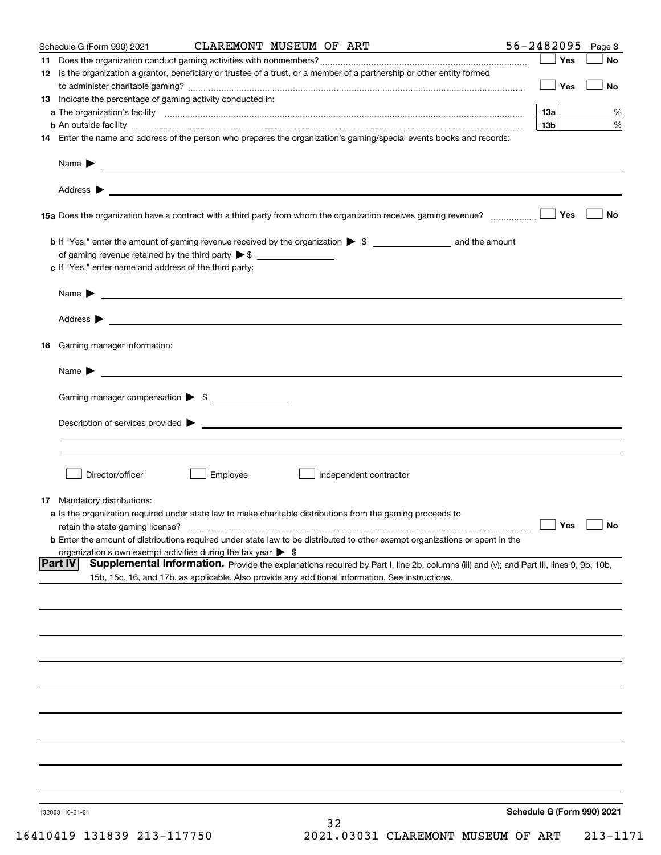| Schedule G (Form 990) 2021                                                   | CLAREMONT MUSEUM OF ART                                                                                                                                                                                                                    | 56-2482095<br>Page 3              |
|------------------------------------------------------------------------------|--------------------------------------------------------------------------------------------------------------------------------------------------------------------------------------------------------------------------------------------|-----------------------------------|
|                                                                              |                                                                                                                                                                                                                                            | Yes<br>No                         |
|                                                                              | 12 Is the organization a grantor, beneficiary or trustee of a trust, or a member of a partnership or other entity formed                                                                                                                   | $\Box$ Yes<br>No                  |
| 13 Indicate the percentage of gaming activity conducted in:                  |                                                                                                                                                                                                                                            |                                   |
|                                                                              |                                                                                                                                                                                                                                            | 13а<br>%                          |
|                                                                              | <b>b</b> An outside facility <i>www.communicality www.communicality.communicality www.communicality www.communicality.com</i>                                                                                                              | 13 <sub>b</sub><br>%              |
|                                                                              | 14 Enter the name and address of the person who prepares the organization's gaming/special events books and records:                                                                                                                       |                                   |
|                                                                              |                                                                                                                                                                                                                                            |                                   |
|                                                                              |                                                                                                                                                                                                                                            |                                   |
|                                                                              |                                                                                                                                                                                                                                            | <b>No</b>                         |
|                                                                              |                                                                                                                                                                                                                                            |                                   |
|                                                                              |                                                                                                                                                                                                                                            |                                   |
| c If "Yes," enter name and address of the third party:                       |                                                                                                                                                                                                                                            |                                   |
|                                                                              |                                                                                                                                                                                                                                            |                                   |
|                                                                              |                                                                                                                                                                                                                                            |                                   |
| 16 Gaming manager information:                                               |                                                                                                                                                                                                                                            |                                   |
|                                                                              | Name $\blacktriangleright$ $\frac{1}{\sqrt{1-\frac{1}{2}}\left(1-\frac{1}{2}\right)}$                                                                                                                                                      |                                   |
|                                                                              |                                                                                                                                                                                                                                            |                                   |
| Gaming manager compensation > \$                                             |                                                                                                                                                                                                                                            |                                   |
|                                                                              | Description of services provided $\blacktriangleright$ $\_\_\_\_\_\_\_\_\_\_\_\_\_\_\_$                                                                                                                                                    |                                   |
|                                                                              |                                                                                                                                                                                                                                            |                                   |
| Director/officer                                                             | Employee<br>Independent contractor                                                                                                                                                                                                         |                                   |
| 17 Mandatory distributions:                                                  |                                                                                                                                                                                                                                            |                                   |
|                                                                              | a Is the organization required under state law to make charitable distributions from the gaming proceeds to                                                                                                                                |                                   |
| retain the state gaming license?                                             |                                                                                                                                                                                                                                            | $\Box$ Yes<br>$\Box$ No           |
|                                                                              | <b>b</b> Enter the amount of distributions required under state law to be distributed to other exempt organizations or spent in the                                                                                                        |                                   |
| organization's own exempt activities during the tax year $\triangleright$ \$ |                                                                                                                                                                                                                                            |                                   |
| Part IV                                                                      | Supplemental Information. Provide the explanations required by Part I, line 2b, columns (iii) and (v); and Part III, lines 9, 9b, 10b,<br>15b, 15c, 16, and 17b, as applicable. Also provide any additional information. See instructions. |                                   |
|                                                                              |                                                                                                                                                                                                                                            |                                   |
|                                                                              |                                                                                                                                                                                                                                            |                                   |
|                                                                              |                                                                                                                                                                                                                                            |                                   |
|                                                                              |                                                                                                                                                                                                                                            |                                   |
|                                                                              |                                                                                                                                                                                                                                            |                                   |
|                                                                              |                                                                                                                                                                                                                                            |                                   |
|                                                                              |                                                                                                                                                                                                                                            |                                   |
|                                                                              |                                                                                                                                                                                                                                            |                                   |
|                                                                              |                                                                                                                                                                                                                                            |                                   |
| 132083 10-21-21                                                              |                                                                                                                                                                                                                                            | <b>Schedule G (Form 990) 2021</b> |
|                                                                              | 32                                                                                                                                                                                                                                         |                                   |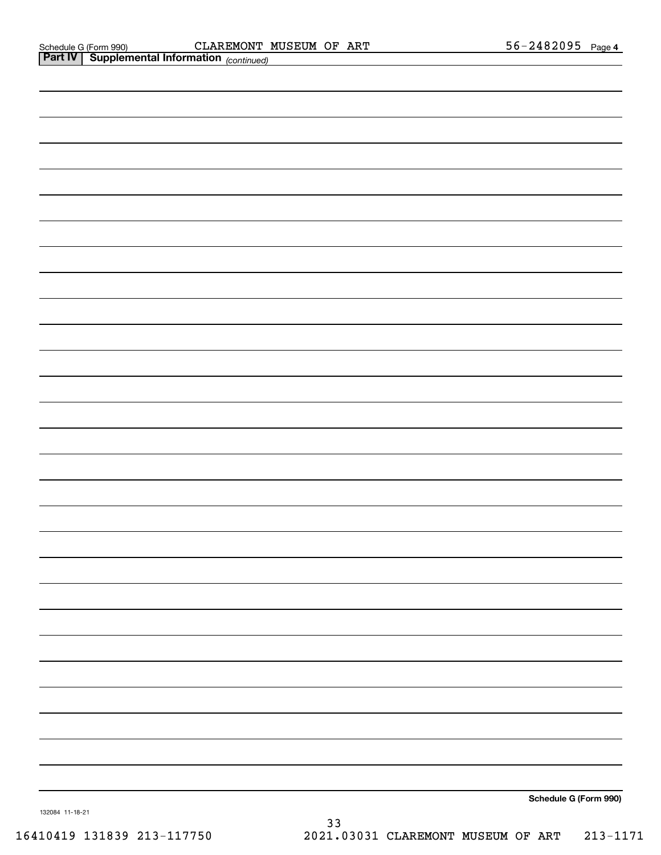|                 | <b>Part IV   Supplemental Information</b> (continued) |  |                       |
|-----------------|-------------------------------------------------------|--|-----------------------|
|                 |                                                       |  |                       |
|                 |                                                       |  |                       |
|                 |                                                       |  |                       |
|                 |                                                       |  |                       |
|                 |                                                       |  |                       |
|                 |                                                       |  |                       |
|                 |                                                       |  |                       |
|                 |                                                       |  |                       |
|                 |                                                       |  |                       |
|                 |                                                       |  |                       |
|                 |                                                       |  |                       |
|                 |                                                       |  |                       |
|                 |                                                       |  |                       |
|                 |                                                       |  |                       |
|                 |                                                       |  |                       |
|                 |                                                       |  |                       |
|                 |                                                       |  |                       |
|                 |                                                       |  |                       |
|                 |                                                       |  |                       |
|                 |                                                       |  |                       |
|                 |                                                       |  |                       |
|                 |                                                       |  |                       |
|                 |                                                       |  |                       |
|                 |                                                       |  |                       |
|                 |                                                       |  |                       |
|                 |                                                       |  |                       |
|                 |                                                       |  |                       |
|                 |                                                       |  |                       |
|                 |                                                       |  |                       |
|                 |                                                       |  |                       |
|                 |                                                       |  |                       |
| 132084 11-18-21 |                                                       |  | Schedule G (Form 990) |
|                 |                                                       |  |                       |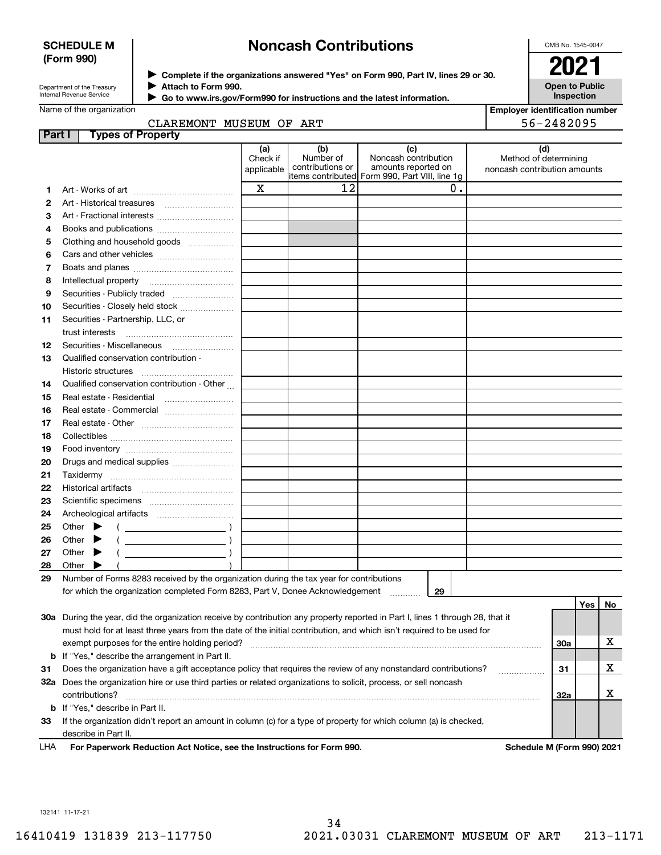## **SCHEDULE M (Form 990)**

# **Noncash Contributions**

OMB No. 1545-0047

| Department of the Treasury      |  |
|---------------------------------|--|
| <b>Internal Revenue Service</b> |  |

**Complete if the organizations answered "Yes" on Form 990, Part IV, lines 29 or 30.** <sup>J</sup>**2021 Attach to Form 990.** J

 **Go to www.irs.gov/Form990 for instructions and the latest information.** J

| LUL                                        |
|--------------------------------------------|
| <b>Open to Public</b><br><b>Inspection</b> |

| Name of the organization |  |
|--------------------------|--|
|--------------------------|--|

| CLADFMONT MICFIIM OF ADT |  |  |
|--------------------------|--|--|

| Employer identification number |  |            |  |
|--------------------------------|--|------------|--|
|                                |  | EC ALONAAE |  |

|        | CLAREMONT MUSEUM OF ART                                                                                                                                                                                                                                                                                                                                                                                                                      |                               |                                      |                                                    | 56-2482095                                                   |        |
|--------|----------------------------------------------------------------------------------------------------------------------------------------------------------------------------------------------------------------------------------------------------------------------------------------------------------------------------------------------------------------------------------------------------------------------------------------------|-------------------------------|--------------------------------------|----------------------------------------------------|--------------------------------------------------------------|--------|
| Part I | <b>Types of Property</b>                                                                                                                                                                                                                                                                                                                                                                                                                     | (a)<br>Check if<br>applicable | (b)<br>Number of<br>contributions or | (c)<br>Noncash contribution<br>amounts reported on | (d)<br>Method of determining<br>noncash contribution amounts |        |
|        |                                                                                                                                                                                                                                                                                                                                                                                                                                              |                               |                                      | items contributed Form 990, Part VIII, line 1g     |                                                              |        |
| 1      |                                                                                                                                                                                                                                                                                                                                                                                                                                              | $\mathbf X$                   | 12                                   | 0.                                                 |                                                              |        |
| 2      | Art - Historical treasures [111] [11] Art - Historical treasures                                                                                                                                                                                                                                                                                                                                                                             |                               |                                      |                                                    |                                                              |        |
| з      | Art - Fractional interests                                                                                                                                                                                                                                                                                                                                                                                                                   |                               |                                      |                                                    |                                                              |        |
| 4      | Books and publications                                                                                                                                                                                                                                                                                                                                                                                                                       |                               |                                      |                                                    |                                                              |        |
| 5      | Clothing and household goods                                                                                                                                                                                                                                                                                                                                                                                                                 |                               |                                      |                                                    |                                                              |        |
| 6      |                                                                                                                                                                                                                                                                                                                                                                                                                                              |                               |                                      |                                                    |                                                              |        |
| 7      |                                                                                                                                                                                                                                                                                                                                                                                                                                              |                               |                                      |                                                    |                                                              |        |
| 8      |                                                                                                                                                                                                                                                                                                                                                                                                                                              |                               |                                      |                                                    |                                                              |        |
| 9      | Securities - Publicly traded                                                                                                                                                                                                                                                                                                                                                                                                                 |                               |                                      |                                                    |                                                              |        |
| 10     | Securities - Closely held stock                                                                                                                                                                                                                                                                                                                                                                                                              |                               |                                      |                                                    |                                                              |        |
| 11     | Securities - Partnership, LLC, or                                                                                                                                                                                                                                                                                                                                                                                                            |                               |                                      |                                                    |                                                              |        |
|        |                                                                                                                                                                                                                                                                                                                                                                                                                                              |                               |                                      |                                                    |                                                              |        |
| 12     | Securities - Miscellaneous                                                                                                                                                                                                                                                                                                                                                                                                                   |                               |                                      |                                                    |                                                              |        |
| 13     | Qualified conservation contribution -                                                                                                                                                                                                                                                                                                                                                                                                        |                               |                                      |                                                    |                                                              |        |
|        |                                                                                                                                                                                                                                                                                                                                                                                                                                              |                               |                                      |                                                    |                                                              |        |
| 14     | Qualified conservation contribution - Other                                                                                                                                                                                                                                                                                                                                                                                                  |                               |                                      |                                                    |                                                              |        |
| 15     |                                                                                                                                                                                                                                                                                                                                                                                                                                              |                               |                                      |                                                    |                                                              |        |
| 16     | Real estate - Commercial                                                                                                                                                                                                                                                                                                                                                                                                                     |                               |                                      |                                                    |                                                              |        |
| 17     |                                                                                                                                                                                                                                                                                                                                                                                                                                              |                               |                                      |                                                    |                                                              |        |
| 18     |                                                                                                                                                                                                                                                                                                                                                                                                                                              |                               |                                      |                                                    |                                                              |        |
| 19     |                                                                                                                                                                                                                                                                                                                                                                                                                                              |                               |                                      |                                                    |                                                              |        |
| 20     | Drugs and medical supplies                                                                                                                                                                                                                                                                                                                                                                                                                   |                               |                                      |                                                    |                                                              |        |
| 21     |                                                                                                                                                                                                                                                                                                                                                                                                                                              |                               |                                      |                                                    |                                                              |        |
| 22     |                                                                                                                                                                                                                                                                                                                                                                                                                                              |                               |                                      |                                                    |                                                              |        |
| 23     |                                                                                                                                                                                                                                                                                                                                                                                                                                              |                               |                                      |                                                    |                                                              |        |
| 24     |                                                                                                                                                                                                                                                                                                                                                                                                                                              |                               |                                      |                                                    |                                                              |        |
| 25     | Other $\blacktriangleright$                                                                                                                                                                                                                                                                                                                                                                                                                  |                               |                                      |                                                    |                                                              |        |
| 26     | $\left(\begin{array}{ccc}\n\frac{1}{2} & \frac{1}{2} & \frac{1}{2} & \frac{1}{2} & \frac{1}{2} & \frac{1}{2} & \frac{1}{2} & \frac{1}{2} & \frac{1}{2} & \frac{1}{2} & \frac{1}{2} & \frac{1}{2} & \frac{1}{2} & \frac{1}{2} & \frac{1}{2} & \frac{1}{2} & \frac{1}{2} & \frac{1}{2} & \frac{1}{2} & \frac{1}{2} & \frac{1}{2} & \frac{1}{2} & \frac{1}{2} & \frac{1}{2} & \frac{1}{2} & \frac{1}{2} & \frac$<br>Other $\blacktriangleright$ |                               |                                      |                                                    |                                                              |        |
| 27     | $\left(\begin{array}{ccc} \rule{0pt}{2.5ex} & \rule{0pt}{2.5ex} & \rule{0pt}{2.5ex} & \rule{0pt}{2.5ex} & \rule{0pt}{2.5ex} & \rule{0pt}{2.5ex} & \rule{0pt}{2.5ex} & \rule{0pt}{2.5ex} & \rule{0pt}{2.5ex} & \rule{0pt}{2.5ex} & \rule{0pt}{2.5ex} & \rule{0pt}{2.5ex} & \rule{0pt}{2.5ex} & \rule{0pt}{2.5ex} & \rule{0pt}{2.5ex} & \rule{0pt}{2.5ex} & \rule{0pt}{2.5ex} & \rule{0pt}{2$<br>Other $\blacktriangleright$                   |                               |                                      |                                                    |                                                              |        |
| 28     | Other $\blacktriangleright$                                                                                                                                                                                                                                                                                                                                                                                                                  |                               |                                      |                                                    |                                                              |        |
| 29     | Number of Forms 8283 received by the organization during the tax year for contributions                                                                                                                                                                                                                                                                                                                                                      |                               |                                      |                                                    |                                                              |        |
|        | for which the organization completed Form 8283, Part V, Donee Acknowledgement                                                                                                                                                                                                                                                                                                                                                                |                               |                                      | 29                                                 |                                                              |        |
|        |                                                                                                                                                                                                                                                                                                                                                                                                                                              |                               |                                      |                                                    |                                                              | Yes No |
|        |                                                                                                                                                                                                                                                                                                                                                                                                                                              |                               |                                      |                                                    |                                                              |        |
|        | 30a During the year, did the organization receive by contribution any property reported in Part I, lines 1 through 28, that it                                                                                                                                                                                                                                                                                                               |                               |                                      |                                                    |                                                              |        |
|        | must hold for at least three years from the date of the initial contribution, and which isn't required to be used for                                                                                                                                                                                                                                                                                                                        |                               |                                      |                                                    |                                                              | X      |
|        | exempt purposes for the entire holding period?                                                                                                                                                                                                                                                                                                                                                                                               |                               |                                      |                                                    | 30a                                                          |        |
|        | <b>b</b> If "Yes," describe the arrangement in Part II.                                                                                                                                                                                                                                                                                                                                                                                      |                               |                                      |                                                    |                                                              |        |
| 31     | Does the organization have a gift acceptance policy that requires the review of any nonstandard contributions?                                                                                                                                                                                                                                                                                                                               |                               |                                      |                                                    | 31                                                           | X      |
|        | 32a Does the organization hire or use third parties or related organizations to solicit, process, or sell noncash                                                                                                                                                                                                                                                                                                                            |                               |                                      |                                                    |                                                              |        |
|        | contributions?                                                                                                                                                                                                                                                                                                                                                                                                                               |                               |                                      |                                                    | 32a                                                          | х      |

**For Paperwork Reduction Act Notice, see the Instructions for Form 990. Schedule M (Form 990) 2021** LHA

**33**If the organization didn't report an amount in column (c) for a type of property for which column (a) is checked,

132141 11-17-21

**b** If "Yes," describe in Part II.

describe in Part II.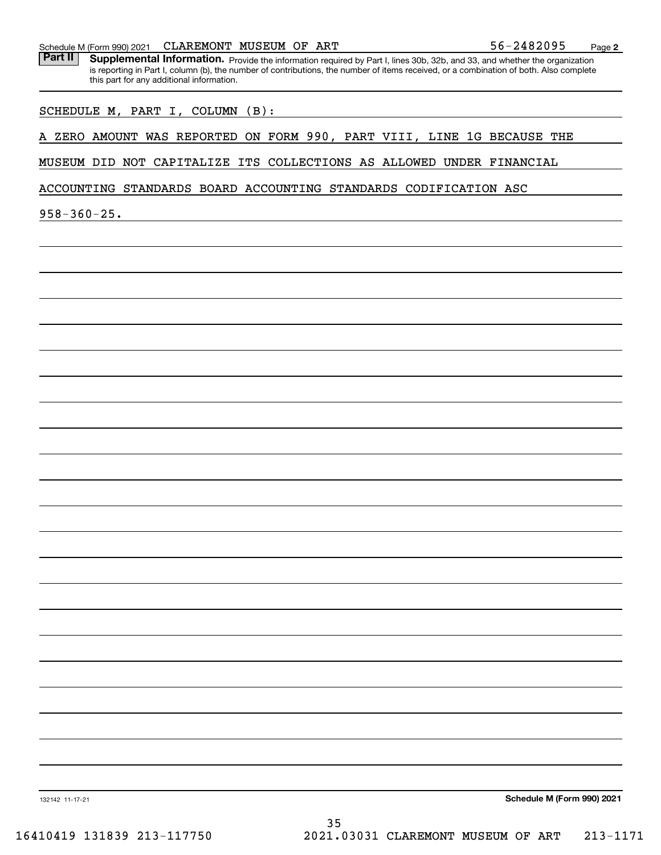| A ZERO AMOUNT WAS REPORTED ON FORM 990, PART VIII, LINE 1G BECAUSE THE<br>MUSEUM DID NOT CAPITALIZE ITS COLLECTIONS AS ALLOWED UNDER FINANCIAL<br>ACCOUNTING STANDARDS BOARD ACCOUNTING STANDARDS CODIFICATION ASC |
|--------------------------------------------------------------------------------------------------------------------------------------------------------------------------------------------------------------------|
|                                                                                                                                                                                                                    |
|                                                                                                                                                                                                                    |
|                                                                                                                                                                                                                    |
|                                                                                                                                                                                                                    |
|                                                                                                                                                                                                                    |
|                                                                                                                                                                                                                    |
|                                                                                                                                                                                                                    |
|                                                                                                                                                                                                                    |
|                                                                                                                                                                                                                    |
|                                                                                                                                                                                                                    |
|                                                                                                                                                                                                                    |
|                                                                                                                                                                                                                    |
|                                                                                                                                                                                                                    |
|                                                                                                                                                                                                                    |
|                                                                                                                                                                                                                    |
|                                                                                                                                                                                                                    |
|                                                                                                                                                                                                                    |
|                                                                                                                                                                                                                    |
|                                                                                                                                                                                                                    |
|                                                                                                                                                                                                                    |
|                                                                                                                                                                                                                    |
|                                                                                                                                                                                                                    |
|                                                                                                                                                                                                                    |
|                                                                                                                                                                                                                    |
|                                                                                                                                                                                                                    |
|                                                                                                                                                                                                                    |
|                                                                                                                                                                                                                    |
|                                                                                                                                                                                                                    |
|                                                                                                                                                                                                                    |
|                                                                                                                                                                                                                    |
|                                                                                                                                                                                                                    |
|                                                                                                                                                                                                                    |
| 35                                                                                                                                                                                                                 |

Schedule M (Form 990) 2021  ${\bf CLARENT}$   ${\bf MUSEUM}$  O ${\bf F}$   ${\bf ART}$  56-2482095 Page

**2**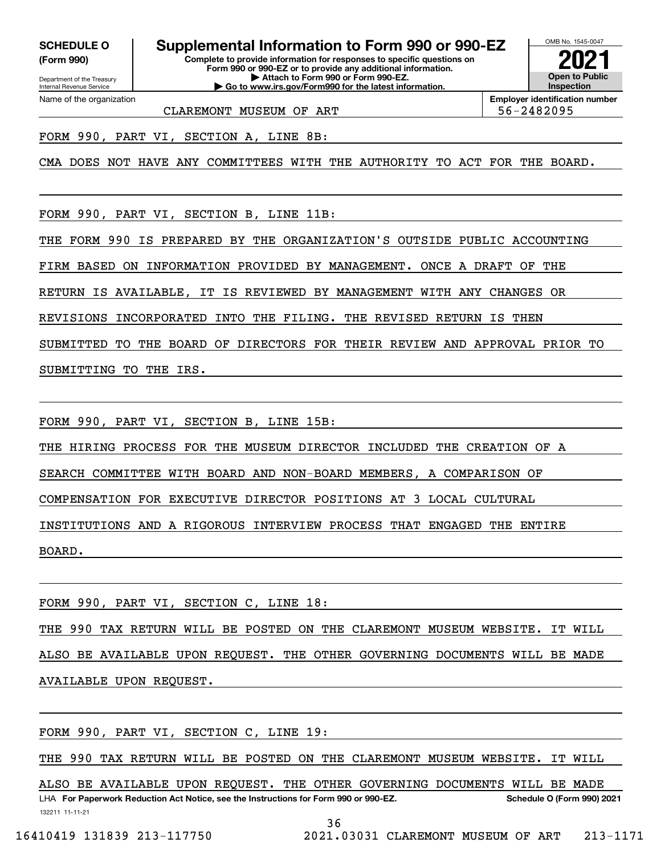**(Form 990)**

**Complete to provide information for responses to specific questions on SCHEDULE O Supplemental Information to Form 990 or 990-EZ**

**Form 990 or 990-EZ or to provide any additional information. | Attach to Form 990 or Form 990-EZ. | Go to www.irs.gov/Form990 for the latest information.**



**Employer identification number**

CLAREMONT MUSEUM OF ART  $\vert$  56-2482095

FORM 990, PART VI, SECTION A, LINE 8B:

CMA DOES NOT HAVE ANY COMMITTEES WITH THE AUTHORITY TO ACT FOR THE BOARD.

FORM 990, PART VI, SECTION B, LINE 11B:

THE FORM 990 IS PREPARED BY THE ORGANIZATION'S OUTSIDE PUBLIC ACCOUNTING

FIRM BASED ON INFORMATION PROVIDED BY MANAGEMENT. ONCE A DRAFT OF THE

RETURN IS AVAILABLE, IT IS REVIEWED BY MANAGEMENT WITH ANY CHANGES OR

REVISIONS INCORPORATED INTO THE FILING. THE REVISED RETURN IS THEN

SUBMITTED TO THE BOARD OF DIRECTORS FOR THEIR REVIEW AND APPROVAL PRIOR TO SUBMITTING TO THE IRS.

FORM 990, PART VI, SECTION B, LINE 15B:

THE HIRING PROCESS FOR THE MUSEUM DIRECTOR INCLUDED THE CREATION OF A

SEARCH COMMITTEE WITH BOARD AND NON-BOARD MEMBERS, A COMPARISON OF

COMPENSATION FOR EXECUTIVE DIRECTOR POSITIONS AT 3 LOCAL CULTURAL

INSTITUTIONS AND A RIGOROUS INTERVIEW PROCESS THAT ENGAGED THE ENTIRE

BOARD.

FORM 990, PART VI, SECTION C, LINE 18:

THE 990 TAX RETURN WILL BE POSTED ON THE CLAREMONT MUSEUM WEBSITE. IT WILL ALSO BE AVAILABLE UPON REQUEST. THE OTHER GOVERNING DOCUMENTS WILL BE MADE AVAILABLE UPON REQUEST.

FORM 990, PART VI, SECTION C, LINE 19:

THE 990 TAX RETURN WILL BE POSTED ON THE CLAREMONT MUSEUM WEBSITE. IT WILL

132211 11-11-21 LHA For Paperwork Reduction Act Notice, see the Instructions for Form 990 or 990-EZ. Schedule O (Form 990) 2021 ALSO BE AVAILABLE UPON REQUEST. THE OTHER GOVERNING DOCUMENTS WILL BE MADE

36